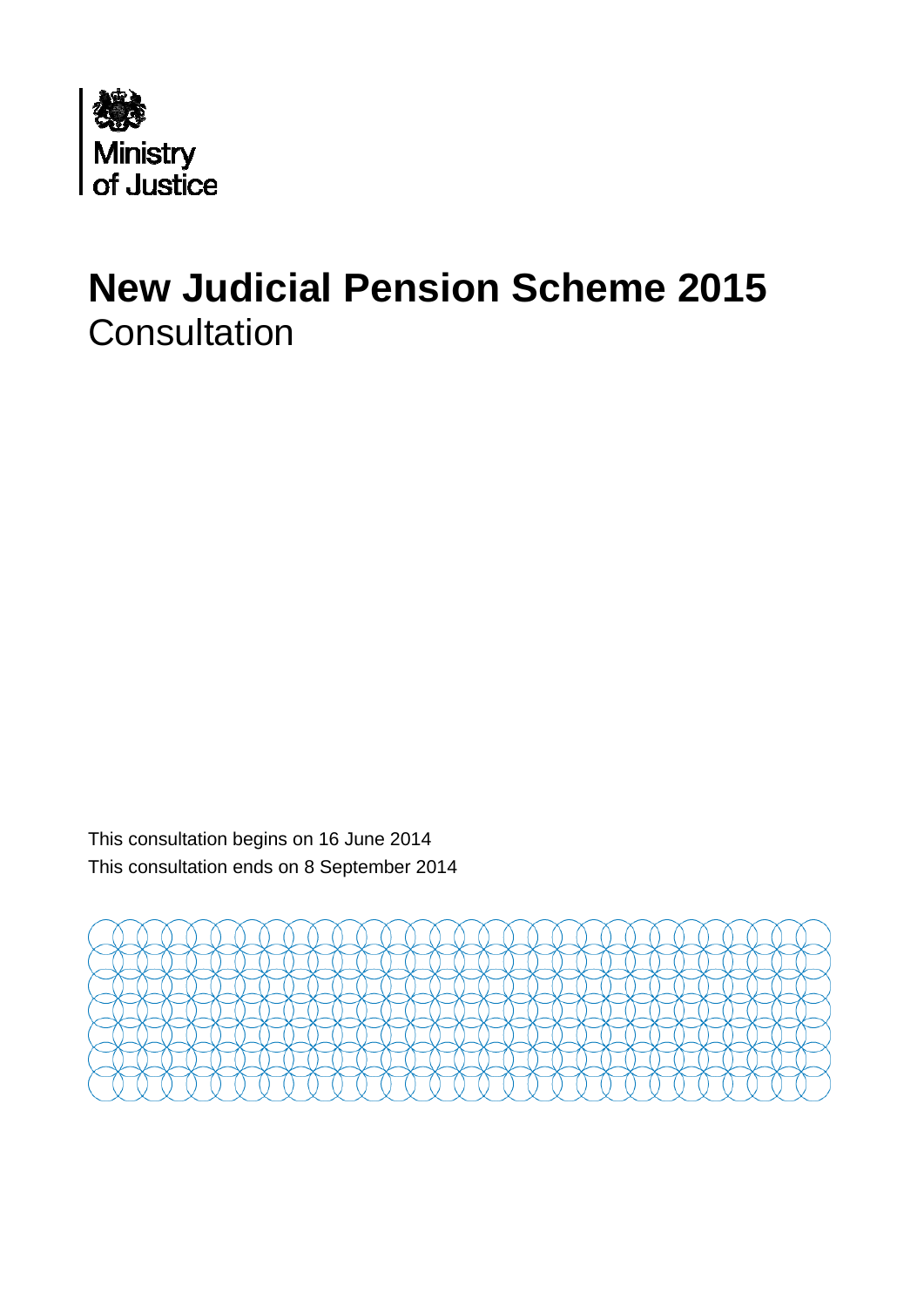

# **New Judicial Pension Scheme 2015 Consultation**

This consultation begins on 16 June 2014 This consultation ends on 8 September 2014

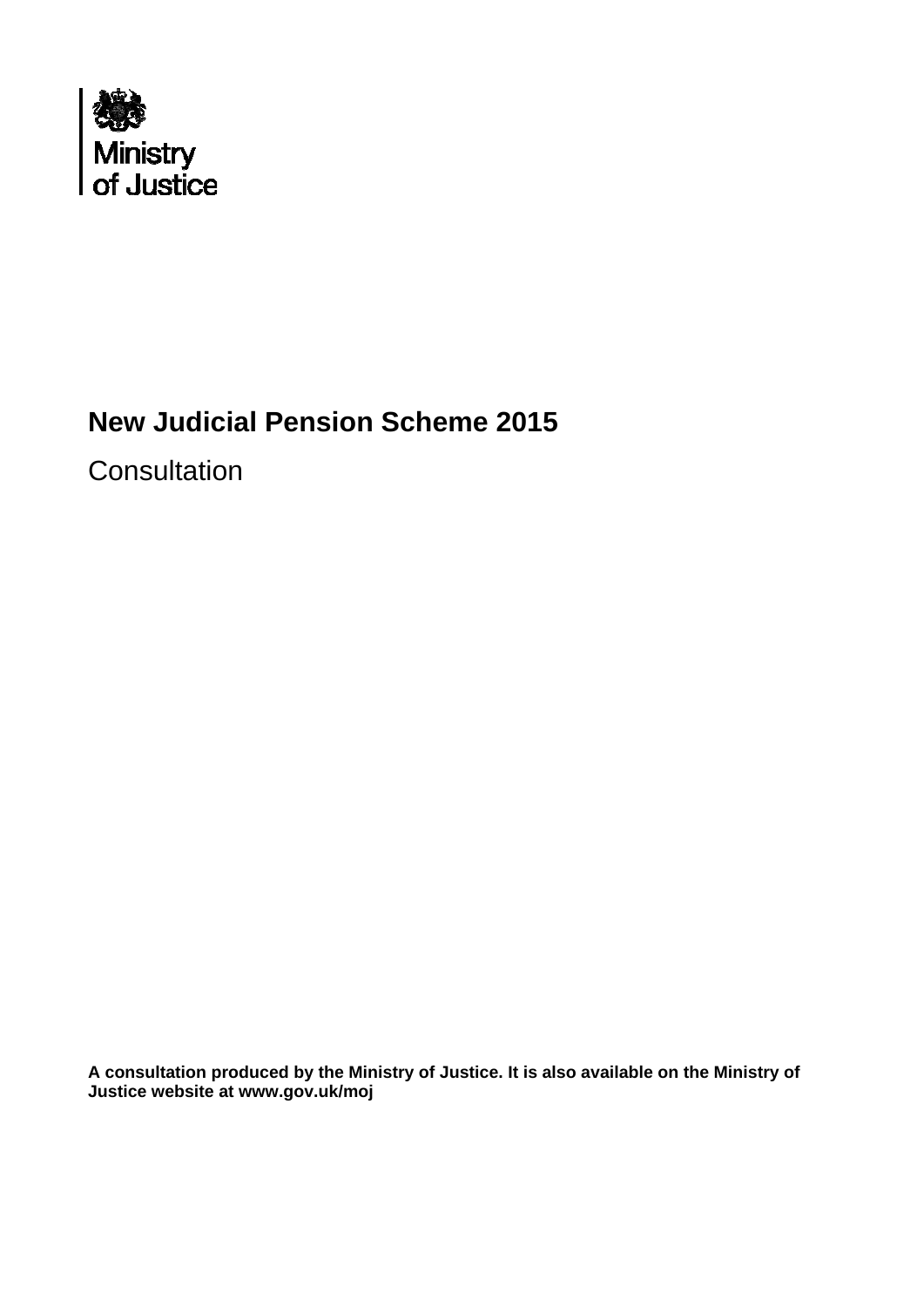

## **New Judicial Pension Scheme 2015**

**Consultation** 

**A consultation produced by the Ministry of Justice. It is also available on the Ministry of Justice website at [www.gov.uk/moj](http://www.gov.uk/moj)**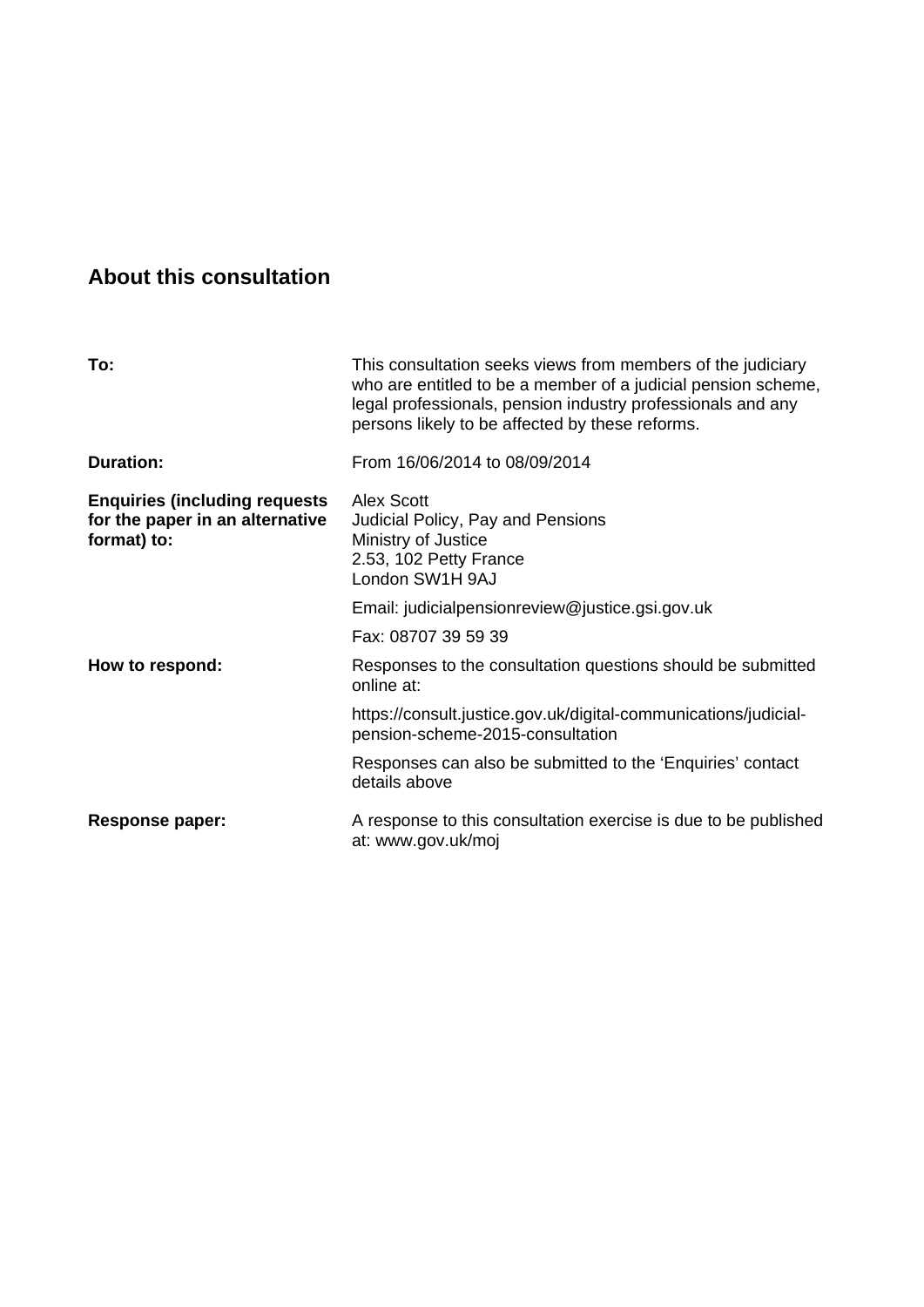## **About this consultation**

| To:                                                                                    | This consultation seeks views from members of the judiciary<br>who are entitled to be a member of a judicial pension scheme,<br>legal professionals, pension industry professionals and any<br>persons likely to be affected by these reforms. |
|----------------------------------------------------------------------------------------|------------------------------------------------------------------------------------------------------------------------------------------------------------------------------------------------------------------------------------------------|
| <b>Duration:</b>                                                                       | From 16/06/2014 to 08/09/2014                                                                                                                                                                                                                  |
| <b>Enquiries (including requests</b><br>for the paper in an alternative<br>format) to: | <b>Alex Scott</b><br>Judicial Policy, Pay and Pensions<br>Ministry of Justice<br>2.53, 102 Petty France<br>London SW1H 9AJ                                                                                                                     |
|                                                                                        | Email: judicialpensionreview@justice.gsi.gov.uk                                                                                                                                                                                                |
|                                                                                        | Fax: 08707 39 59 39                                                                                                                                                                                                                            |
| How to respond:                                                                        | Responses to the consultation questions should be submitted<br>online at:                                                                                                                                                                      |
|                                                                                        | https://consult.justice.gov.uk/digital-communications/judicial-<br>pension-scheme-2015-consultation                                                                                                                                            |
|                                                                                        | Responses can also be submitted to the 'Enquiries' contact<br>details above                                                                                                                                                                    |
| <b>Response paper:</b>                                                                 | A response to this consultation exercise is due to be published<br>at: www.gov.uk/moj                                                                                                                                                          |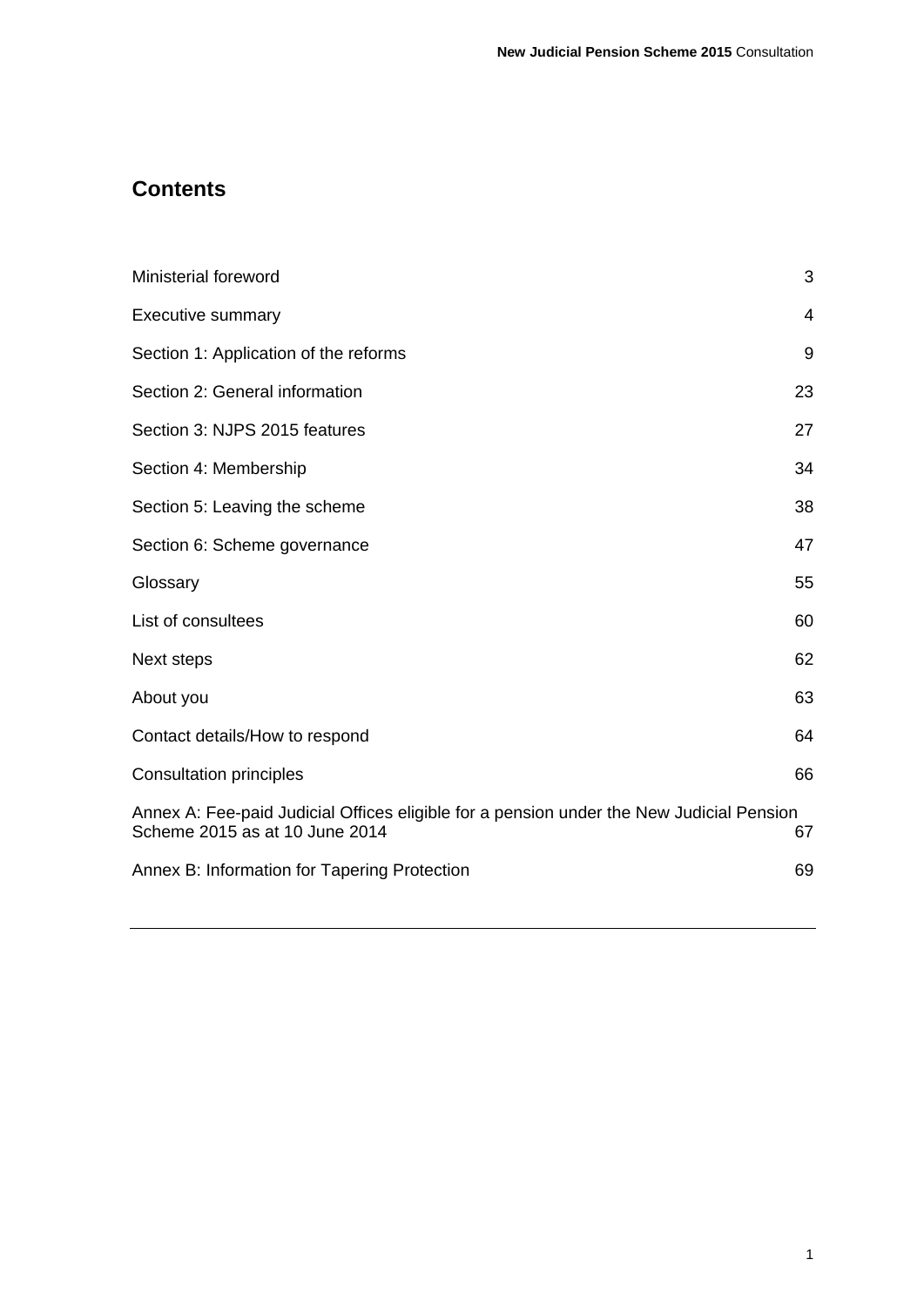## **Contents**

| Ministerial foreword                                                                                                       | 3              |
|----------------------------------------------------------------------------------------------------------------------------|----------------|
| <b>Executive summary</b>                                                                                                   | $\overline{4}$ |
| Section 1: Application of the reforms                                                                                      | 9              |
| Section 2: General information                                                                                             | 23             |
| Section 3: NJPS 2015 features                                                                                              | 27             |
| Section 4: Membership                                                                                                      | 34             |
| Section 5: Leaving the scheme                                                                                              | 38             |
| Section 6: Scheme governance                                                                                               | 47             |
| Glossary                                                                                                                   | 55             |
| List of consultees                                                                                                         | 60             |
| Next steps                                                                                                                 | 62             |
| About you                                                                                                                  | 63             |
| Contact details/How to respond                                                                                             | 64             |
| <b>Consultation principles</b>                                                                                             | 66             |
| Annex A: Fee-paid Judicial Offices eligible for a pension under the New Judicial Pension<br>Scheme 2015 as at 10 June 2014 | 67             |
| Annex B: Information for Tapering Protection                                                                               | 69             |
|                                                                                                                            |                |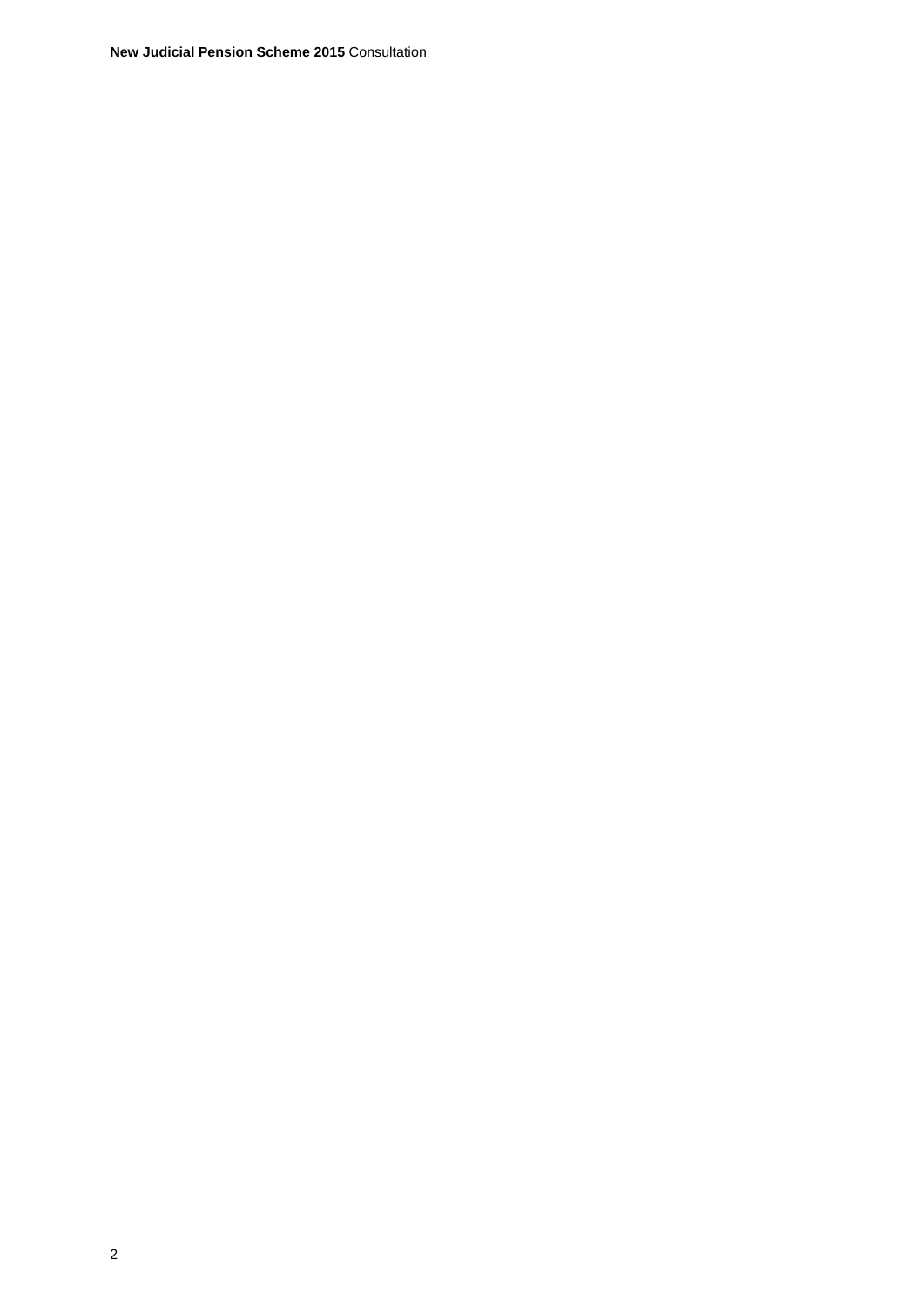**New Judicial Pension Scheme 2015** Consultation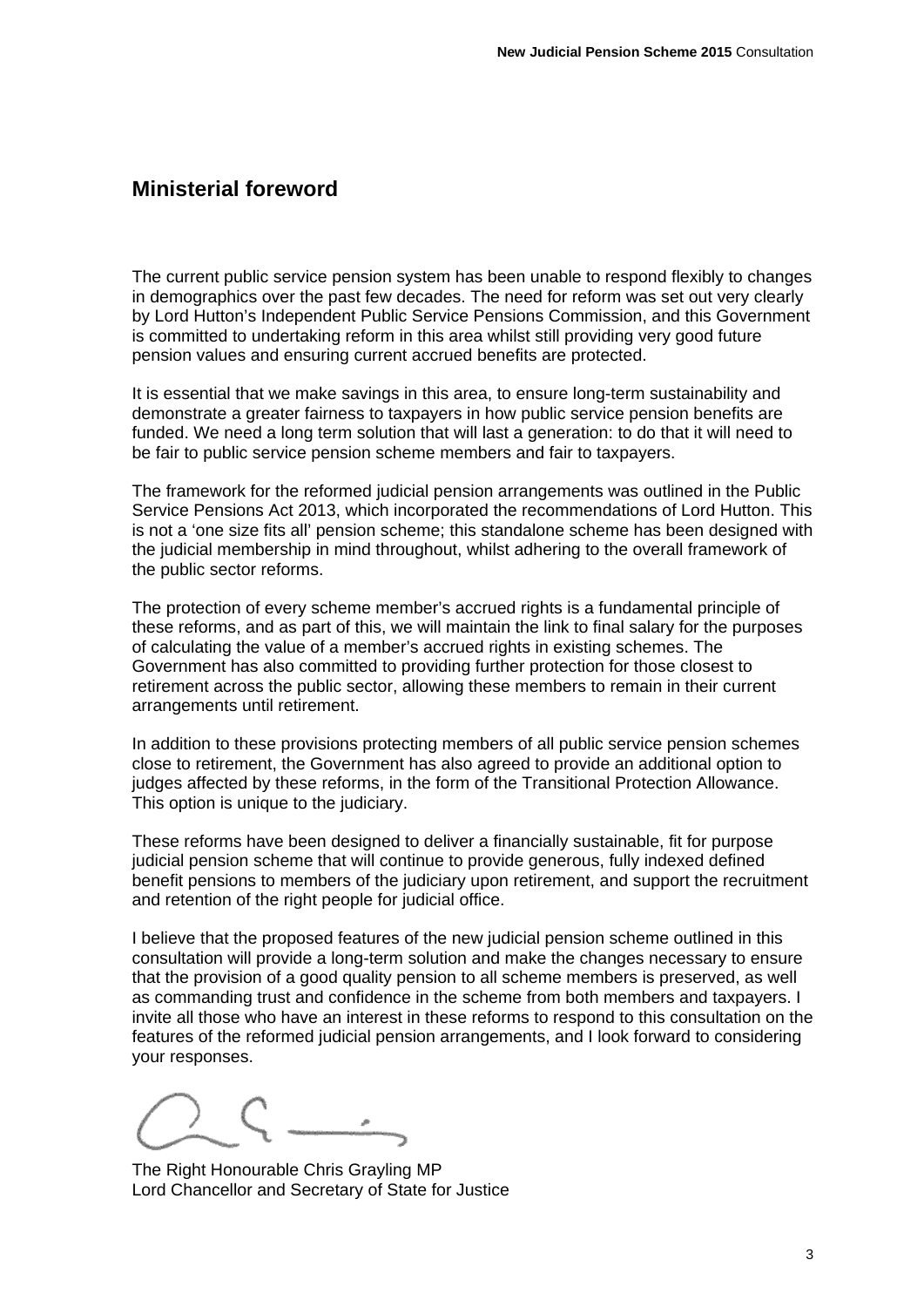### <span id="page-6-0"></span>**Ministerial foreword**

The current public service pension system has been unable to respond flexibly to changes in demographics over the past few decades. The need for reform was set out very clearly by Lord Hutton's Independent Public Service Pensions Commission, and this Government is committed to undertaking reform in this area whilst still providing very good future pension values and ensuring current accrued benefits are protected.

It is essential that we make savings in this area, to ensure long-term sustainability and demonstrate a greater fairness to taxpayers in how public service pension benefits are funded. We need a long term solution that will last a generation: to do that it will need to be fair to public service pension scheme members and fair to taxpayers.

The framework for the reformed judicial pension arrangements was outlined in the Public Service Pensions Act 2013, which incorporated the recommendations of Lord Hutton. This is not a 'one size fits all' pension scheme; this standalone scheme has been designed with the judicial membership in mind throughout, whilst adhering to the overall framework of the public sector reforms.

The protection of every scheme member's accrued rights is a fundamental principle of these reforms, and as part of this, we will maintain the link to final salary for the purposes of calculating the value of a member's accrued rights in existing schemes. The Government has also committed to providing further protection for those closest to retirement across the public sector, allowing these members to remain in their current arrangements until retirement.

In addition to these provisions protecting members of all public service pension schemes close to retirement, the Government has also agreed to provide an additional option to judges affected by these reforms, in the form of the Transitional Protection Allowance. This option is unique to the judiciary.

These reforms have been designed to deliver a financially sustainable, fit for purpose judicial pension scheme that will continue to provide generous, fully indexed defined benefit pensions to members of the judiciary upon retirement, and support the recruitment and retention of the right people for judicial office.

I believe that the proposed features of the new judicial pension scheme outlined in this consultation will provide a long-term solution and make the changes necessary to ensure that the provision of a good quality pension to all scheme members is preserved, as well as commanding trust and confidence in the scheme from both members and taxpayers. I invite all those who have an interest in these reforms to respond to this consultation on the features of the reformed judicial pension arrangements, and I look forward to considering your responses.

The Right Honourable Chris Grayling MP Lord Chancellor and Secretary of State for Justice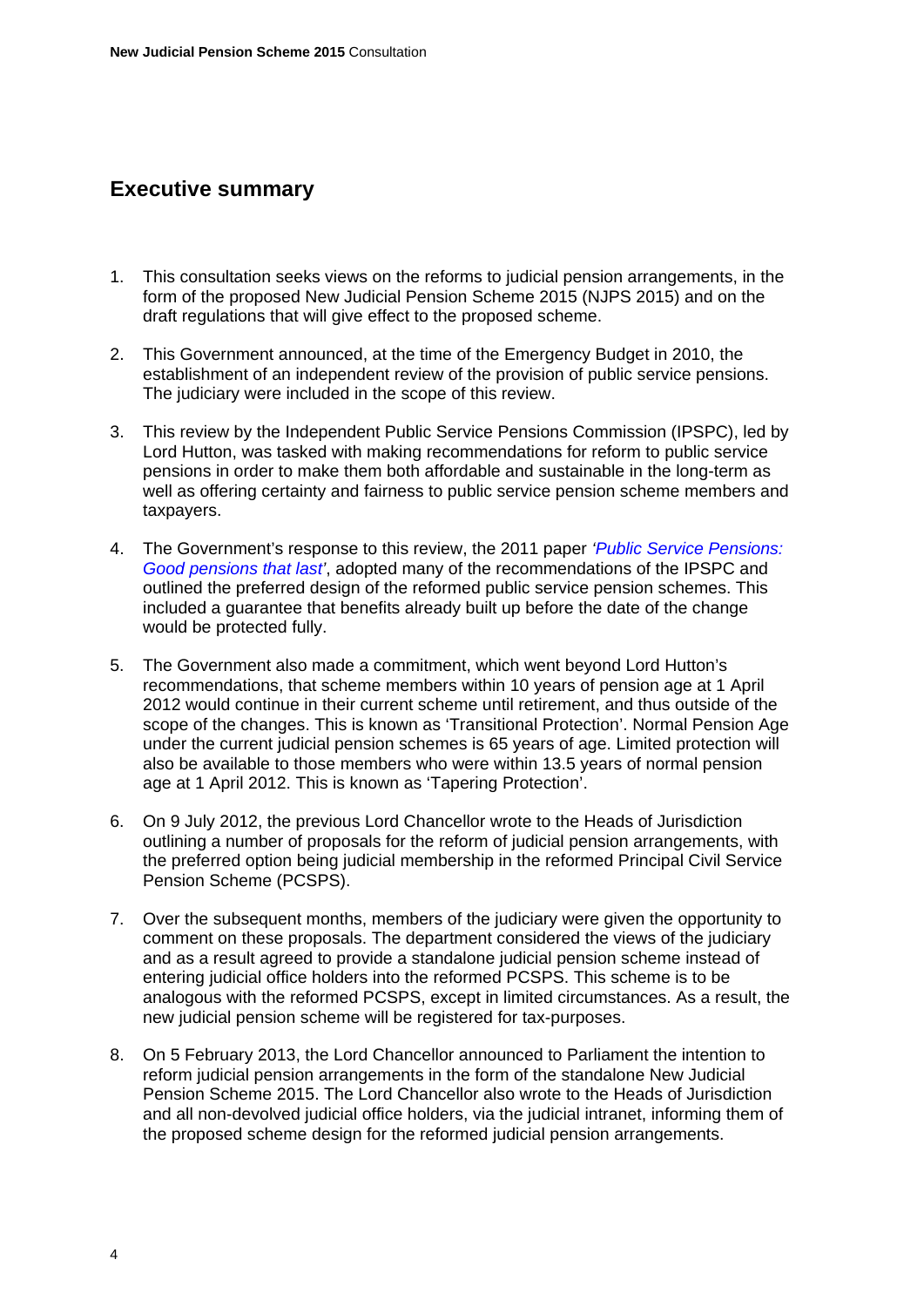## <span id="page-7-0"></span>**Executive summary**

- 1. This consultation seeks views on the reforms to judicial pension arrangements, in the form of the proposed New Judicial Pension Scheme 2015 (NJPS 2015) and on the draft regulations that will give effect to the proposed scheme.
- 2. This Government announced, at the time of the Emergency Budget in 2010, the establishment of an independent review of the provision of public service pensions. The judiciary were included in the scope of this review.
- 3. This review by the Independent Public Service Pensions Commission (IPSPC), led by Lord Hutton, was tasked with making recommendations for reform to public service pensions in order to make them both affordable and sustainable in the long-term as well as offering certainty and fairness to public service pension scheme members and taxpayers.
- 4. The Government's response to this review, the 2011 paper *'[Public Service Pensions:](https://www.gov.uk/government/uploads/system/uploads/attachment_data/file/205837/Public_Service_Pensions_-_good_pensions_that_last._Command_paper.pdf)  [Good pensions that last'](https://www.gov.uk/government/uploads/system/uploads/attachment_data/file/205837/Public_Service_Pensions_-_good_pensions_that_last._Command_paper.pdf)*, adopted many of the recommendations of the IPSPC and outlined the preferred design of the reformed public service pension schemes. This included a guarantee that benefits already built up before the date of the change would be protected fully.
- 5. The Government also made a commitment, which went beyond Lord Hutton's recommendations, that scheme members within 10 years of pension age at 1 April 2012 would continue in their current scheme until retirement, and thus outside of the scope of the changes. This is known as 'Transitional Protection'. Normal Pension Age under the current judicial pension schemes is 65 years of age. Limited protection will also be available to those members who were within 13.5 years of normal pension age at 1 April 2012. This is known as 'Tapering Protection'.
- 6. On 9 July 2012, the previous Lord Chancellor wrote to the Heads of Jurisdiction outlining a number of proposals for the reform of judicial pension arrangements, with the preferred option being judicial membership in the reformed Principal Civil Service Pension Scheme (PCSPS).
- 7. Over the subsequent months, members of the judiciary were given the opportunity to comment on these proposals. The department considered the views of the judiciary and as a result agreed to provide a standalone judicial pension scheme instead of entering judicial office holders into the reformed PCSPS. This scheme is to be analogous with the reformed PCSPS, except in limited circumstances. As a result, the new judicial pension scheme will be registered for tax-purposes.
- 8. On 5 February 2013, the Lord Chancellor announced to Parliament the intention to reform judicial pension arrangements in the form of the standalone New Judicial Pension Scheme 2015. The Lord Chancellor also wrote to the Heads of Jurisdiction and all non-devolved judicial office holders, via the judicial intranet, informing them of the proposed scheme design for the reformed judicial pension arrangements.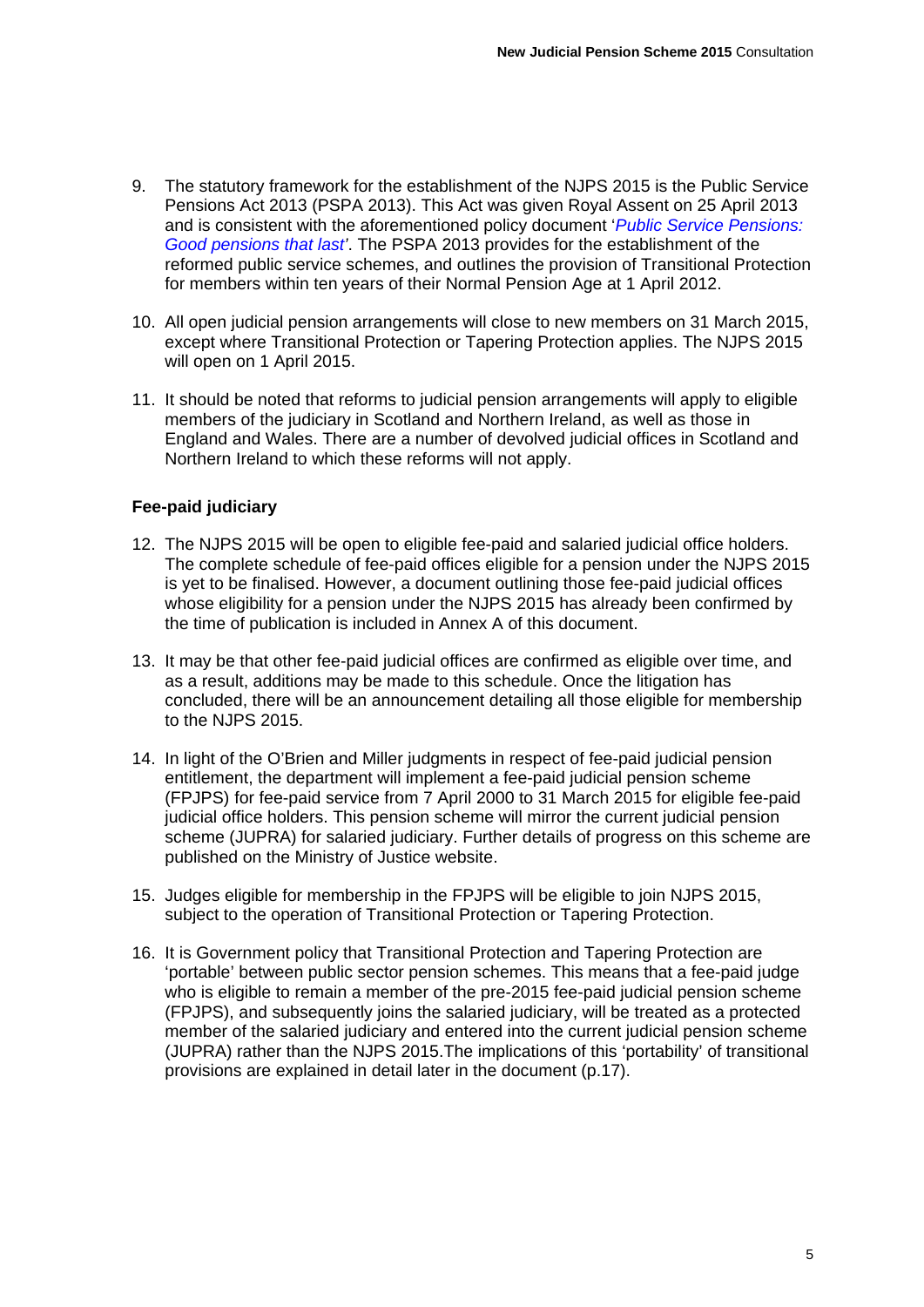- 9. The statutory framework for the establishment of the NJPS 2015 is the Public Service Pensions Act 2013 (PSPA 2013). This Act was given Royal Assent on 25 April 2013 and is consistent with the aforementioned policy document '*[Public Service Pensions:](https://www.gov.uk/government/uploads/system/uploads/attachment_data/file/205837/Public_Service_Pensions_-_good_pensions_that_last._Command_paper.pdf)  [Good pensions that last'](https://www.gov.uk/government/uploads/system/uploads/attachment_data/file/205837/Public_Service_Pensions_-_good_pensions_that_last._Command_paper.pdf)*. The PSPA 2013 provides for the establishment of the reformed public service schemes, and outlines the provision of Transitional Protection for members within ten years of their Normal Pension Age at 1 April 2012.
- 10. All open judicial pension arrangements will close to new members on 31 March 2015, except where Transitional Protection or Tapering Protection applies. The NJPS 2015 will open on 1 April 2015.
- 11. It should be noted that reforms to judicial pension arrangements will apply to eligible members of the judiciary in Scotland and Northern Ireland, as well as those in England and Wales. There are a number of devolved judicial offices in Scotland and Northern Ireland to which these reforms will not apply.

#### **Fee-paid judiciary**

- 12. The NJPS 2015 will be open to eligible fee-paid and salaried judicial office holders. The complete schedule of fee-paid offices eligible for a pension under the NJPS 2015 is yet to be finalised. However, a document outlining those fee-paid judicial offices whose eligibility for a pension under the NJPS 2015 has already been confirmed by the time of publication is included in Annex A of this document.
- 13. It may be that other fee-paid judicial offices are confirmed as eligible over time, and as a result, additions may be made to this schedule. Once the litigation has concluded, there will be an announcement detailing all those eligible for membership to the NJPS 2015.
- 14. In light of the O'Brien and Miller judgments in respect of fee-paid judicial pension entitlement, the department will implement a fee-paid judicial pension scheme (FPJPS) for fee-paid service from 7 April 2000 to 31 March 2015 for eligible fee-paid judicial office holders. This pension scheme will mirror the current judicial pension scheme (JUPRA) for salaried judiciary. Further details of progress on this scheme are published on the [Ministry of Justice website.](http://www.gov.uk/moj/)
- 15. Judges eligible for membership in the FPJPS will be eligible to join NJPS 2015, subject to the operation of Transitional Protection or Tapering Protection.
- 16. It is Government policy that Transitional Protection and Tapering Protection are 'portable' between public sector pension schemes. This means that a fee-paid judge who is eligible to remain a member of the pre-2015 fee-paid judicial pension scheme (FPJPS), and subsequently joins the salaried judiciary, will be treated as a protected member of the salaried judiciary and entered into the current judicial pension scheme (JUPRA) rather than the NJPS 2015.The implications of this 'portability' of transitional provisions are explained in detail later in the document (p.[17\)](#page-20-0).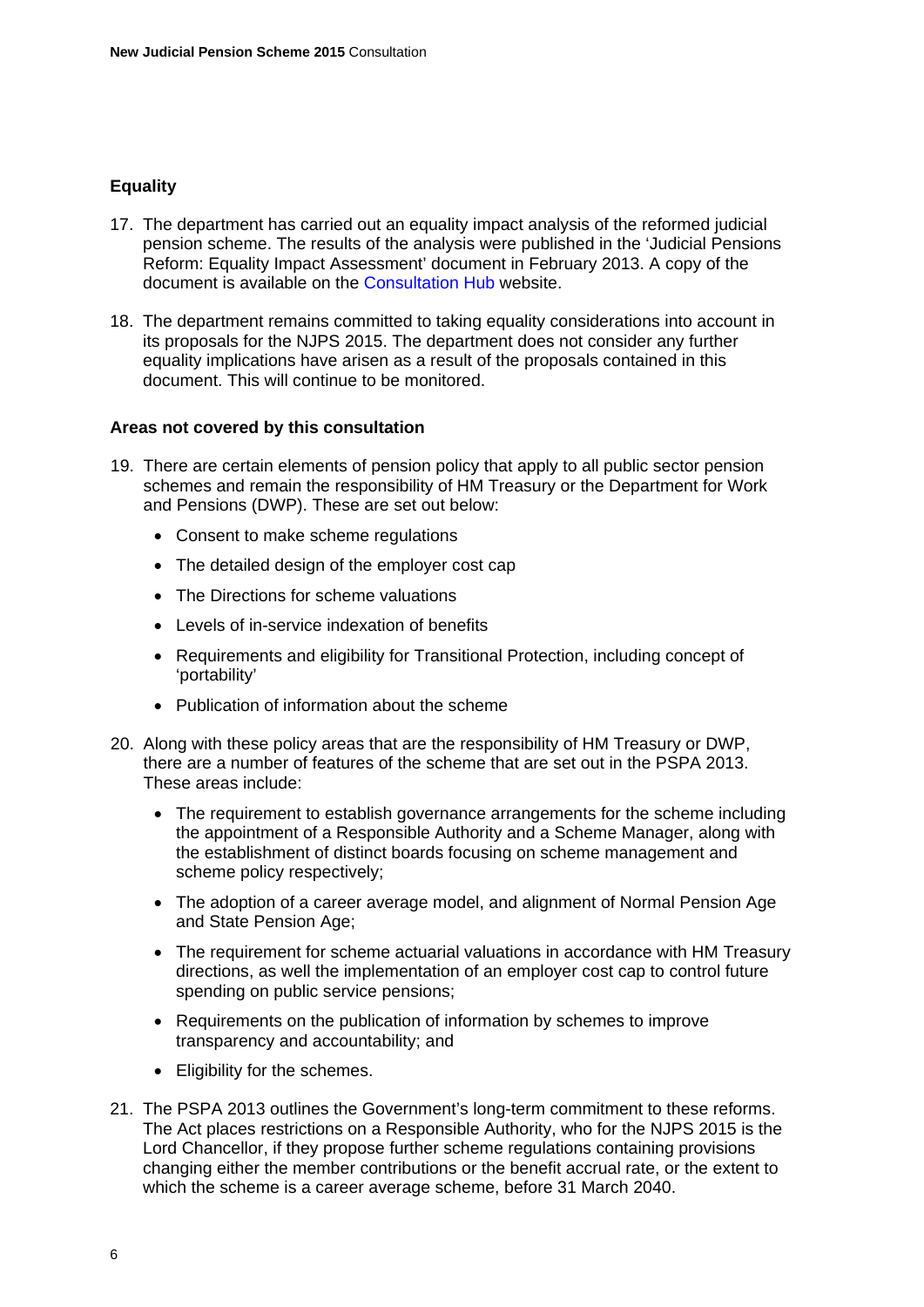#### **Equality**

- 17. The department has carried out an equality impact analysis of the reformed judicial pension scheme. The results of the analysis were published in the 'Judicial Pensions Reform: Equality Impact Assessment' document in February 2013. A copy of the document is available on the [Consultation Hub](https://consult.justice.gov.uk/digital-communications/judicial-pension-scheme-2015-consultation) website.
- 18. The department remains committed to taking equality considerations into account in its proposals for the NJPS 2015. The department does not consider any further equality implications have arisen as a result of the proposals contained in this document. This will continue to be monitored.

#### **Areas not covered by this consultation**

- 19. There are certain elements of pension policy that apply to all public sector pension schemes and remain the responsibility of HM Treasury or the Department for Work and Pensions (DWP). These are set out below:
	- Consent to make scheme regulations
	- The detailed design of the employer cost cap
	- The Directions for scheme valuations
	- Levels of in-service indexation of benefits
	- Requirements and eligibility for Transitional Protection, including concept of 'portability'
	- Publication of information about the scheme
- 20. Along with these policy areas that are the responsibility of HM Treasury or DWP, there are a number of features of the scheme that are set out in the PSPA 2013. These areas include:
	- The requirement to establish governance arrangements for the scheme including the appointment of a Responsible Authority and a Scheme Manager, along with the establishment of distinct boards focusing on scheme management and scheme policy respectively;
	- The adoption of a career average model, and alignment of Normal Pension Age and State Pension Age;
	- The requirement for scheme actuarial valuations in accordance with HM Treasury directions, as well the implementation of an employer cost cap to control future spending on public service pensions;
	- Requirements on the publication of information by schemes to improve transparency and accountability; and
	- Eligibility for the schemes.
- 21. The PSPA 2013 outlines the Government's long-term commitment to these reforms. The Act places restrictions on a Responsible Authority, who for the NJPS 2015 is the Lord Chancellor, if they propose further scheme regulations containing provisions changing either the member contributions or the benefit accrual rate, or the extent to which the scheme is a career average scheme, before 31 March 2040.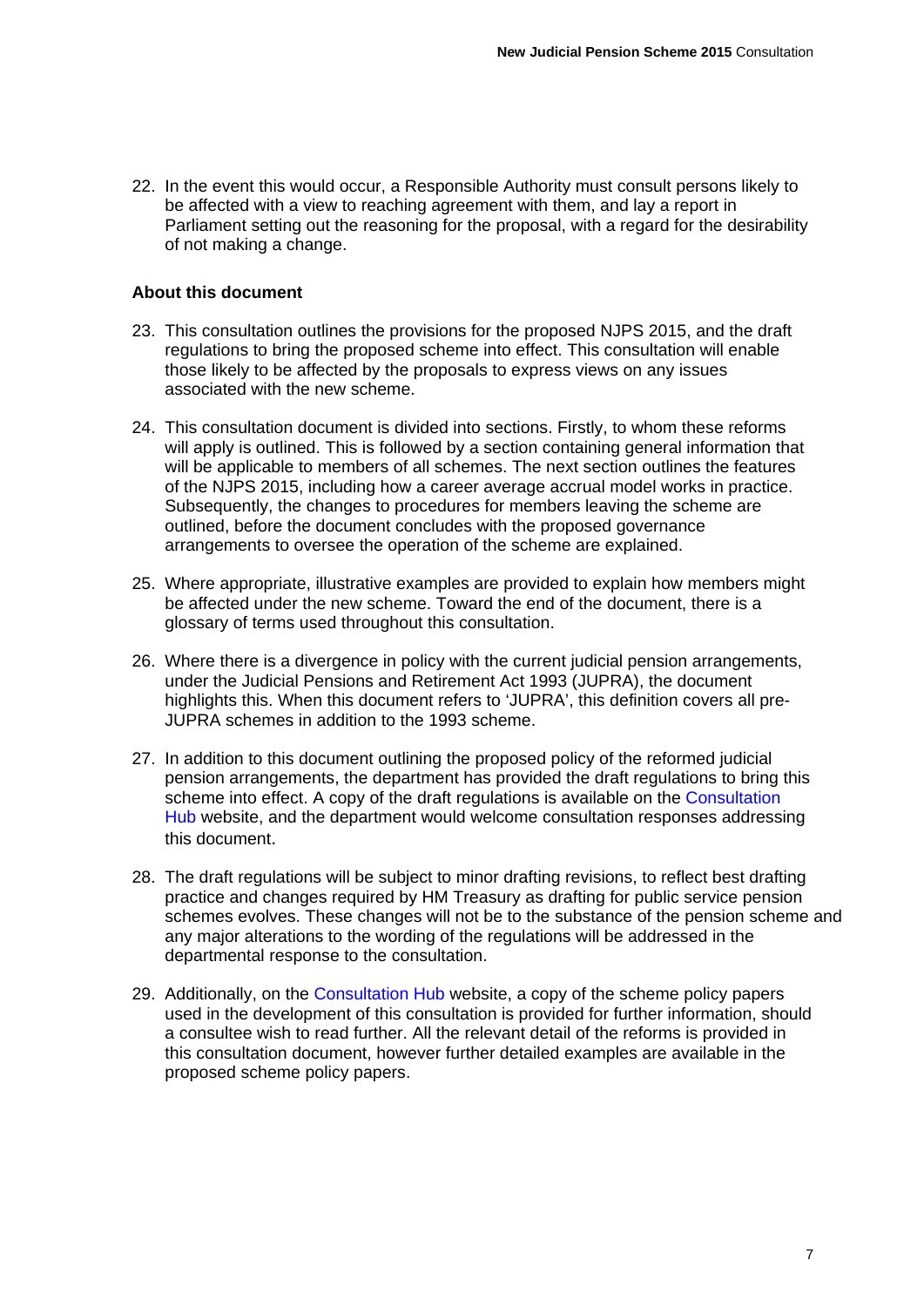22. In the event this would occur, a Responsible Authority must consult persons likely to be affected with a view to reaching agreement with them, and lay a report in Parliament setting out the reasoning for the proposal, with a regard for the desirability of not making a change.

#### **About this document**

- 23. This consultation outlines the provisions for the proposed NJPS 2015, and the draft regulations to bring the proposed scheme into effect. This consultation will enable those likely to be affected by the proposals to express views on any issues associated with the new scheme.
- 24. This consultation document is divided into sections. Firstly, to whom these reforms will apply is outlined. This is followed by a section containing general information that will be applicable to members of all schemes. The next section outlines the features of the NJPS 2015, including how a career average accrual model works in practice. Subsequently, the changes to procedures for members leaving the scheme are outlined, before the document concludes with the proposed governance arrangements to oversee the operation of the scheme are explained.
- 25. Where appropriate, illustrative examples are provided to explain how members might be affected under the new scheme. Toward the end of the document, there is a glossary of terms used throughout this consultation.
- 26. Where there is a divergence in policy with the current judicial pension arrangements, under the Judicial Pensions and Retirement Act 1993 (JUPRA), the document highlights this. When this document refers to 'JUPRA', this definition covers all pre-JUPRA schemes in addition to the 1993 scheme.
- 27. In addition to this document outlining the proposed policy of the reformed judicial pension arrangements, the department has provided the draft regulations to bring this scheme into effect. A copy of the draft regulations is available on the [Consultation](https://consult.justice.gov.uk/digital-communications/judicial-pension-scheme-2015-consultation)  [Hub](https://consult.justice.gov.uk/digital-communications/judicial-pension-scheme-2015-consultation) website, and the department would welcome consultation responses addressing this document.
- 28. The draft regulations will be subject to minor drafting revisions, to reflect best drafting practice and changes required by HM Treasury as drafting for public service pension schemes evolves. These changes will not be to the substance of the pension scheme and any major alterations to the wording of the regulations will be addressed in the departmental response to the consultation.
- 29. Additionally, on the [Consultation Hub](https://consult.justice.gov.uk/digital-communications/judicial-pension-scheme-2015-consultation) website, a copy of the scheme policy papers used in the development of this consultation is provided for further information, should a consultee wish to read further. All the relevant detail of the reforms is provided in this consultation document, however further detailed examples are available in the proposed scheme policy papers.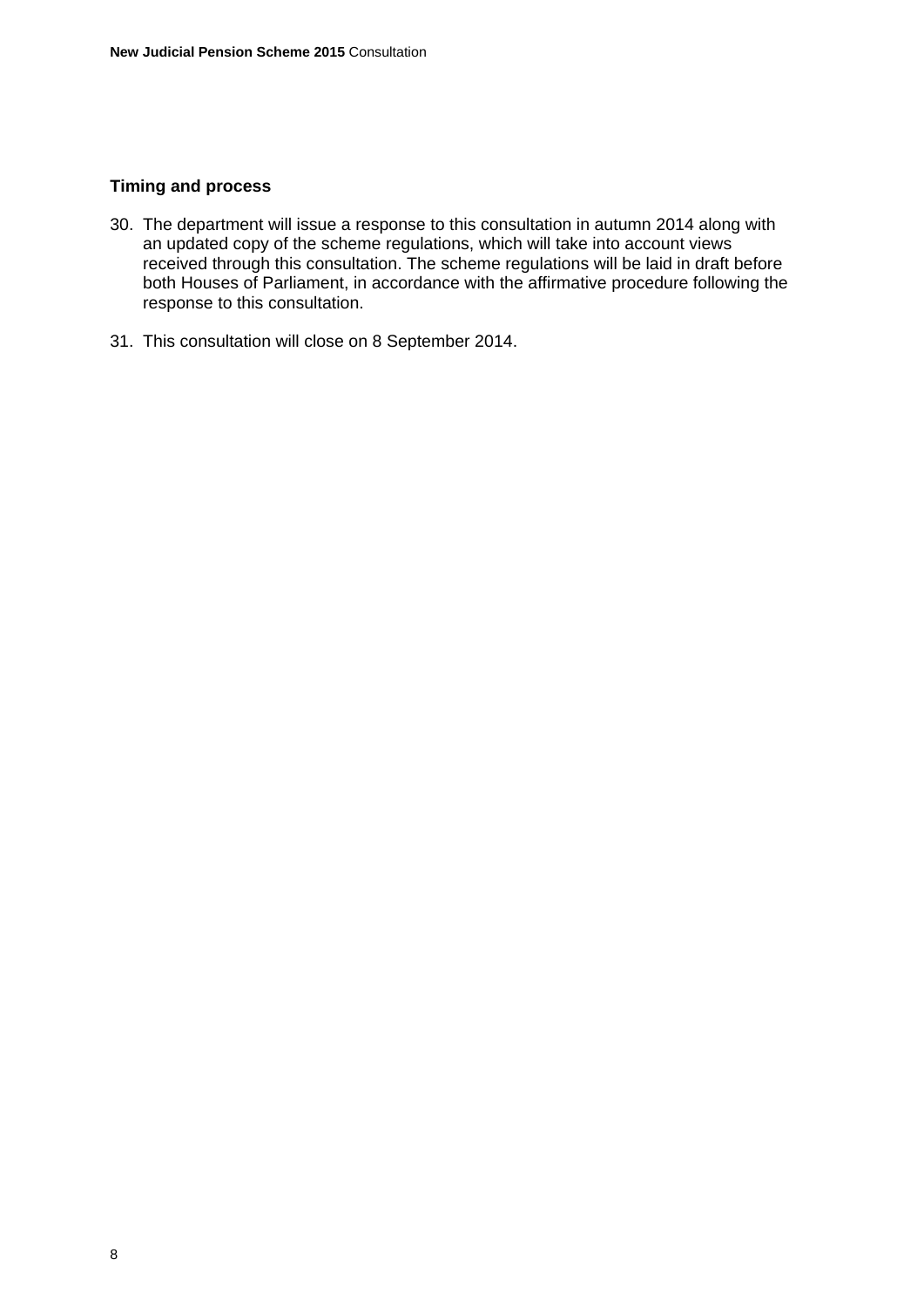#### **Timing and process**

- 30. The department will issue a response to this consultation in autumn 2014 along with an updated copy of the scheme regulations, which will take into account views received through this consultation. The scheme regulations will be laid in draft before both Houses of Parliament, in accordance with the affirmative procedure following the response to this consultation.
- 31. This consultation will close on 8 September 2014.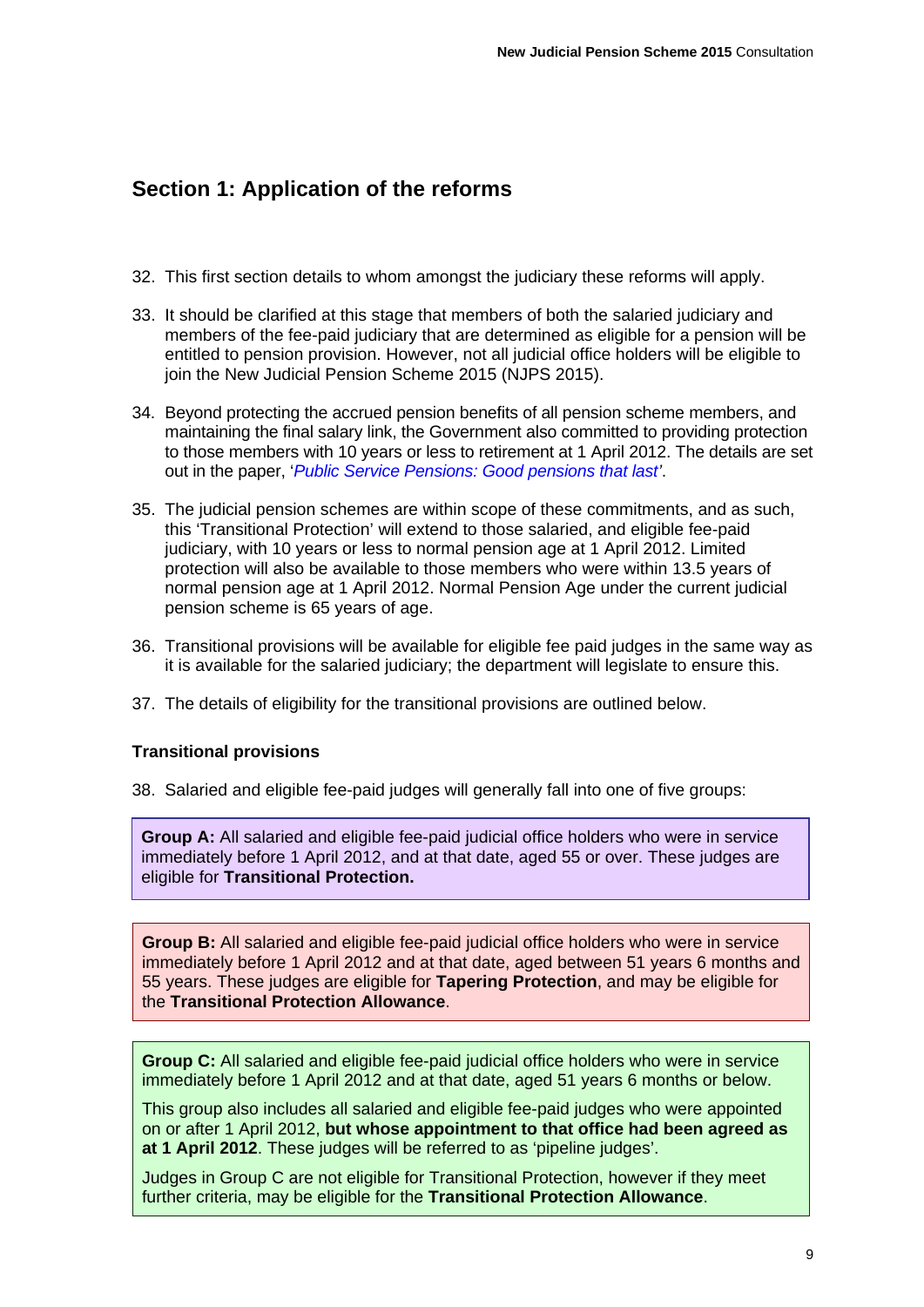## <span id="page-12-0"></span>**Section 1: Application of the reforms**

- 32. This first section details to whom amongst the judiciary these reforms will apply.
- 33. It should be clarified at this stage that members of both the salaried judiciary and members of the fee-paid judiciary that are determined as eligible for a pension will be entitled to pension provision. However, not all judicial office holders will be eligible to join the New Judicial Pension Scheme 2015 (NJPS 2015).
- 34. Beyond protecting the accrued pension benefits of all pension scheme members, and maintaining the final salary link, the Government also committed to providing protection to those members with 10 years or less to retirement at 1 April 2012. The details are set out in the paper, '*[Public Service Pensions: Good pensions that last](https://www.gov.uk/government/uploads/system/uploads/attachment_data/file/205837/Public_Service_Pensions_-_good_pensions_that_last._Command_paper.pdf)'*.
- 35. The judicial pension schemes are within scope of these commitments, and as such, this 'Transitional Protection' will extend to those salaried, and eligible fee-paid judiciary, with 10 years or less to normal pension age at 1 April 2012. Limited protection will also be available to those members who were within 13.5 years of normal pension age at 1 April 2012. Normal Pension Age under the current judicial pension scheme is 65 years of age.
- 36. Transitional provisions will be available for eligible fee paid judges in the same way as it is available for the salaried judiciary; the department will legislate to ensure this.
- 37. The details of eligibility for the transitional provisions are outlined below.

#### **Transitional provisions**

38. Salaried and eligible fee-paid judges will generally fall into one of five groups:

**Group A:** All salaried and eligible fee-paid judicial office holders who were in service immediately before 1 April 2012, and at that date, aged 55 or over. These judges are eligible for **Transitional Protection.**

**Group B:** All salaried and eligible fee-paid judicial office holders who were in service immediately before 1 April 2012 and at that date, aged between 51 years 6 months and 55 years. These judges are eligible for **Tapering Protection**, and may be eligible for the **Transitional Protection Allowance**.

**Group C:** All salaried and eligible fee-paid judicial office holders who were in service immediately before 1 April 2012 and at that date, aged 51 years 6 months or below.

This group also includes all salaried and eligible fee-paid judges who were appointed on or after 1 April 2012, **but whose appointment to that office had been agreed as at 1 April 2012**. These judges will be referred to as 'pipeline judges'.

Judges in Group C are not eligible for Transitional Protection, however if they meet further criteria, may be eligible for the **Transitional Protection Allowance**.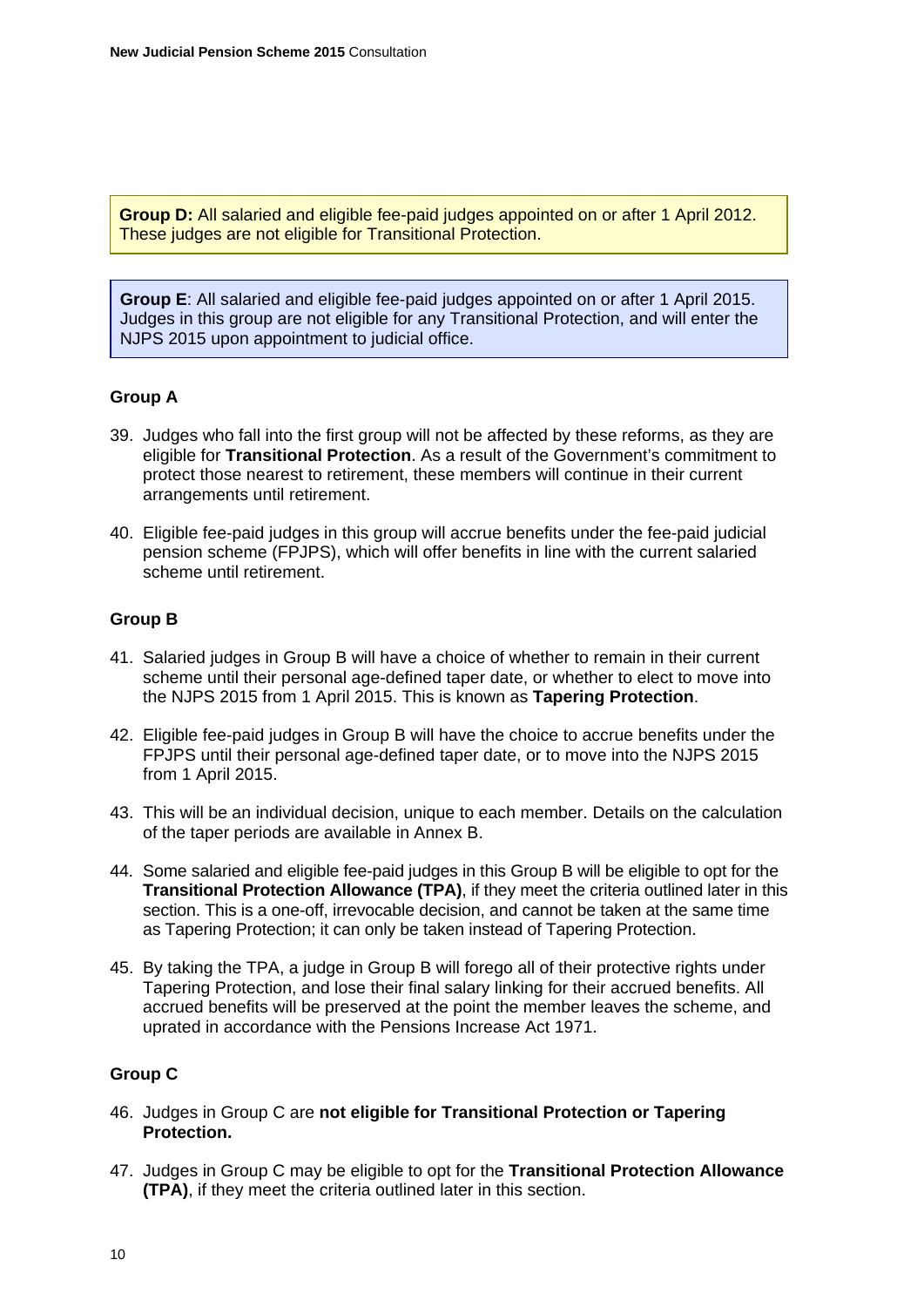**Group D:** All salaried and eligible fee-paid judges appointed on or after 1 April 2012. These judges are not eligible for Transitional Protection.

**Group E**: All salaried and eligible fee-paid judges appointed on or after 1 April 2015. Judges in this group are not eligible for any Transitional Protection, and will enter the NJPS 2015 upon appointment to judicial office.

#### **Group A**

- 39. Judges who fall into the first group will not be affected by these reforms, as they are eligible for **Transitional Protection**. As a result of the Government's commitment to protect those nearest to retirement, these members will continue in their current arrangements until retirement.
- 40. Eligible fee-paid judges in this group will accrue benefits under the fee-paid judicial pension scheme (FPJPS), which will offer benefits in line with the current salaried scheme until retirement.

#### **Group B**

- 41. Salaried judges in Group B will have a choice of whether to remain in their current scheme until their personal age-defined taper date, or whether to elect to move into the NJPS 2015 from 1 April 2015. This is known as **Tapering Protection**.
- 42. Eligible fee-paid judges in Group B will have the choice to accrue benefits under the FPJPS until their personal age-defined taper date, or to move into the NJPS 2015 from 1 April 2015.
- 43. This will be an individual decision, unique to each member. Details on the calculation of the taper periods are available in Annex B.
- 44. Some salaried and eligible fee-paid judges in this Group B will be eligible to opt for the **Transitional Protection Allowance (TPA)**, if they meet the criteria outlined later in this section. This is a one-off, irrevocable decision, and cannot be taken at the same time as Tapering Protection; it can only be taken instead of Tapering Protection.
- 45. By taking the TPA, a judge in Group B will forego all of their protective rights under Tapering Protection, and lose their final salary linking for their accrued benefits. All accrued benefits will be preserved at the point the member leaves the scheme, and uprated in accordance with the Pensions Increase Act 1971.

#### **Group C**

- 46. Judges in Group C are **not eligible for Transitional Protection or Tapering Protection.**
- 47. Judges in Group C may be eligible to opt for the **Transitional Protection Allowance (TPA)**, if they meet the criteria outlined later in this section.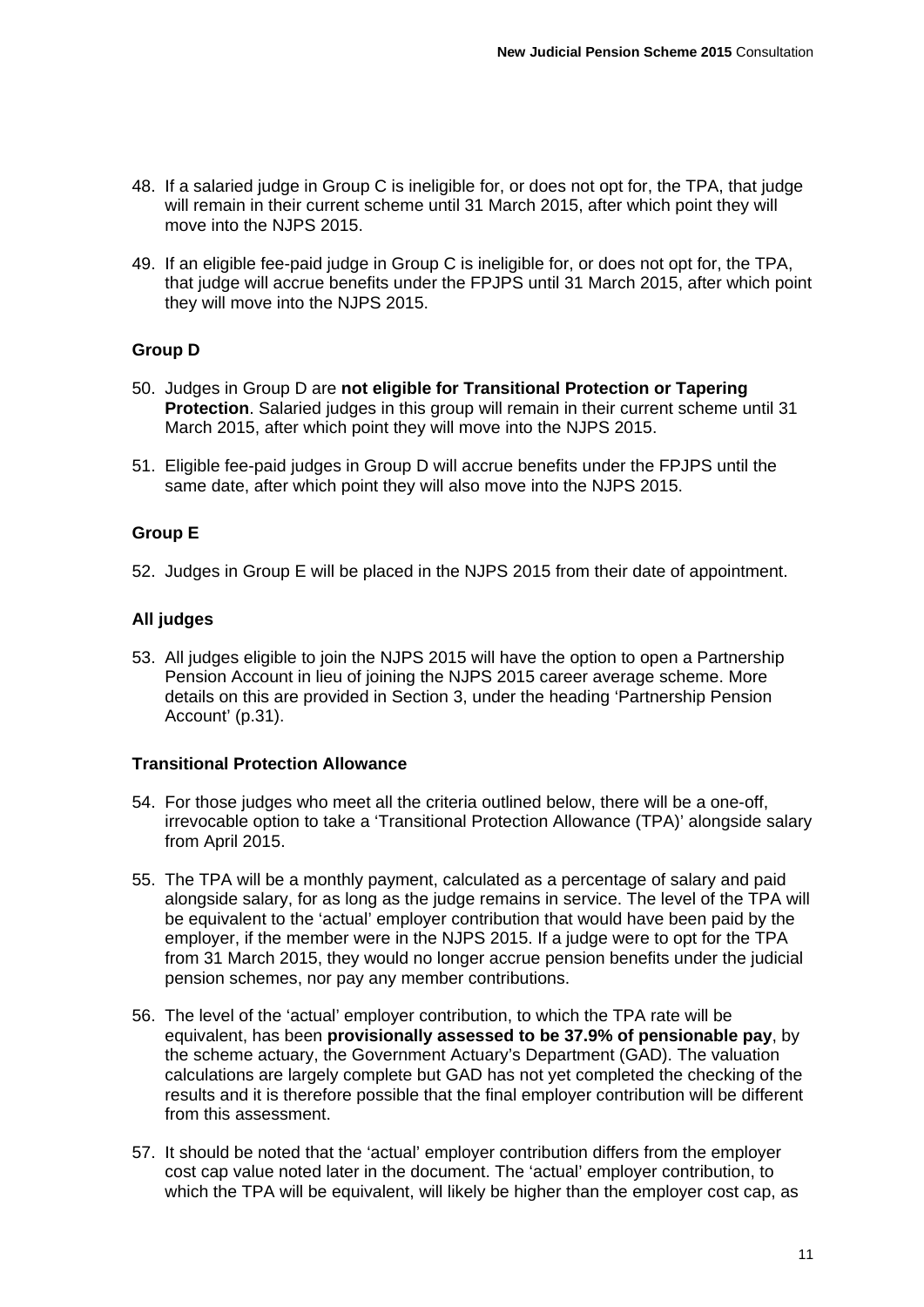- 48. If a salaried judge in Group C is ineligible for, or does not opt for, the TPA, that judge will remain in their current scheme until 31 March 2015, after which point they will move into the NJPS 2015.
- 49. If an eligible fee-paid judge in Group C is ineligible for, or does not opt for, the TPA, that judge will accrue benefits under the FPJPS until 31 March 2015, after which point they will move into the NJPS 2015.

#### **Group D**

- 50. Judges in Group D are **not eligible for Transitional Protection or Tapering Protection**. Salaried judges in this group will remain in their current scheme until 31 March 2015, after which point they will move into the NJPS 2015.
- 51. Eligible fee-paid judges in Group D will accrue benefits under the FPJPS until the same date, after which point they will also move into the NJPS 2015.

#### **Group E**

52. Judges in Group E will be placed in the NJPS 2015 from their date of appointment.

#### **All judges**

53. All judges eligible to join the NJPS 2015 will have the option to open a Partnership Pension Account in lieu of joining the NJPS 2015 career average scheme. More details on this are provided in Section 3, under the heading 'Partnership Pension Account' (p[.31\)](#page-34-0).

#### **Transitional Protection Allowance**

- 54. For those judges who meet all the criteria outlined below, there will be a one-off, irrevocable option to take a 'Transitional Protection Allowance (TPA)' alongside salary from April 2015.
- 55. The TPA will be a monthly payment, calculated as a percentage of salary and paid alongside salary, for as long as the judge remains in service. The level of the TPA will be equivalent to the 'actual' employer contribution that would have been paid by the employer, if the member were in the NJPS 2015. If a judge were to opt for the TPA from 31 March 2015, they would no longer accrue pension benefits under the judicial pension schemes, nor pay any member contributions.
- 56. The level of the 'actual' employer contribution, to which the TPA rate will be equivalent, has been **provisionally assessed to be 37.9% of pensionable pay**, by the scheme actuary, the Government Actuary's Department (GAD). The valuation calculations are largely complete but GAD has not yet completed the checking of the results and it is therefore possible that the final employer contribution will be different from this assessment.
- 57. It should be noted that the 'actual' employer contribution differs from the employer cost cap value noted later in the document. The 'actual' employer contribution, to which the TPA will be equivalent, will likely be higher than the employer cost cap, as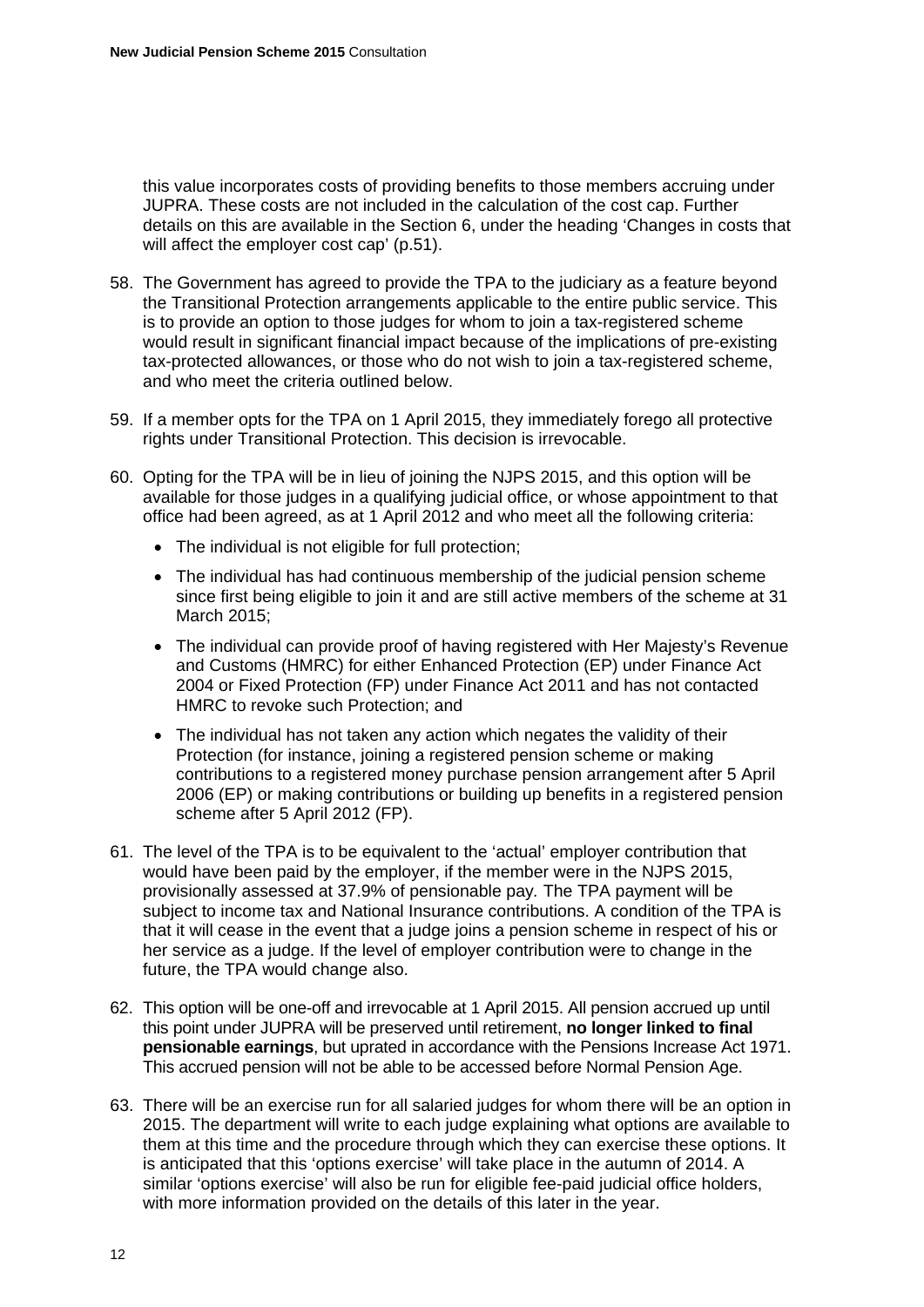this value incorporates costs of providing benefits to those members accruing under JUPRA. These costs are not included in the calculation of the cost cap. Further details on this are available in the Section 6, under the heading 'Changes in costs that will affect the employer cost cap' (p.51).

- 58. The Government has agreed to provide the TPA to the judiciary as a feature beyond the Transitional Protection arrangements applicable to the entire public service. This is to provide an option to those judges for whom to join a tax-registered scheme would result in significant financial impact because of the implications of pre-existing tax-protected allowances, or those who do not wish to join a tax-registered scheme, and who meet the criteria outlined below.
- 59. If a member opts for the TPA on 1 April 2015, they immediately forego all protective rights under Transitional Protection. This decision is irrevocable.
- 60. Opting for the TPA will be in lieu of joining the NJPS 2015, and this option will be available for those judges in a qualifying judicial office, or whose appointment to that office had been agreed, as at 1 April 2012 and who meet all the following criteria:
	- The individual is not eligible for full protection;
	- The individual has had continuous membership of the judicial pension scheme since first being eligible to join it and are still active members of the scheme at 31 March 2015;
	- The individual can provide proof of having registered with Her Majesty's Revenue and Customs (HMRC) for either Enhanced Protection (EP) under Finance Act 2004 or Fixed Protection (FP) under Finance Act 2011 and has not contacted HMRC to revoke such Protection; and
	- The individual has not taken any action which negates the validity of their Protection (for instance, joining a registered pension scheme or making contributions to a registered money purchase pension arrangement after 5 April 2006 (EP) or making contributions or building up benefits in a registered pension scheme after 5 April 2012 (FP).
- 61. The level of the TPA is to be equivalent to the 'actual' employer contribution that would have been paid by the employer, if the member were in the NJPS 2015, provisionally assessed at 37.9% of pensionable pay*.* The TPA payment will be subject to income tax and National Insurance contributions. A condition of the TPA is that it will cease in the event that a judge joins a pension scheme in respect of his or her service as a judge. If the level of employer contribution were to change in the future, the TPA would change also.
- 62. This option will be one-off and irrevocable at 1 April 2015. All pension accrued up until this point under JUPRA will be preserved until retirement, **no longer linked to final pensionable earnings**, but uprated in accordance with the Pensions Increase Act 1971. This accrued pension will not be able to be accessed before Normal Pension Age.
- 63. There will be an exercise run for all salaried judges for whom there will be an option in 2015. The department will write to each judge explaining what options are available to them at this time and the procedure through which they can exercise these options. It is anticipated that this 'options exercise' will take place in the autumn of 2014. A similar 'options exercise' will also be run for eligible fee-paid judicial office holders, with more information provided on the details of this later in the year.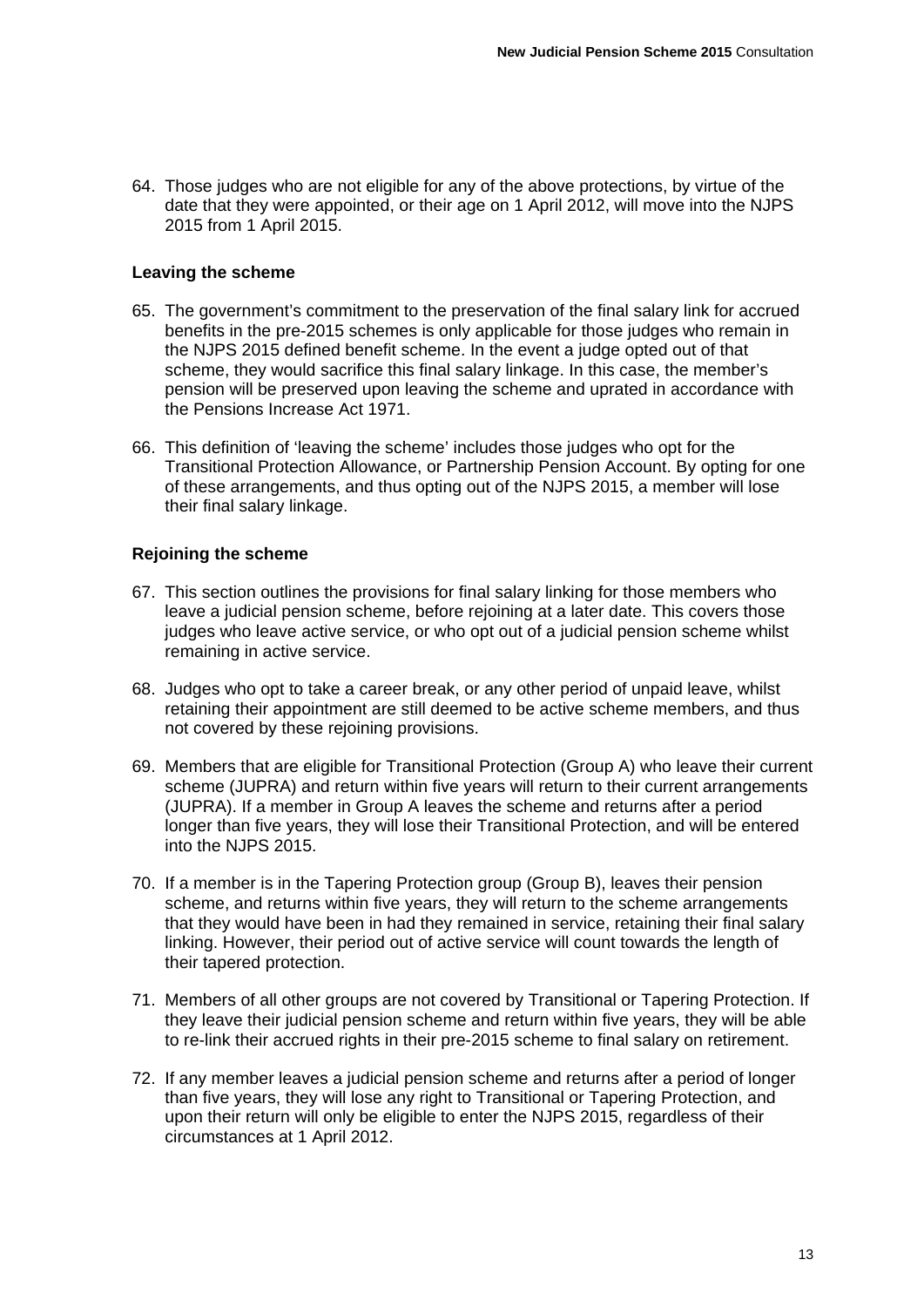64. Those judges who are not eligible for any of the above protections, by virtue of the date that they were appointed, or their age on 1 April 2012, will move into the NJPS 2015 from 1 April 2015.

#### **Leaving the scheme**

- 65. The government's commitment to the preservation of the final salary link for accrued benefits in the pre-2015 schemes is only applicable for those judges who remain in the NJPS 2015 defined benefit scheme. In the event a judge opted out of that scheme, they would sacrifice this final salary linkage. In this case, the member's pension will be preserved upon leaving the scheme and uprated in accordance with the Pensions Increase Act 1971.
- 66. This definition of 'leaving the scheme' includes those judges who opt for the Transitional Protection Allowance, or Partnership Pension Account. By opting for one of these arrangements, and thus opting out of the NJPS 2015, a member will lose their final salary linkage.

#### **Rejoining the scheme**

- 67. This section outlines the provisions for final salary linking for those members who leave a judicial pension scheme, before rejoining at a later date. This covers those judges who leave active service, or who opt out of a judicial pension scheme whilst remaining in active service.
- 68. Judges who opt to take a career break, or any other period of unpaid leave, whilst retaining their appointment are still deemed to be active scheme members, and thus not covered by these rejoining provisions.
- 69. Members that are eligible for Transitional Protection (Group A) who leave their current scheme (JUPRA) and return within five years will return to their current arrangements (JUPRA). If a member in Group A leaves the scheme and returns after a period longer than five years, they will lose their Transitional Protection, and will be entered into the NJPS 2015.
- 70. If a member is in the Tapering Protection group (Group B), leaves their pension scheme, and returns within five years, they will return to the scheme arrangements that they would have been in had they remained in service, retaining their final salary linking. However, their period out of active service will count towards the length of their tapered protection.
- 71. Members of all other groups are not covered by Transitional or Tapering Protection. If they leave their judicial pension scheme and return within five years, they will be able to re-link their accrued rights in their pre-2015 scheme to final salary on retirement.
- 72. If any member leaves a judicial pension scheme and returns after a period of longer than five years, they will lose any right to Transitional or Tapering Protection, and upon their return will only be eligible to enter the NJPS 2015, regardless of their circumstances at 1 April 2012.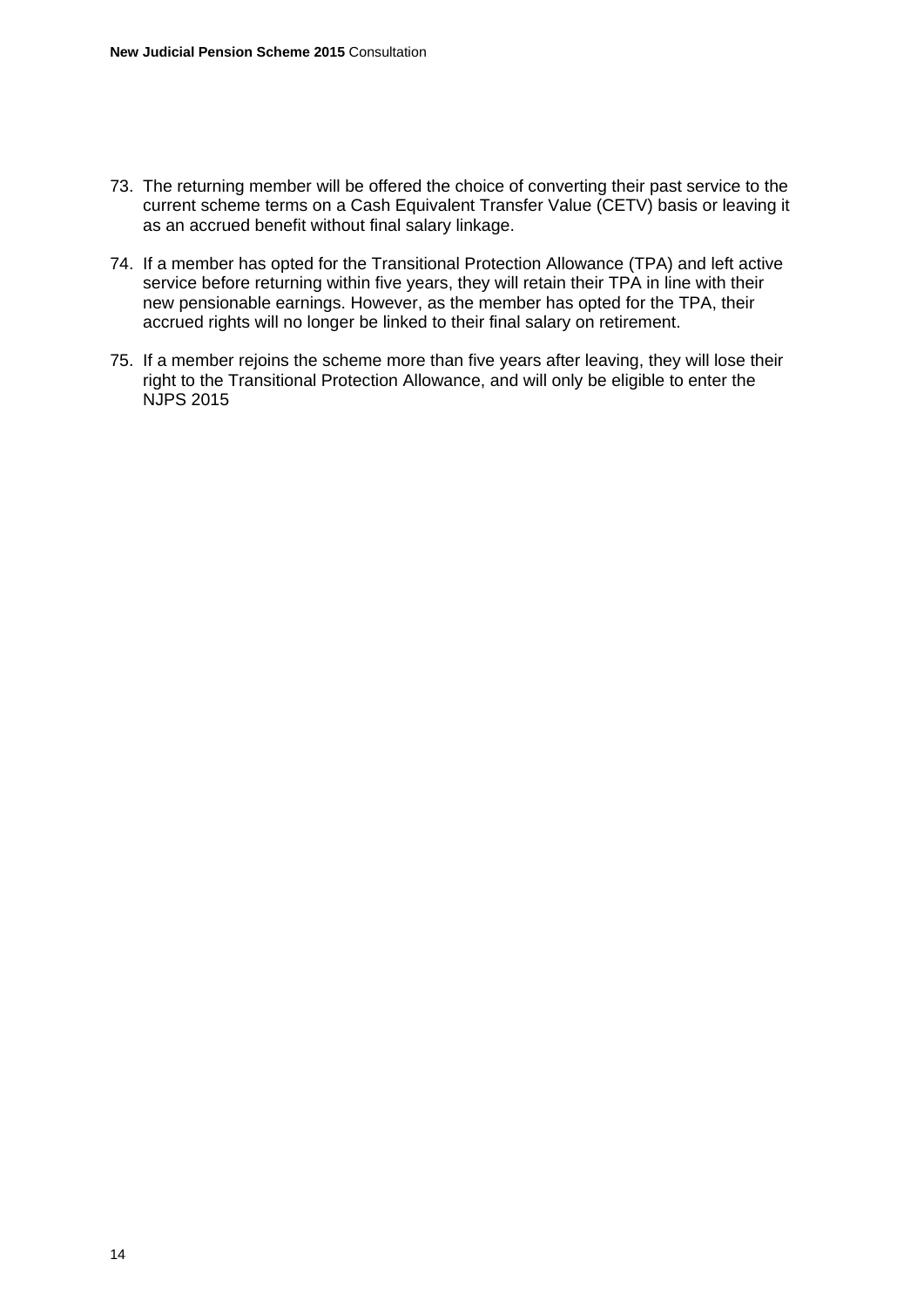- 73. The returning member will be offered the choice of converting their past service to the current scheme terms on a Cash Equivalent Transfer Value (CETV) basis or leaving it as an accrued benefit without final salary linkage.
- 74. If a member has opted for the Transitional Protection Allowance (TPA) and left active service before returning within five years, they will retain their TPA in line with their new pensionable earnings. However, as the member has opted for the TPA, their accrued rights will no longer be linked to their final salary on retirement.
- 75. If a member rejoins the scheme more than five years after leaving, they will lose their right to the Transitional Protection Allowance, and will only be eligible to enter the NJPS 2015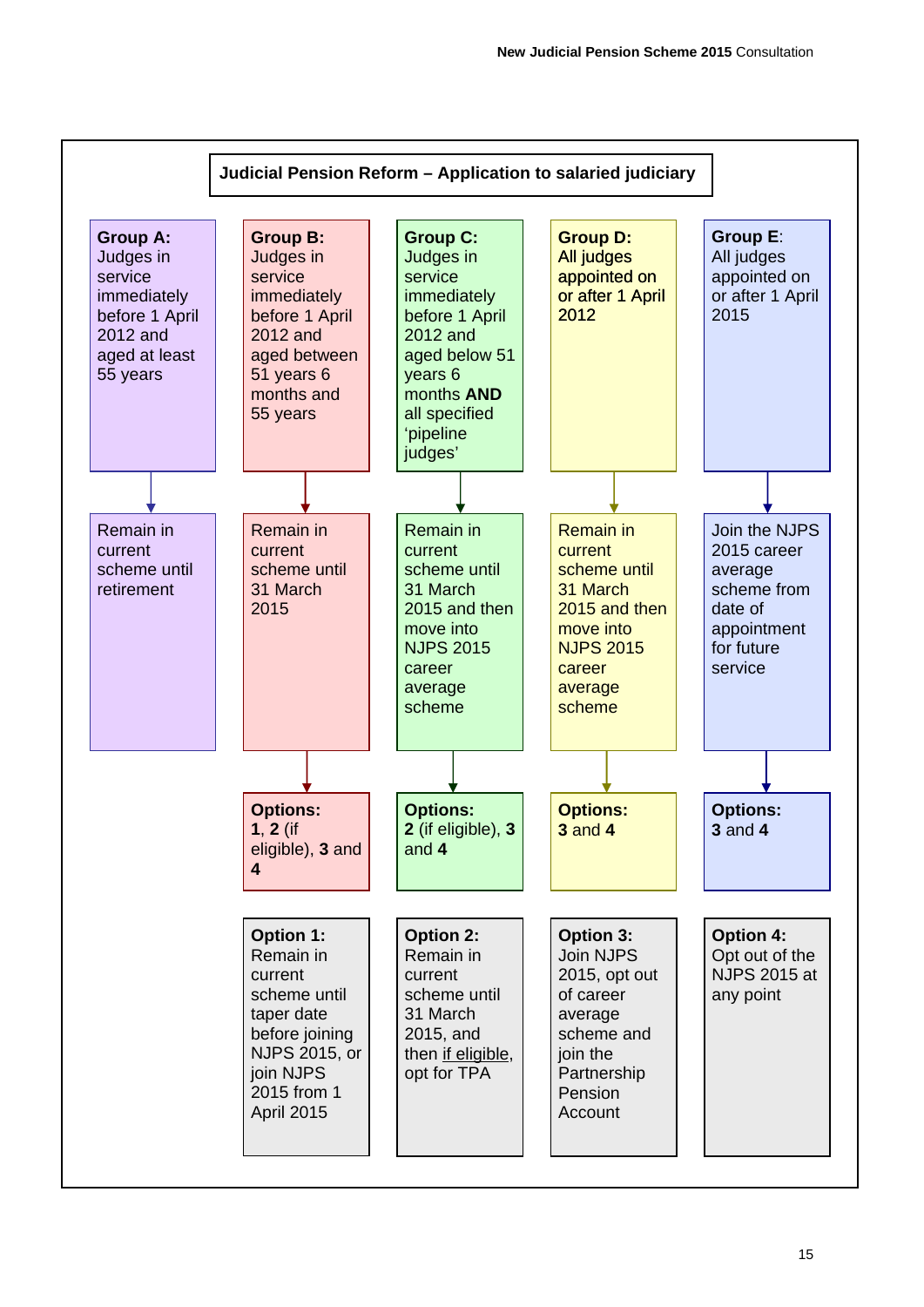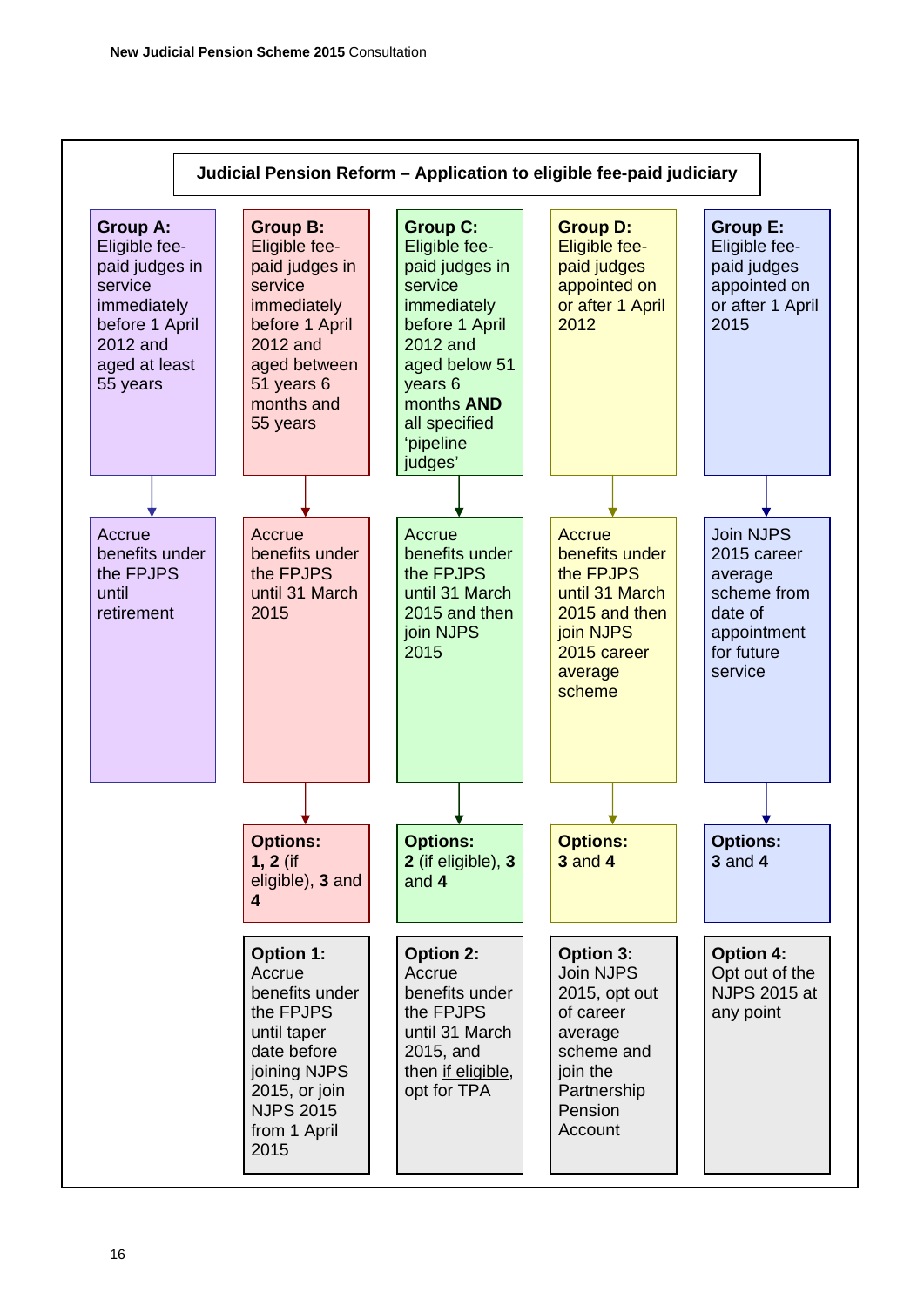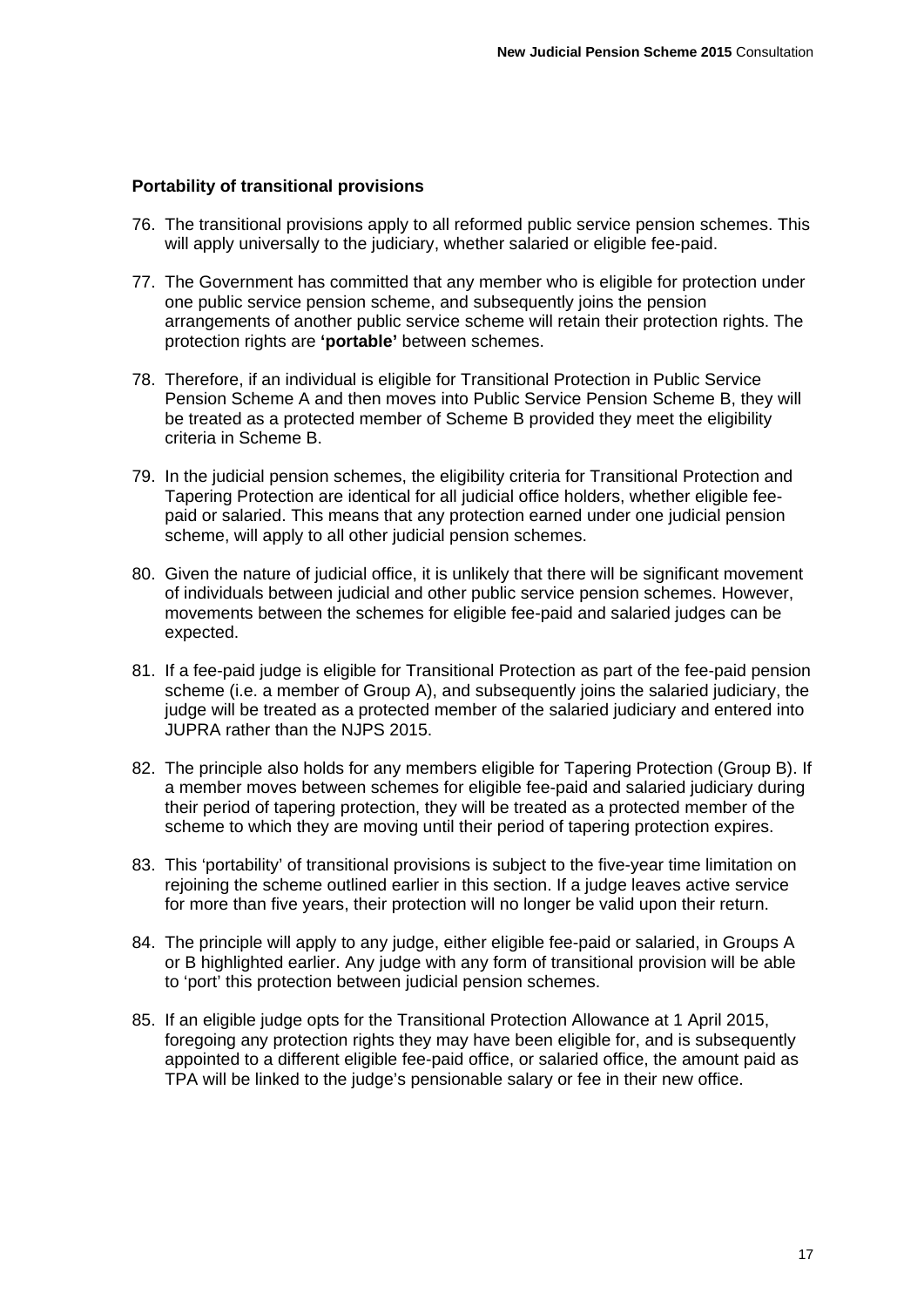#### **Portability of transitional provisions**

- 76. The transitional provisions apply to all reformed public service pension schemes. This will apply universally to the judiciary, whether salaried or eligible fee-paid.
- <span id="page-20-0"></span>77. The Government has committed that any member who is eligible for protection under one public service pension scheme, and subsequently joins the pension arrangements of another public service scheme will retain their protection rights. The protection rights are **'portable'** between schemes.
- 78. Therefore, if an individual is eligible for Transitional Protection in Public Service Pension Scheme A and then moves into Public Service Pension Scheme B, they will be treated as a protected member of Scheme B provided they meet the eligibility criteria in Scheme B.
- 79. In the judicial pension schemes, the eligibility criteria for Transitional Protection and Tapering Protection are identical for all judicial office holders, whether eligible feepaid or salaried. This means that any protection earned under one judicial pension scheme, will apply to all other judicial pension schemes.
- 80. Given the nature of judicial office, it is unlikely that there will be significant movement of individuals between judicial and other public service pension schemes. However, movements between the schemes for eligible fee-paid and salaried judges can be expected.
- 81. If a fee-paid judge is eligible for Transitional Protection as part of the fee-paid pension scheme (i.e. a member of Group A), and subsequently joins the salaried judiciary, the judge will be treated as a protected member of the salaried judiciary and entered into JUPRA rather than the NJPS 2015.
- 82. The principle also holds for any members eligible for Tapering Protection (Group B). If a member moves between schemes for eligible fee-paid and salaried judiciary during their period of tapering protection, they will be treated as a protected member of the scheme to which they are moving until their period of tapering protection expires.
- 83. This 'portability' of transitional provisions is subiect to the five-year time limitation on rejoining the scheme outlined earlier in this section. If a judge leaves active service for more than five years, their protection will no longer be valid upon their return.
- 84. The principle will apply to any judge, either eligible fee-paid or salaried, in Groups A or B highlighted earlier. Any judge with any form of transitional provision will be able to 'port' this protection between judicial pension schemes.
- 85. If an eligible judge opts for the Transitional Protection Allowance at 1 April 2015, foregoing any protection rights they may have been eligible for, and is subsequently appointed to a different eligible fee-paid office, or salaried office, the amount paid as TPA will be linked to the judge's pensionable salary or fee in their new office.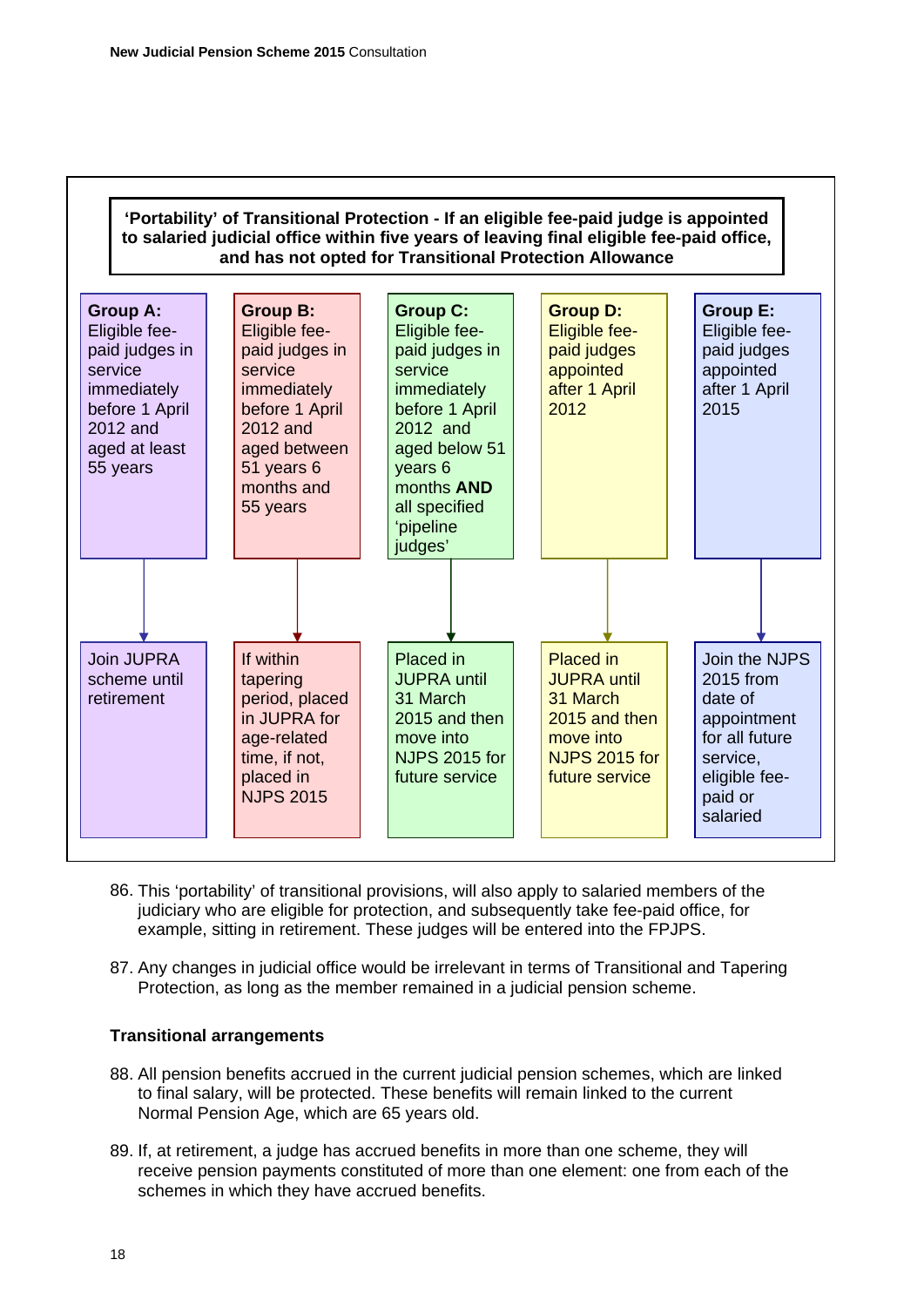#### **'Portability' of Transitional Protection - If an eligible fee-paid judge is appointed to salaried judicial office within five years of leaving final eligible fee-paid office, and has not opted for Transitional Protection Allowance**

| <b>Group A:</b><br>Eligible fee-<br>paid judges in<br>service<br>immediately<br>before 1 April<br>2012 and<br>aged at least<br>55 years | <b>Group B:</b><br>Eligible fee-<br>paid judges in<br>service<br>immediately<br>before 1 April<br>2012 and<br>aged between<br>51 years 6<br>months and<br>55 years | <b>Group C:</b><br>Eligible fee-<br>paid judges in<br>service<br>immediately<br>before 1 April<br>2012 and<br>aged below 51<br>years 6<br>months AND<br>all specified<br>'pipeline<br>judges' | <b>Group D:</b><br>Eligible fee-<br>paid judges<br>appointed<br>after 1 April<br>2012                               | <b>Group E:</b><br>Eligible fee-<br>paid judges<br>appointed<br>after 1 April<br>2015                                      |
|-----------------------------------------------------------------------------------------------------------------------------------------|--------------------------------------------------------------------------------------------------------------------------------------------------------------------|-----------------------------------------------------------------------------------------------------------------------------------------------------------------------------------------------|---------------------------------------------------------------------------------------------------------------------|----------------------------------------------------------------------------------------------------------------------------|
| <b>Join JUPRA</b><br>scheme until<br>retirement                                                                                         | If within<br>tapering<br>period, placed<br>in JUPRA for<br>age-related<br>time, if not,<br>placed in<br><b>NJPS 2015</b>                                           | Placed in<br><b>JUPRA until</b><br>31 March<br>2015 and then<br>move into<br><b>NJPS 2015 for</b><br>future service                                                                           | <b>Placed in</b><br><b>JUPRA until</b><br>31 March<br>2015 and then<br>move into<br>NJPS 2015 for<br>future service | Join the NJPS<br>2015 from<br>date of<br>appointment<br>for all future<br>service,<br>eligible fee-<br>paid or<br>salaried |

- 86. This 'portability' of transitional provisions, will also apply to salaried members of the judiciary who are eligible for protection, and subsequently take fee-paid office, for example, sitting in retirement. These judges will be entered into the FPJPS.
- 87. Any changes in judicial office would be irrelevant in terms of Transitional and Tapering Protection, as long as the member remained in a judicial pension scheme.

#### **Transitional arrangements**

- 88. All pension benefits accrued in the current judicial pension schemes, which are linked to final salary, will be protected. These benefits will remain linked to the current Normal Pension Age, which are 65 years old.
- 89. If, at retirement, a judge has accrued benefits in more than one scheme, they will receive pension payments constituted of more than one element: one from each of the schemes in which they have accrued benefits.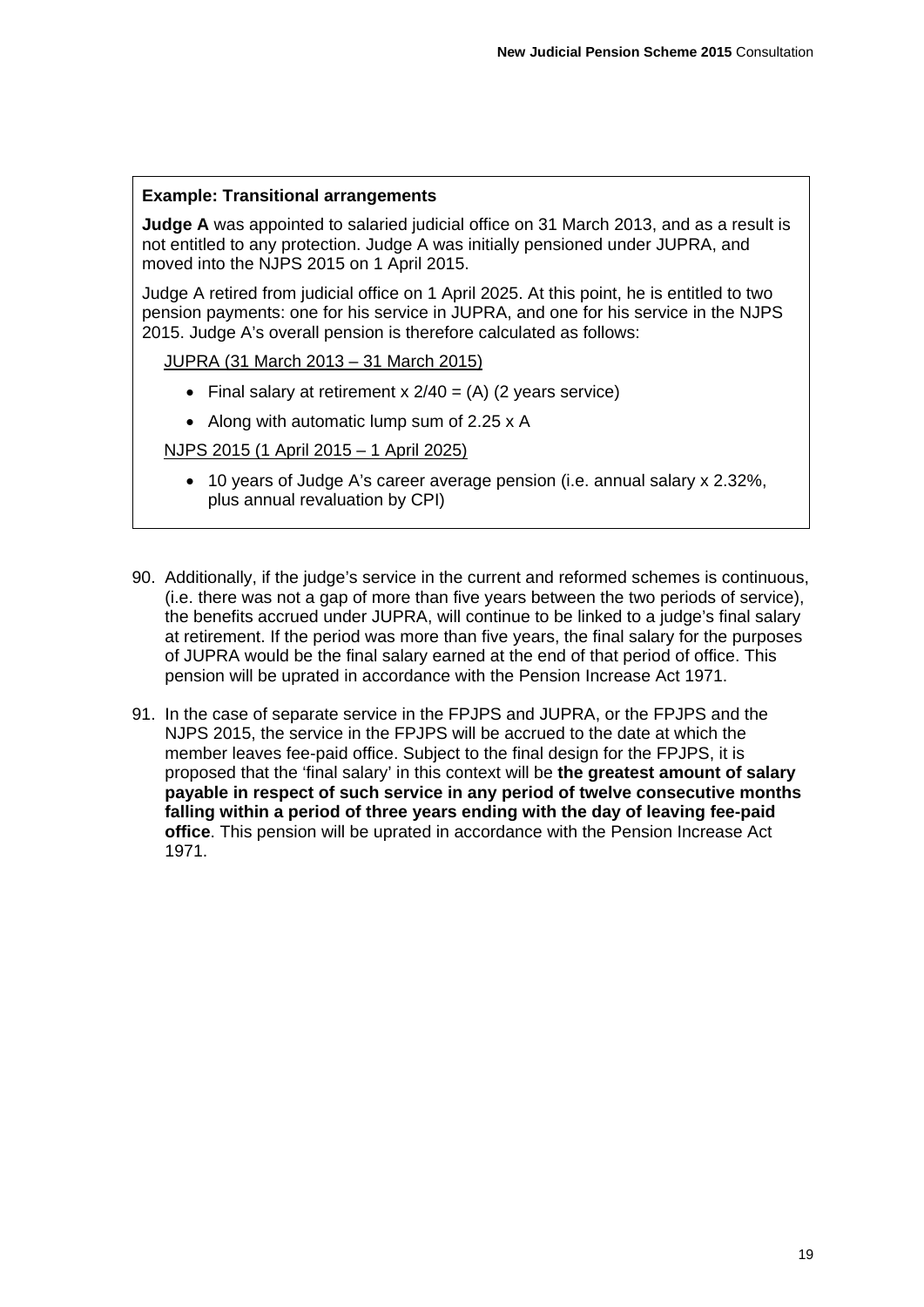#### **Example: Transitional arrangements**

**Judge A** was appointed to salaried judicial office on 31 March 2013, and as a result is not entitled to any protection. Judge A was initially pensioned under JUPRA, and moved into the NJPS 2015 on 1 April 2015.

Judge A retired from judicial office on 1 April 2025. At this point, he is entitled to two pension payments: one for his service in JUPRA, and one for his service in the NJPS 2015. Judge A's overall pension is therefore calculated as follows:

JUPRA (31 March 2013 – 31 March 2015)

- Final salary at retirement x  $2/40 = (A)$  (2 years service)
- Along with automatic lump sum of 2.25 x A

NJPS 2015 (1 April 2015 – 1 April 2025)

- 10 years of Judge A's career average pension (i.e. annual salary x 2.32%, plus annual revaluation by CPI)
- 90. Additionally, if the judge's service in the current and reformed schemes is continuous, (i.e. there was not a gap of more than five years between the two periods of service), the benefits accrued under JUPRA, will continue to be linked to a judge's final salary at retirement. If the period was more than five years, the final salary for the purposes of JUPRA would be the final salary earned at the end of that period of office. This pension will be uprated in accordance with the Pension Increase Act 1971.
- 91. In the case of separate service in the FPJPS and JUPRA, or the FPJPS and the NJPS 2015, the service in the FPJPS will be accrued to the date at which the member leaves fee-paid office. Subject to the final design for the FPJPS, it is proposed that the 'final salary' in this context will be **the greatest amount of salary payable in respect of such service in any period of twelve consecutive months falling within a period of three years ending with the day of leaving fee-paid office**. This pension will be uprated in accordance with the Pension Increase Act 1971.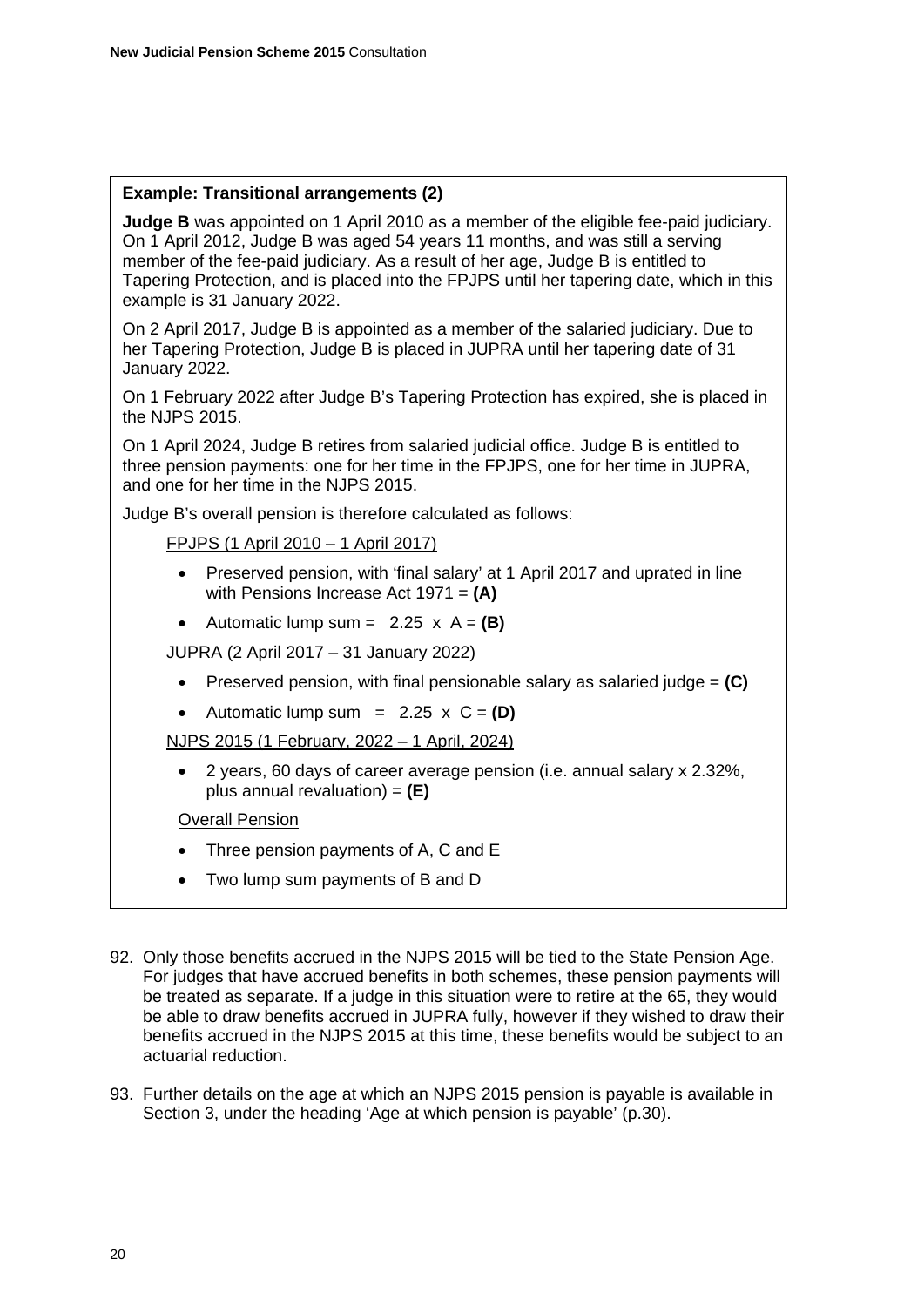#### **Example: Transitional arrangements (2)**

**Judge B** was appointed on 1 April 2010 as a member of the eligible fee-paid judiciary. On 1 April 2012, Judge B was aged 54 years 11 months, and was still a serving member of the fee-paid judiciary. As a result of her age, Judge B is entitled to Tapering Protection, and is placed into the FPJPS until her tapering date, which in this example is 31 January 2022.

On 2 April 2017, Judge B is appointed as a member of the salaried judiciary. Due to her Tapering Protection, Judge B is placed in JUPRA until her tapering date of 31 January 2022.

On 1 February 2022 after Judge B's Tapering Protection has expired, she is placed in the NJPS 2015.

On 1 April 2024, Judge B retires from salaried judicial office. Judge B is entitled to three pension payments: one for her time in the FPJPS, one for her time in JUPRA, and one for her time in the NJPS 2015.

Judge B's overall pension is therefore calculated as follows:

FPJPS (1 April 2010 – 1 April 2017)

- Preserved pension, with 'final salary' at 1 April 2017 and uprated in line with Pensions Increase Act 1971 = **(A)**
- Automatic lump sum  $= 2.25 \times A = (B)$

JUPRA (2 April 2017 – 31 January 2022)

- Preserved pension, with final pensionable salary as salaried judge = **(C)**
- Automatic lump sum  $= 2.25 \times C = (D)$

NJPS 2015 (1 February, 2022 – 1 April, 2024)

 2 years, 60 days of career average pension (i.e. annual salary x 2.32%, plus annual revaluation) = **(E)**

Overall Pension

- Three pension payments of A, C and E
- Two lump sum payments of B and D
- 92. Only those benefits accrued in the NJPS 2015 will be tied to the State Pension Age. For judges that have accrued benefits in both schemes, these pension payments will be treated as separate. If a judge in this situation were to retire at the 65, they would be able to draw benefits accrued in JUPRA fully, however if they wished to draw their benefits accrued in the NJPS 2015 at this time, these benefits would be subject to an actuarial reduction.
- 93. Further details on the age at which an NJPS 2015 pension is payable is available in Section 3, under the heading 'Age at which pension is payable' (p.[30\)](#page-33-0).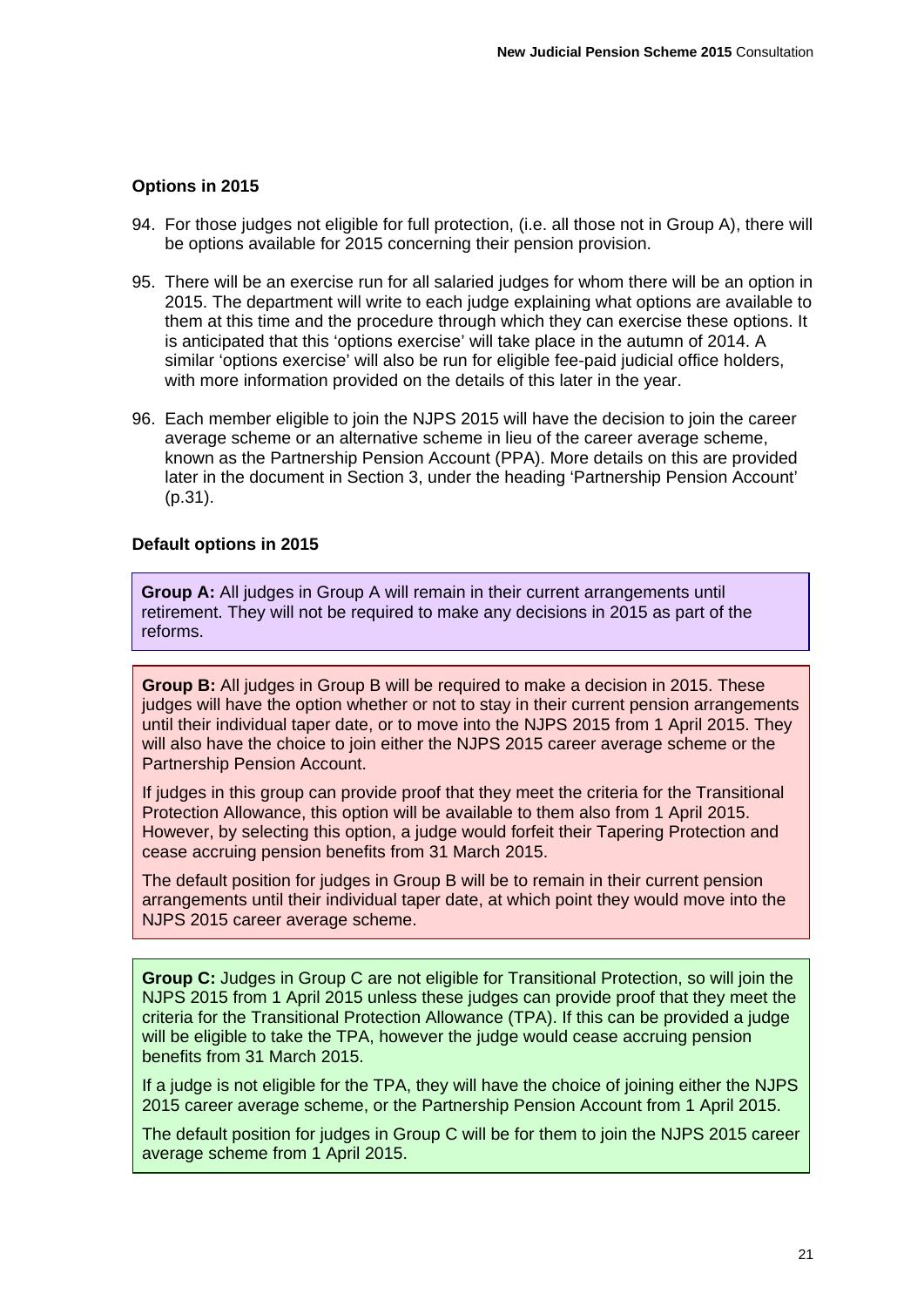#### **Options in 2015**

- <span id="page-24-0"></span>94. For those judges not eligible for full protection, (i.e. all those not in Group A), there will be options available for 2015 concerning their pension provision.
- 95. There will be an exercise run for all salaried judges for whom there will be an option in 2015. The department will write to each judge explaining what options are available to them at this time and the procedure through which they can exercise these options. It is anticipated that this 'options exercise' will take place in the autumn of 2014. A similar 'options exercise' will also be run for eligible fee-paid judicial office holders, with more information provided on the details of this later in the year.
- 96. Each member eligible to join the NJPS 2015 will have the decision to join the career average scheme or an alternative scheme in lieu of the career average scheme, known as the Partnership Pension Account (PPA). More details on this are provided later in the document in Section 3, under the heading 'Partnership Pension Account' (p[.31](#page-34-0)).

#### **Default options in 2015**

**Group A:** All judges in Group A will remain in their current arrangements until retirement. They will not be required to make any decisions in 2015 as part of the reforms.

**Group B:** All judges in Group B will be required to make a decision in 2015. These judges will have the option whether or not to stay in their current pension arrangements until their individual taper date, or to move into the NJPS 2015 from 1 April 2015. They will also have the choice to join either the NJPS 2015 career average scheme or the Partnership Pension Account.

If judges in this group can provide proof that they meet the criteria for the Transitional Protection Allowance, this option will be available to them also from 1 April 2015. However, by selecting this option, a judge would forfeit their Tapering Protection and cease accruing pension benefits from 31 March 2015.

The default position for judges in Group B will be to remain in their current pension arrangements until their individual taper date, at which point they would move into the NJPS 2015 career average scheme.

**Group C:** Judges in Group C are not eligible for Transitional Protection, so will join the NJPS 2015 from 1 April 2015 unless these judges can provide proof that they meet the criteria for the Transitional Protection Allowance (TPA). If this can be provided a judge will be eligible to take the TPA, however the judge would cease accruing pension benefits from 31 March 2015.

If a judge is not eligible for the TPA, they will have the choice of joining either the NJPS 2015 career average scheme, or the Partnership Pension Account from 1 April 2015.

The default position for judges in Group C will be for them to join the NJPS 2015 career average scheme from 1 April 2015.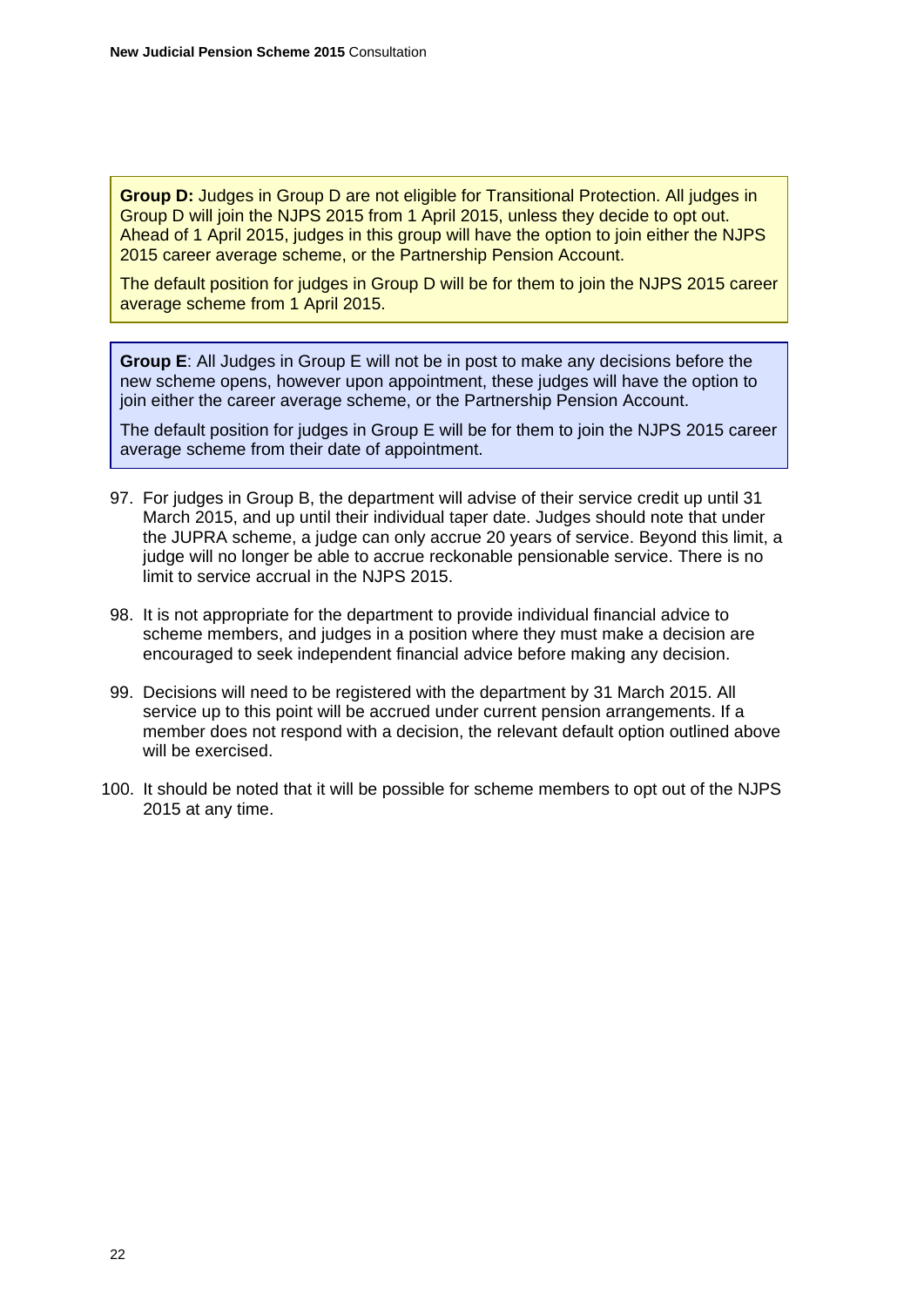**Group D:** Judges in Group D are not eligible for Transitional Protection. All judges in Group D will join the NJPS 2015 from 1 April 2015, unless they decide to opt out. Ahead of 1 April 2015, judges in this group will have the option to join either the NJPS 2015 career average scheme, or the Partnership Pension Account.

The default position for judges in Group D will be for them to join the NJPS 2015 career average scheme from 1 April 2015.

**Group E**: All Judges in Group E will not be in post to make any decisions before the new scheme opens, however upon appointment, these judges will have the option to join either the career average scheme, or the Partnership Pension Account.

The default position for judges in Group E will be for them to join the NJPS 2015 career average scheme from their date of appointment.

- 97. For judges in Group B, the department will advise of their service credit up until 31 March 2015, and up until their individual taper date. Judges should note that under the JUPRA scheme, a judge can only accrue 20 years of service. Beyond this limit, a judge will no longer be able to accrue reckonable pensionable service. There is no limit to service accrual in the NJPS 2015.
- 98. It is not appropriate for the department to provide individual financial advice to scheme members, and judges in a position where they must make a decision are encouraged to seek independent financial advice before making any decision.
- 99. Decisions will need to be registered with the department by 31 March 2015. All service up to this point will be accrued under current pension arrangements. If a member does not respond with a decision, the relevant default option outlined above will be exercised.
- 100. It should be noted that it will be possible for scheme members to opt out of the NJPS 2015 at any time.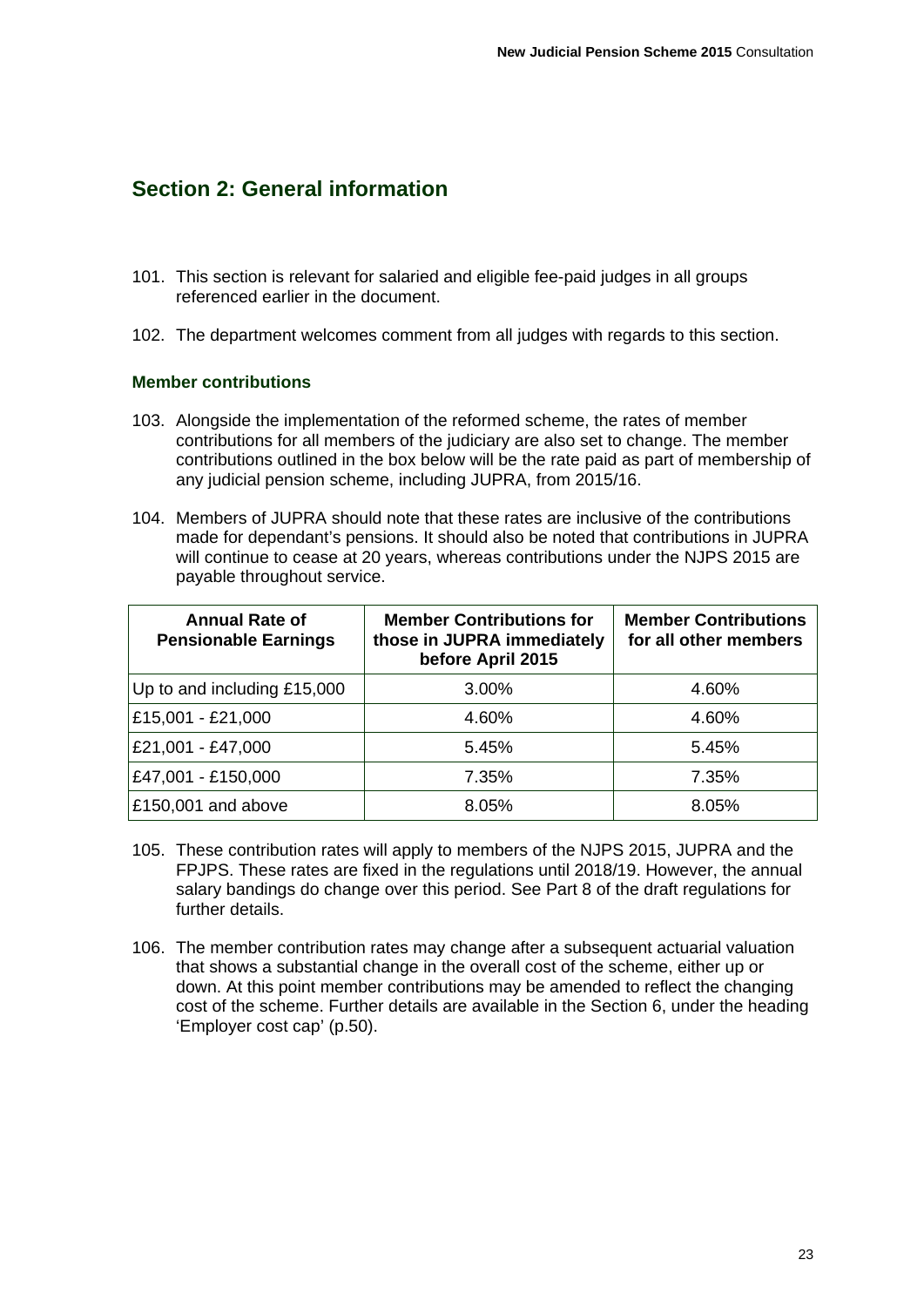## <span id="page-26-0"></span>**Section 2: General information**

- 101. This section is relevant for salaried and eligible fee-paid judges in all groups referenced earlier in the document.
- 102. The department welcomes comment from all judges with regards to this section.

#### **Member contributions**

- 103. Alongside the implementation of the reformed scheme, the rates of member contributions for all members of the judiciary are also set to change. The member contributions outlined in the box below will be the rate paid as part of membership of any judicial pension scheme, including JUPRA, from 2015/16.
- 104. Members of JUPRA should note that these rates are inclusive of the contributions made for dependant's pensions. It should also be noted that contributions in JUPRA will continue to cease at 20 years, whereas contributions under the NJPS 2015 are payable throughout service.

| <b>Annual Rate of</b><br><b>Pensionable Earnings</b> | <b>Member Contributions for</b><br>those in JUPRA immediately<br>before April 2015 | <b>Member Contributions</b><br>for all other members |
|------------------------------------------------------|------------------------------------------------------------------------------------|------------------------------------------------------|
| Up to and including £15,000                          | 3.00%                                                                              | 4.60%                                                |
| £15,001 - £21,000                                    | 4.60%                                                                              | 4.60%                                                |
| £21,001 - £47,000                                    | 5.45%                                                                              | 5.45%                                                |
| £47,001 - £150,000                                   | 7.35%                                                                              | 7.35%                                                |
| £150,001 and above                                   | 8.05%                                                                              | 8.05%                                                |

- 105. These contribution rates will apply to members of the NJPS 2015, JUPRA and the FPJPS. These rates are fixed in the regulations until 2018/19. However, the annual salary bandings do change over this period. See Part 8 of the draft regulations for further details.
- 106. The member contribution rates may change after a subsequent actuarial valuation that shows a substantial change in the overall cost of the scheme, either up or down. At this point member contributions may be amended to reflect the changing cost of the scheme. Further details are available in the Section 6, under the heading 'Employer cost cap' (p.[50](#page-53-0)).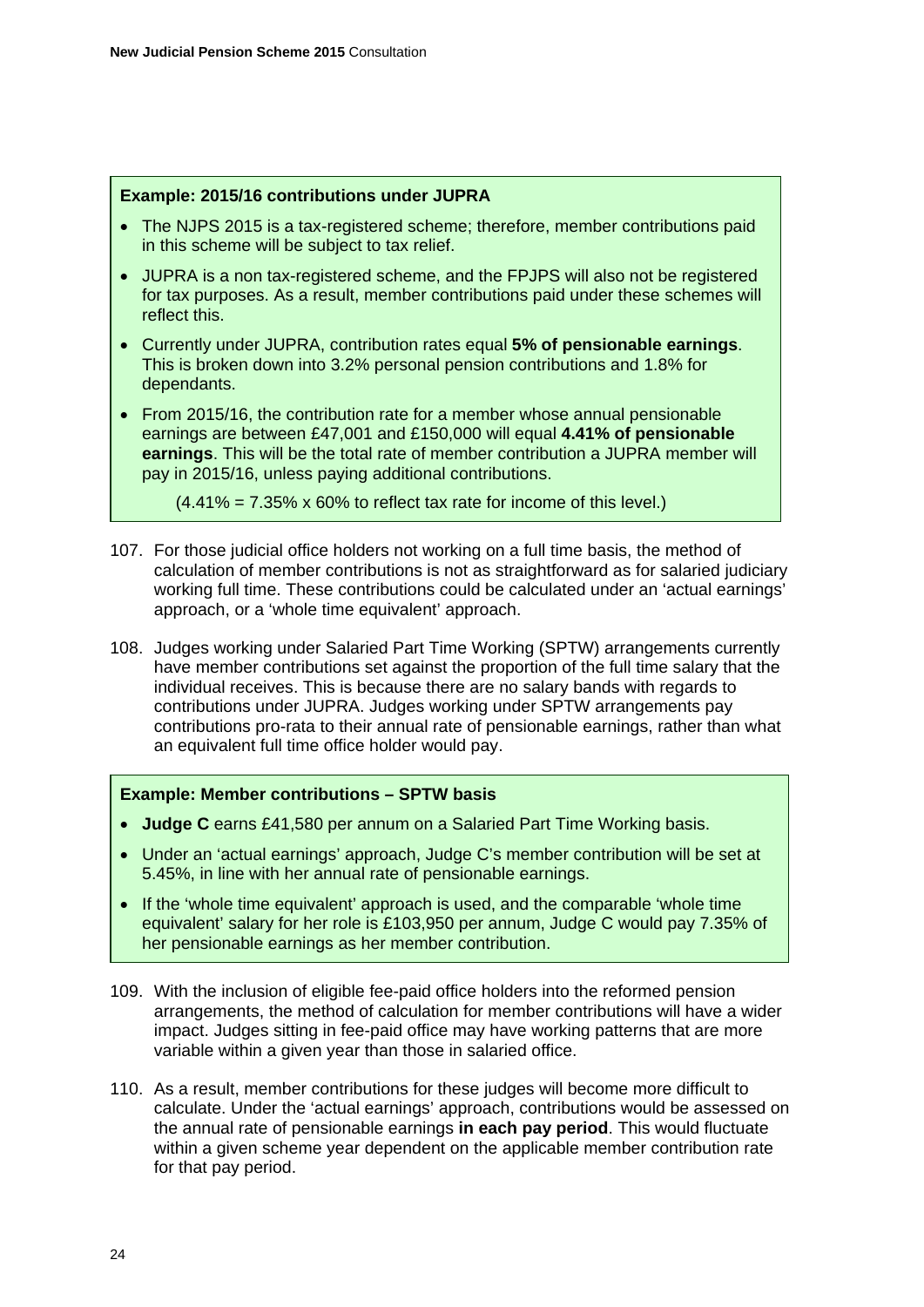#### **Example: 2015/16 contributions under JUPRA**

- The NJPS 2015 is a tax-registered scheme; therefore, member contributions paid in this scheme will be subject to tax relief.
- JUPRA is a non tax-registered scheme, and the FPJPS will also not be registered for tax purposes. As a result, member contributions paid under these schemes will reflect this.
- Currently under JUPRA, contribution rates equal **5% of pensionable earnings**. This is broken down into 3.2% personal pension contributions and 1.8% for dependants.
- From 2015/16, the contribution rate for a member whose annual pensionable earnings are between £47,001 and £150,000 will equal **4.41% of pensionable earnings**. This will be the total rate of member contribution a JUPRA member will pay in 2015/16, unless paying additional contributions.

```
(4.41\% = 7.35\% \times 60\% to reflect tax rate for income of this level.)
```
- 107. For those judicial office holders not working on a full time basis, the method of calculation of member contributions is not as straightforward as for salaried judiciary working full time. These contributions could be calculated under an 'actual earnings' approach, or a 'whole time equivalent' approach.
- 108. Judges working under Salaried Part Time Working (SPTW) arrangements currently have member contributions set against the proportion of the full time salary that the individual receives. This is because there are no salary bands with regards to contributions under JUPRA. Judges working under SPTW arrangements pay contributions pro-rata to their annual rate of pensionable earnings, rather than what an equivalent full time office holder would pay.

#### **Example: Member contributions – SPTW basis**

- **Judge C** earns £41,580 per annum on a Salaried Part Time Working basis.
- Under an 'actual earnings' approach, Judge C's member contribution will be set at 5.45%, in line with her annual rate of pensionable earnings.
- If the 'whole time equivalent' approach is used, and the comparable 'whole time equivalent' salary for her role is £103,950 per annum, Judge C would pay 7.35% of her pensionable earnings as her member contribution.
- 109. With the inclusion of eligible fee-paid office holders into the reformed pension arrangements, the method of calculation for member contributions will have a wider impact. Judges sitting in fee-paid office may have working patterns that are more variable within a given year than those in salaried office.
- 110. As a result, member contributions for these judges will become more difficult to calculate. Under the 'actual earnings' approach, contributions would be assessed on the annual rate of pensionable earnings **in each pay period**. This would fluctuate within a given scheme year dependent on the applicable member contribution rate for that pay period.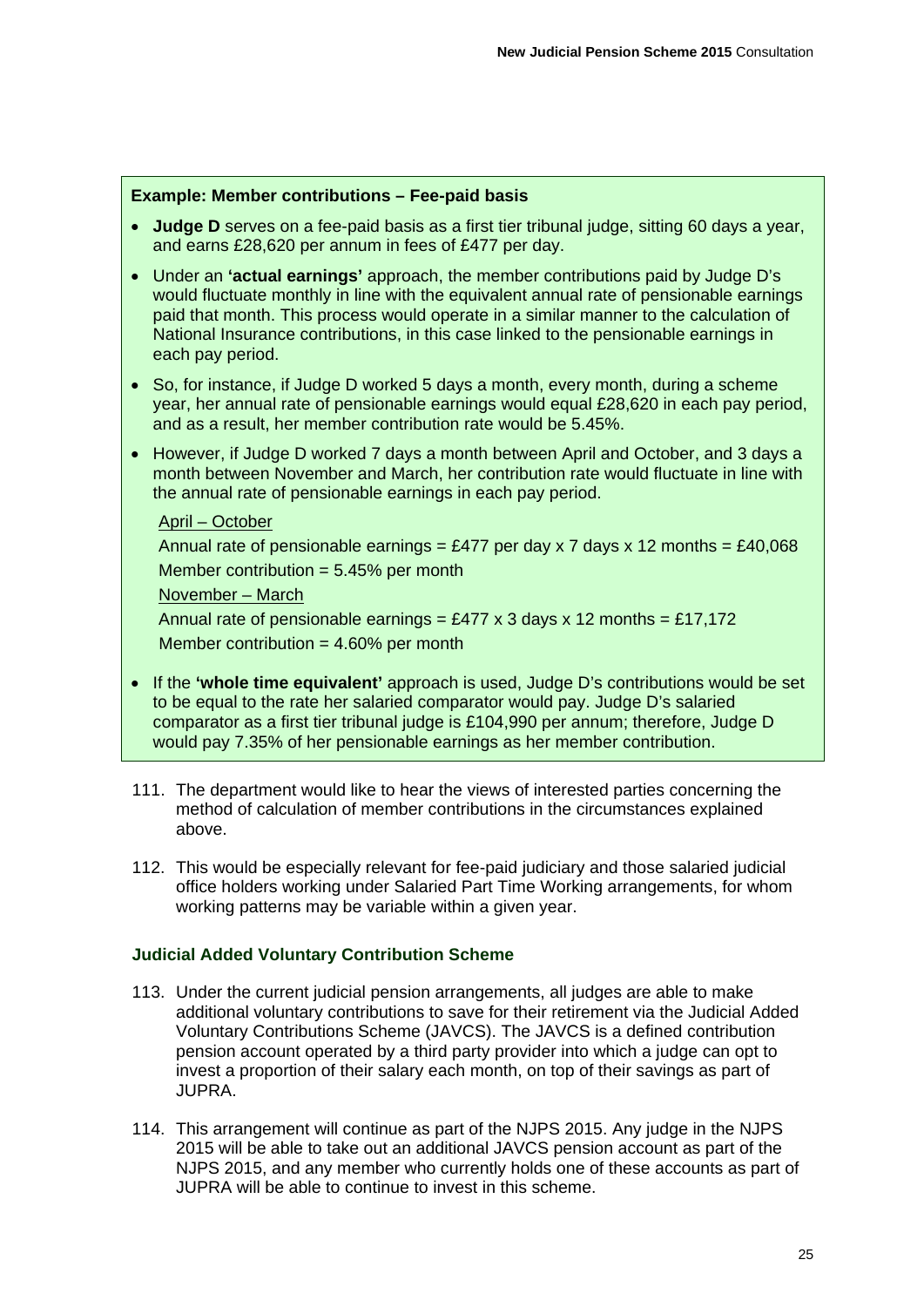#### **Example: Member contributions – Fee-paid basis**

- **Judge D** serves on a fee-paid basis as a first tier tribunal judge, sitting 60 days a year, and earns £28,620 per annum in fees of £477 per day.
- Under an **'actual earnings'** approach, the member contributions paid by Judge D's would fluctuate monthly in line with the equivalent annual rate of pensionable earnings paid that month. This process would operate in a similar manner to the calculation of National Insurance contributions, in this case linked to the pensionable earnings in each pay period.
- So, for instance, if Judge D worked 5 days a month, every month, during a scheme year, her annual rate of pensionable earnings would equal £28,620 in each pay period, and as a result, her member contribution rate would be 5.45%.
- However, if Judge D worked 7 days a month between April and October, and 3 days a month between November and March, her contribution rate would fluctuate in line with the annual rate of pensionable earnings in each pay period.

#### April – October

Annual rate of pensionable earnings = £477 per day x 7 days x 12 months = £40,068 Member contribution  $= 5.45\%$  per month

November – March

Annual rate of pensionable earnings = £477 x 3 days x 12 months = £17,172 Member contribution  $= 4.60\%$  per month

- If the **'whole time equivalent'** approach is used, Judge D's contributions would be set to be equal to the rate her salaried comparator would pay. Judge D's salaried comparator as a first tier tribunal judge is £104,990 per annum; therefore, Judge D would pay 7.35% of her pensionable earnings as her member contribution.
- 111. The department would like to hear the views of interested parties concerning the method of calculation of member contributions in the circumstances explained above.
- 112. This would be especially relevant for fee-paid judiciary and those salaried judicial office holders working under Salaried Part Time Working arrangements, for whom working patterns may be variable within a given year.

#### **Judicial Added Voluntary Contribution Scheme**

- 113. Under the current judicial pension arrangements, all judges are able to make additional voluntary contributions to save for their retirement via the Judicial Added Voluntary Contributions Scheme (JAVCS). The JAVCS is a defined contribution pension account operated by a third party provider into which a judge can opt to invest a proportion of their salary each month, on top of their savings as part of JUPRA.
- 114. This arrangement will continue as part of the NJPS 2015. Any judge in the NJPS 2015 will be able to take out an additional JAVCS pension account as part of the NJPS 2015, and any member who currently holds one of these accounts as part of JUPRA will be able to continue to invest in this scheme.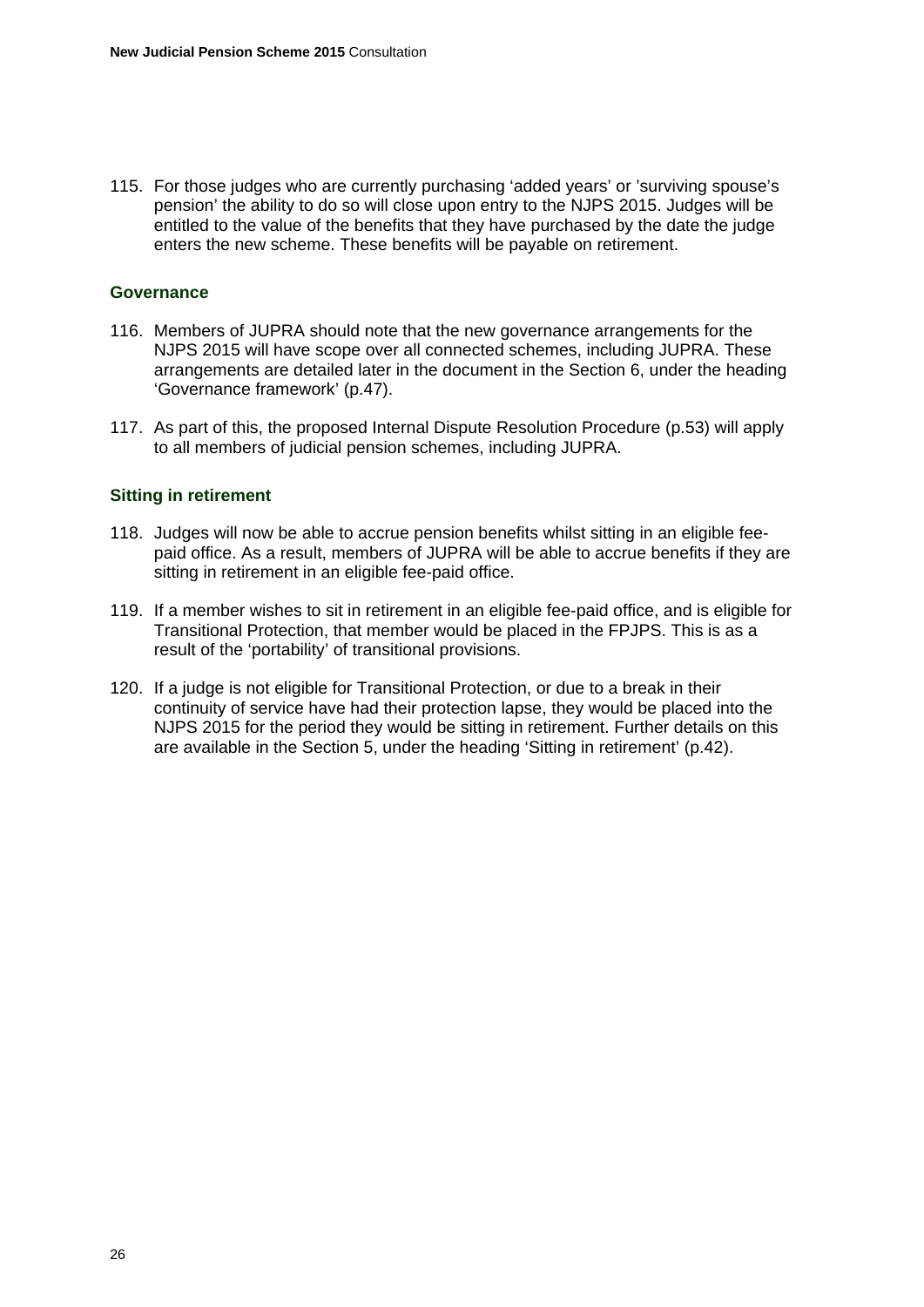115. For those judges who are currently purchasing 'added years' or 'surviving spouse's pension' the ability to do so will close upon entry to the NJPS 2015. Judges will be entitled to the value of the benefits that they have purchased by the date the judge enters the new scheme. These benefits will be payable on retirement.

#### **Governance**

- 116. Members of JUPRA should note that the new governance arrangements for the NJPS 2015 will have scope over all connected schemes, including JUPRA. These arrangements are detailed later in the document in the Section 6, under the heading 'Governance framework' (p[.47\)](#page-50-1).
- 117. As part of this, the proposed Internal Dispute Resolution Procedure (p.[53\)](#page-56-0) will apply to all members of judicial pension schemes, including JUPRA.

#### **Sitting in retirement**

- 118. Judges will now be able to accrue pension benefits whilst sitting in an eligible feepaid office. As a result, members of JUPRA will be able to accrue benefits if they are sitting in retirement in an eligible fee-paid office.
- 119. If a member wishes to sit in retirement in an eligible fee-paid office, and is eligible for Transitional Protection, that member would be placed in the FPJPS. This is as a result of the 'portability' of transitional provisions.
- 120. If a judge is not eligible for Transitional Protection, or due to a break in their continuity of service have had their protection lapse, they would be placed into the NJPS 2015 for the period they would be sitting in retirement. Further details on this are available in the Section 5, under the heading 'Sitting in retirement' (p.[42](#page-45-0)).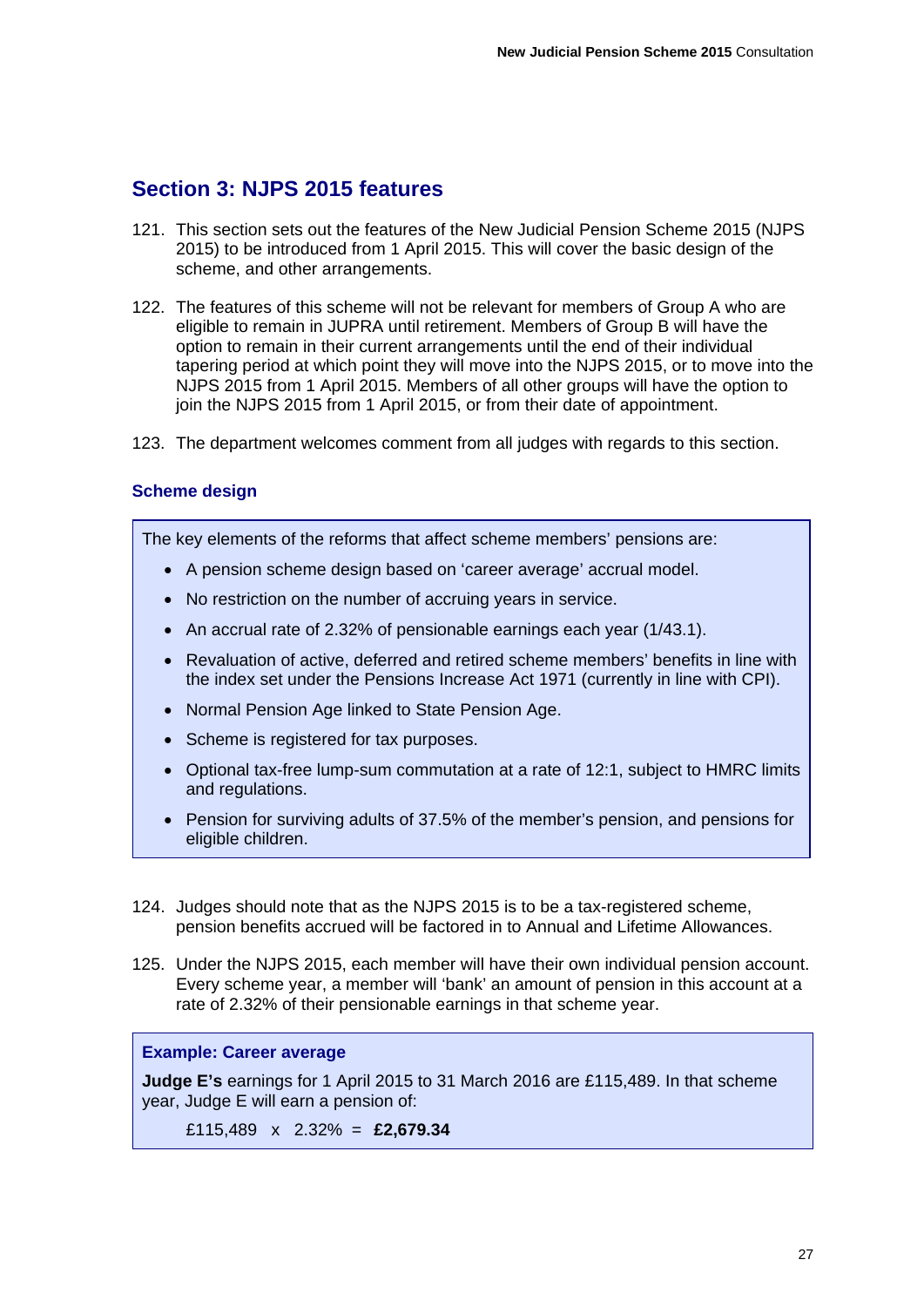### <span id="page-30-0"></span>**Section 3: NJPS 2015 features**

- 121. This section sets out the features of the New Judicial Pension Scheme 2015 (NJPS 2015) to be introduced from 1 April 2015. This will cover the basic design of the scheme, and other arrangements.
- 122. The features of this scheme will not be relevant for members of Group A who are eligible to remain in JUPRA until retirement. Members of Group B will have the option to remain in their current arrangements until the end of their individual tapering period at which point they will move into the NJPS 2015, or to move into the NJPS 2015 from 1 April 2015. Members of all other groups will have the option to join the NJPS 2015 from 1 April 2015, or from their date of appointment.
- 123. The department welcomes comment from all judges with regards to this section.

#### **Scheme design**

The key elements of the reforms that affect scheme members' pensions are:

- A pension scheme design based on 'career average' accrual model.
- No restriction on the number of accruing years in service.
- An accrual rate of 2.32% of pensionable earnings each year (1/43.1).
- Revaluation of active, deferred and retired scheme members' benefits in line with the index set under the Pensions Increase Act 1971 (currently in line with CPI).
- Normal Pension Age linked to State Pension Age.
- Scheme is registered for tax purposes.
- Optional tax-free lump-sum commutation at a rate of 12:1, subject to HMRC limits and regulations.
- Pension for surviving adults of 37.5% of the member's pension, and pensions for eligible children.
- 124. Judges should note that as the NJPS 2015 is to be a tax-registered scheme, pension benefits accrued will be factored in to Annual and Lifetime Allowances.
- 125. Under the NJPS 2015, each member will have their own individual pension account. Every scheme year, a member will 'bank' an amount of pension in this account at a rate of 2.32% of their pensionable earnings in that scheme year.

#### **Example: Career average**

**Judge E's** earnings for 1 April 2015 to 31 March 2016 are £115,489. In that scheme year, Judge E will earn a pension of:

```
 £115,489 x 2.32% = £2,679.34
```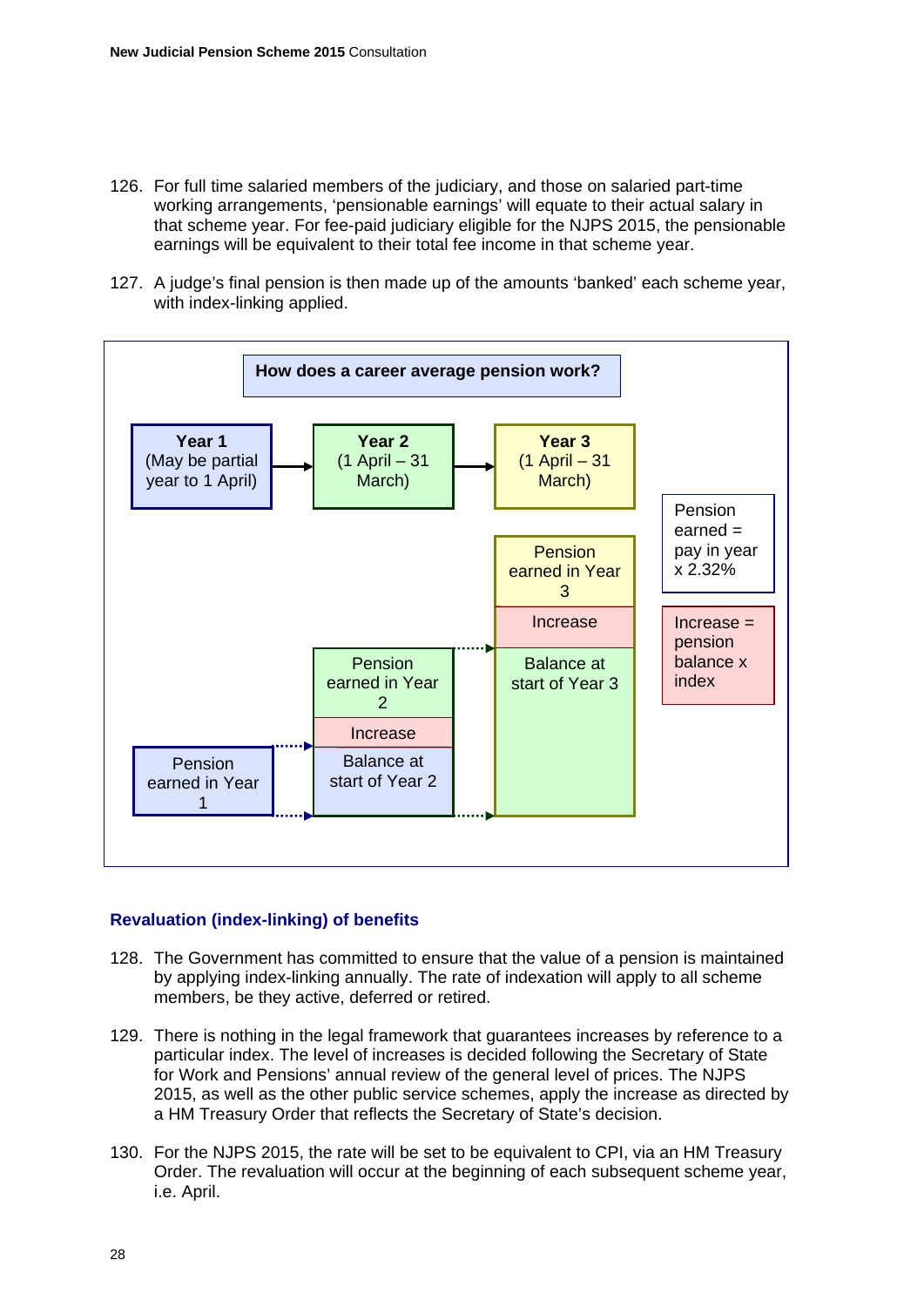- 126. For full time salaried members of the judiciary, and those on salaried part-time working arrangements, 'pensionable earnings' will equate to their actual salary in that scheme year. For fee-paid judiciary eligible for the NJPS 2015, the pensionable earnings will be equivalent to their total fee income in that scheme year.
- 127. A judge's final pension is then made up of the amounts 'banked' each scheme year, with index-linking applied.



#### **Revaluation (index-linking) of benefits**

- 128. The Government has committed to ensure that the value of a pension is maintained by applying index-linking annually. The rate of indexation will apply to all scheme members, be they active, deferred or retired.
- 129. There is nothing in the legal framework that guarantees increases by reference to a particular index. The level of increases is decided following the Secretary of State for Work and Pensions' annual review of the general level of prices. The NJPS 2015, as well as the other public service schemes, apply the increase as directed by a HM Treasury Order that reflects the Secretary of State's decision.
- 130. For the NJPS 2015, the rate will be set to be equivalent to CPI, via an HM Treasury Order. The revaluation will occur at the beginning of each subsequent scheme year, i.e. April.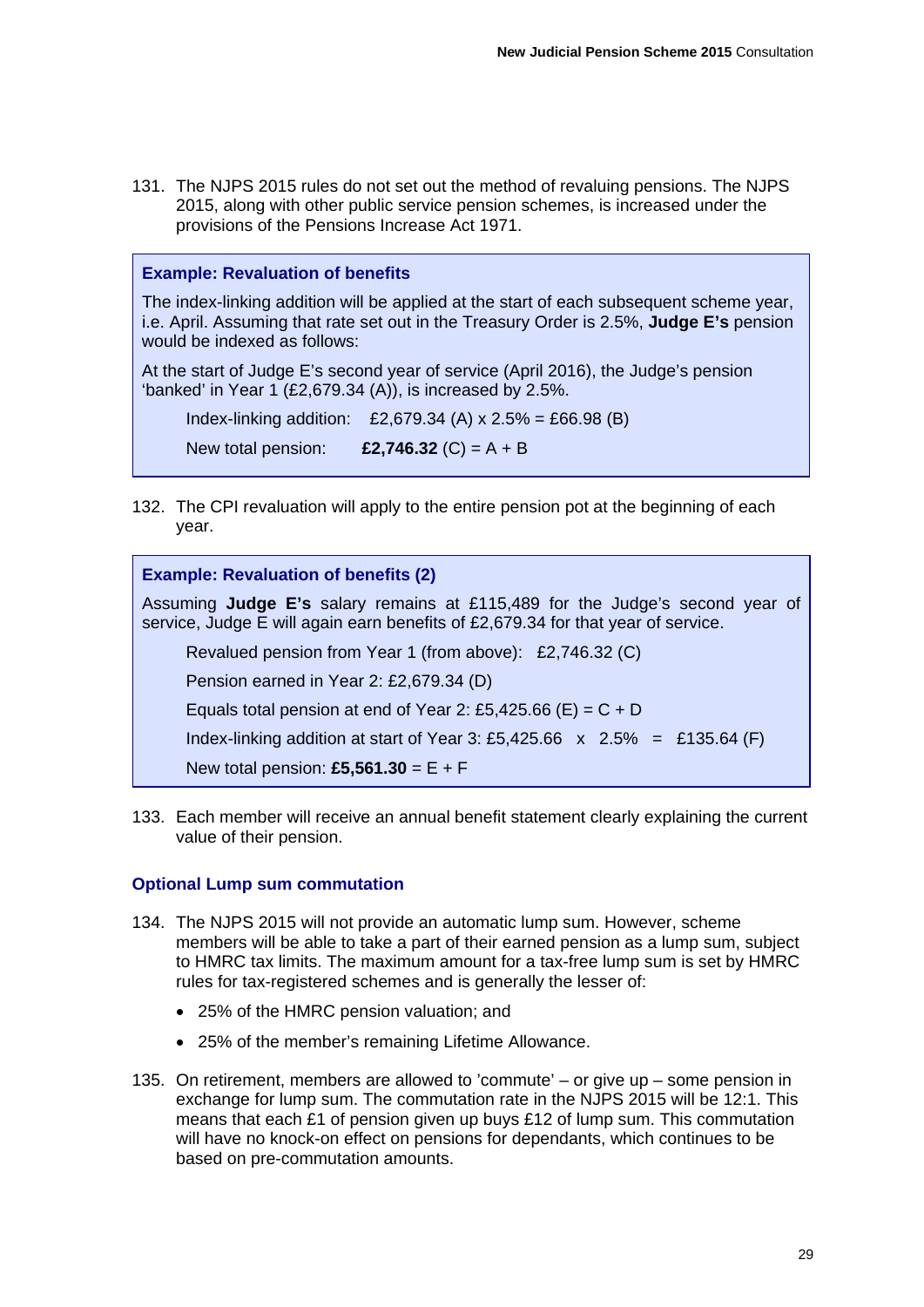131. The NJPS 2015 rules do not set out the method of revaluing pensions. The NJPS 2015, along with other public service pension schemes, is increased under the provisions of the Pensions Increase Act 1971.

#### **Example: Revaluation of benefits**

The index-linking addition will be applied at the start of each subsequent scheme year, i.e. April. Assuming that rate set out in the Treasury Order is 2.5%, **Judge E's** pension would be indexed as follows:

At the start of Judge E's second year of service (April 2016), the Judge's pension 'banked' in Year 1  $(E2,679.34(A))$ , is increased by 2.5%.

Index-linking addition: £2,679.34 (A)  $x 2.5% = £66.98$  (B) New total pension: **£2,746.32** (C) = A + B

132. The CPI revaluation will apply to the entire pension pot at the beginning of each year.

#### **Example: Revaluation of benefits (2)**

Assuming **Judge E's** salary remains at £115,489 for the Judge's second year of service, Judge E will again earn benefits of £2,679.34 for that year of service.

```
 Revalued pension from Year 1 (from above): £2,746.32 (C)
```
Pension earned in Year 2: £2,679.34 (D)

Equals total pension at end of Year 2: £5,425.66 (E) =  $C + D$ 

Index-linking addition at start of Year 3: £5,425.66  $\times$  2.5% = £135.64 (F)

New total pension: **£5,561.30** = E + F

133. Each member will receive an annual benefit statement clearly explaining the current value of their pension.

#### **Optional Lump sum commutation**

- 134. The NJPS 2015 will not provide an automatic lump sum. However, scheme members will be able to take a part of their earned pension as a lump sum, subject to HMRC tax limits. The maximum amount for a tax-free lump sum is set by HMRC rules for tax-registered schemes and is generally the lesser of:
	- 25% of the HMRC pension valuation; and
	- 25% of the member's remaining Lifetime Allowance.
- 135. On retirement, members are allowed to 'commute' or give up some pension in exchange for lump sum. The commutation rate in the NJPS 2015 will be 12:1. This means that each £1 of pension given up buys £12 of lump sum. This commutation will have no knock-on effect on pensions for dependants, which continues to be based on pre-commutation amounts.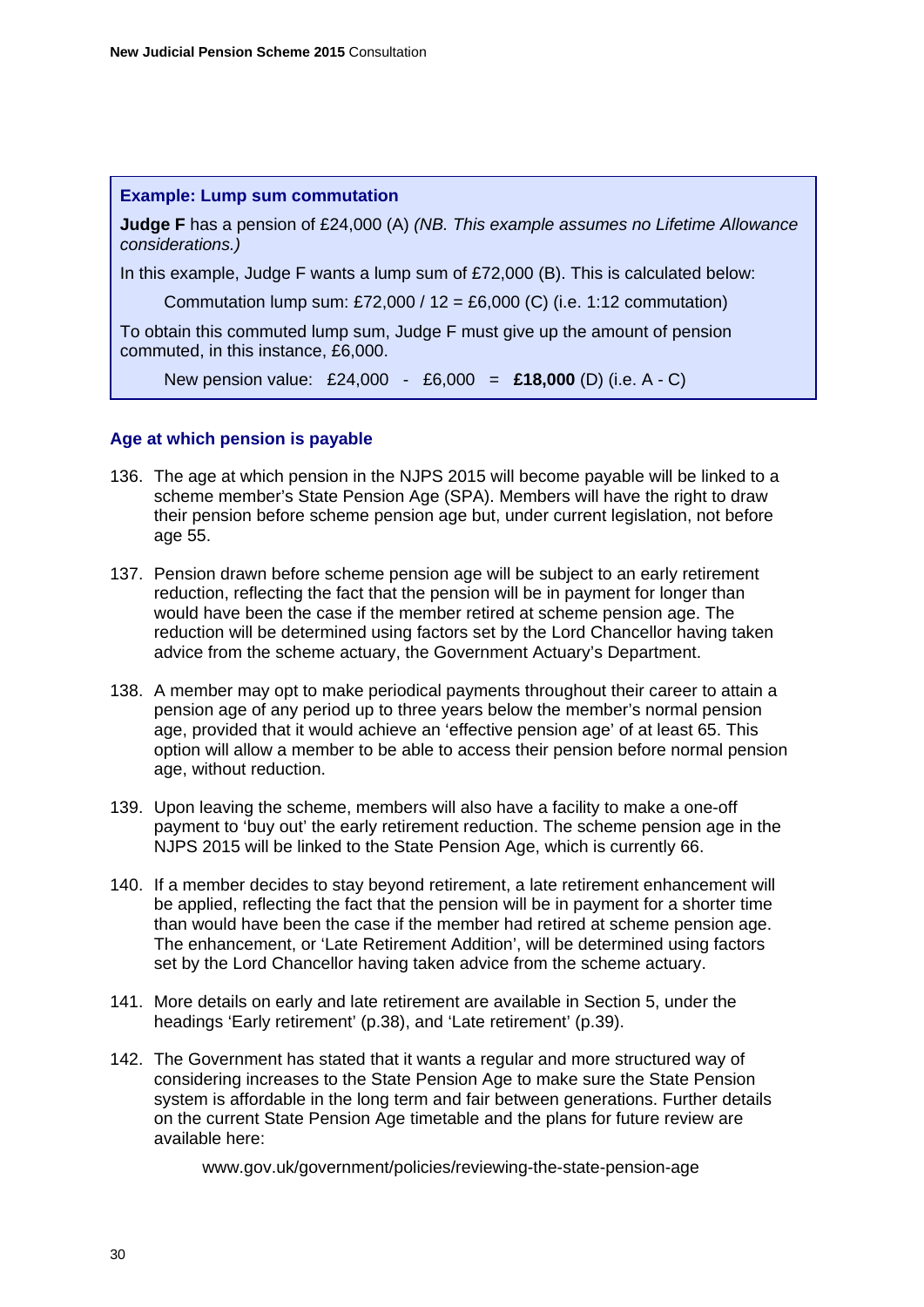#### **Example: Lump sum commutation**

**Judge F** has a pension of £24,000 (A) *(NB. This example assumes no Lifetime Allowance considerations.)*

In this example, Judge F wants a lump sum of £72,000 (B). This is calculated below:

Commutation lump sum: £72,000 / 12 = £6,000 (C) (i.e. 1:12 commutation)

To obtain this commuted lump sum, Judge F must give up the amount of pension commuted, in this instance, £6,000.

New pension value: £24,000 - £6,000 = **£18,000** (D) (i.e. A - C)

#### **Age at which pension is payable**

- <span id="page-33-0"></span>136. The age at which pension in the NJPS 2015 will become payable will be linked to a scheme member's State Pension Age (SPA). Members will have the right to draw their pension before scheme pension age but, under current legislation, not before age 55.
- 137. Pension drawn before scheme pension age will be subject to an early retirement reduction, reflecting the fact that the pension will be in payment for longer than would have been the case if the member retired at scheme pension age. The reduction will be determined using factors set by the Lord Chancellor having taken advice from the scheme actuary, the Government Actuary's Department.
- 138. A member may opt to make periodical payments throughout their career to attain a pension age of any period up to three years below the member's normal pension age, provided that it would achieve an 'effective pension age' of at least 65. This option will allow a member to be able to access their pension before normal pension age, without reduction.
- 139. Upon leaving the scheme, members will also have a facility to make a one-off payment to 'buy out' the early retirement reduction. The scheme pension age in the NJPS 2015 will be linked to the State Pension Age, which is currently 66.
- 140. If a member decides to stay beyond retirement, a late retirement enhancement will be applied, reflecting the fact that the pension will be in payment for a shorter time than would have been the case if the member had retired at scheme pension age. The enhancement, or 'Late Retirement Addition', will be determined using factors set by the Lord Chancellor having taken advice from the scheme actuary.
- 141. More details on early and late retirement are available in Section 5, under the headings 'Early retirement' (p[.38\)](#page-41-1), and 'Late retirement' (p.[39\)](#page-42-0).
- 142. The Government has stated that it wants a regular and more structured way of considering increases to the State Pension Age to make sure the State Pension system is affordable in the long term and fair between generations. Further details on the current State Pension Age timetable and the plans for future review are available here:

[www.gov.uk/government/policies/reviewing-the-state-pension-age](http://www.gov.uk/government/policies/reviewing-the-state-pension-age)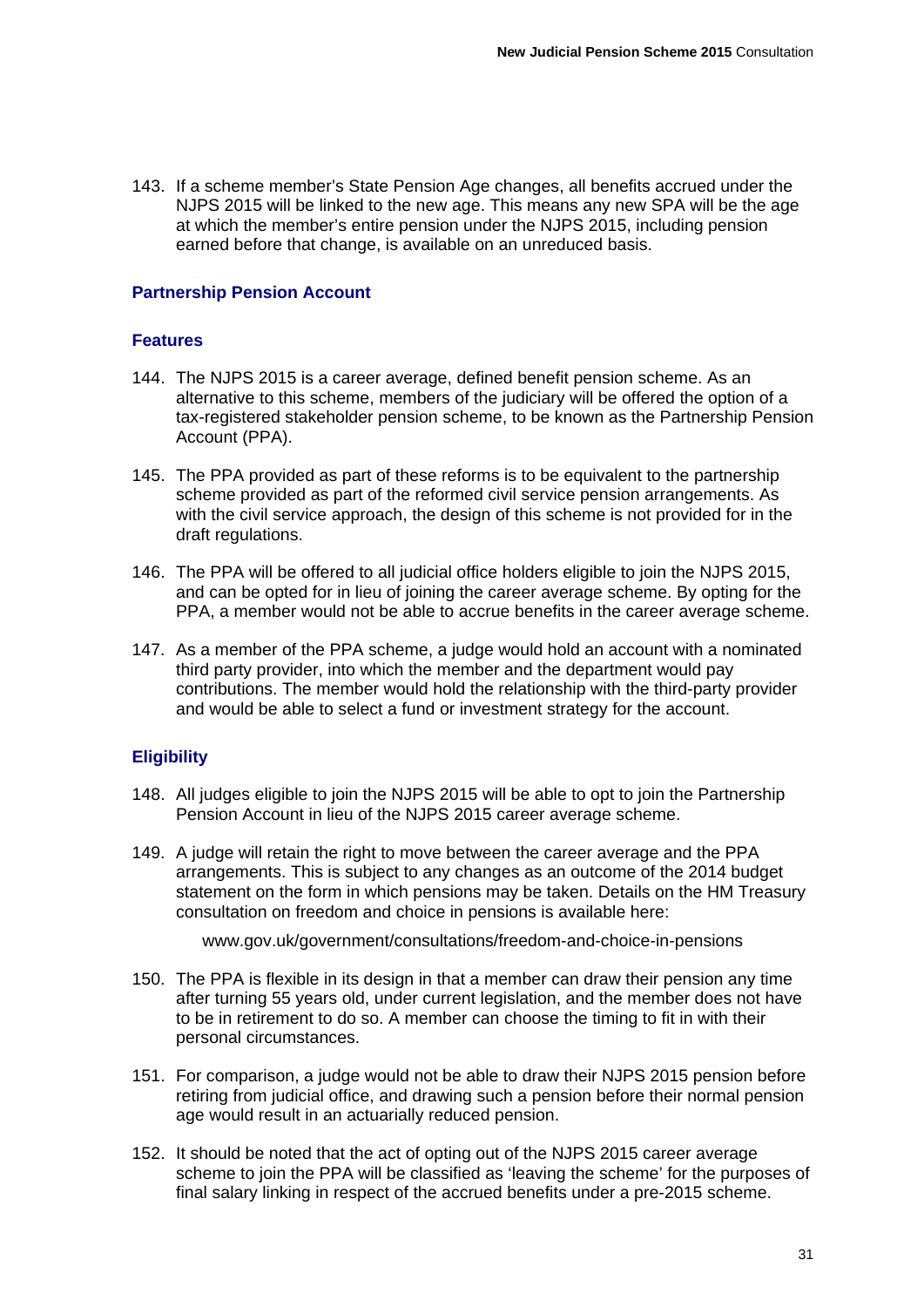143. If a scheme member's State Pension Age changes, all benefits accrued under the NJPS 2015 will be linked to the new age. This means any new SPA will be the age at which the member's entire pension under the NJPS 2015, including pension earned before that change, is available on an unreduced basis.

#### **Partnership Pension Account**

#### **Features**

- <span id="page-34-0"></span>144. The NJPS 2015 is a career average, defined benefit pension scheme. As an alternative to this scheme, members of the judiciary will be offered the option of a tax-registered stakeholder pension scheme, to be known as the Partnership Pension Account (PPA).
- 145. The PPA provided as part of these reforms is to be equivalent to the partnership scheme provided as part of the reformed civil service pension arrangements. As with the civil service approach, the design of this scheme is not provided for in the draft regulations.
- 146. The PPA will be offered to all judicial office holders eligible to join the NJPS 2015, and can be opted for in lieu of joining the career average scheme. By opting for the PPA, a member would not be able to accrue benefits in the career average scheme.
- 147. As a member of the PPA scheme, a judge would hold an account with a nominated third party provider, into which the member and the department would pay contributions. The member would hold the relationship with the third-party provider and would be able to select a fund or investment strategy for the account.

#### **Eligibility**

- 148. All judges eligible to join the NJPS 2015 will be able to opt to join the Partnership Pension Account in lieu of the NJPS 2015 career average scheme.
- 149. A judge will retain the right to move between the career average and the PPA arrangements. This is subject to any changes as an outcome of the 2014 budget statement on the form in which pensions may be taken. Details on the HM Treasury consultation on freedom and choice in pensions is available here:

[www.gov.uk/government/consultations/freedom-and-choice-in-pensions](http://www.gov.uk/government/consultations/freedom-and-choice-in-pensions)

- 150. The PPA is flexible in its design in that a member can draw their pension any time after turning 55 years old, under current legislation, and the member does not have to be in retirement to do so. A member can choose the timing to fit in with their personal circumstances.
- 151. For comparison, a judge would not be able to draw their NJPS 2015 pension before retiring from judicial office, and drawing such a pension before their normal pension age would result in an actuarially reduced pension.
- 152. It should be noted that the act of opting out of the NJPS 2015 career average scheme to join the PPA will be classified as 'leaving the scheme' for the purposes of final salary linking in respect of the accrued benefits under a pre-2015 scheme.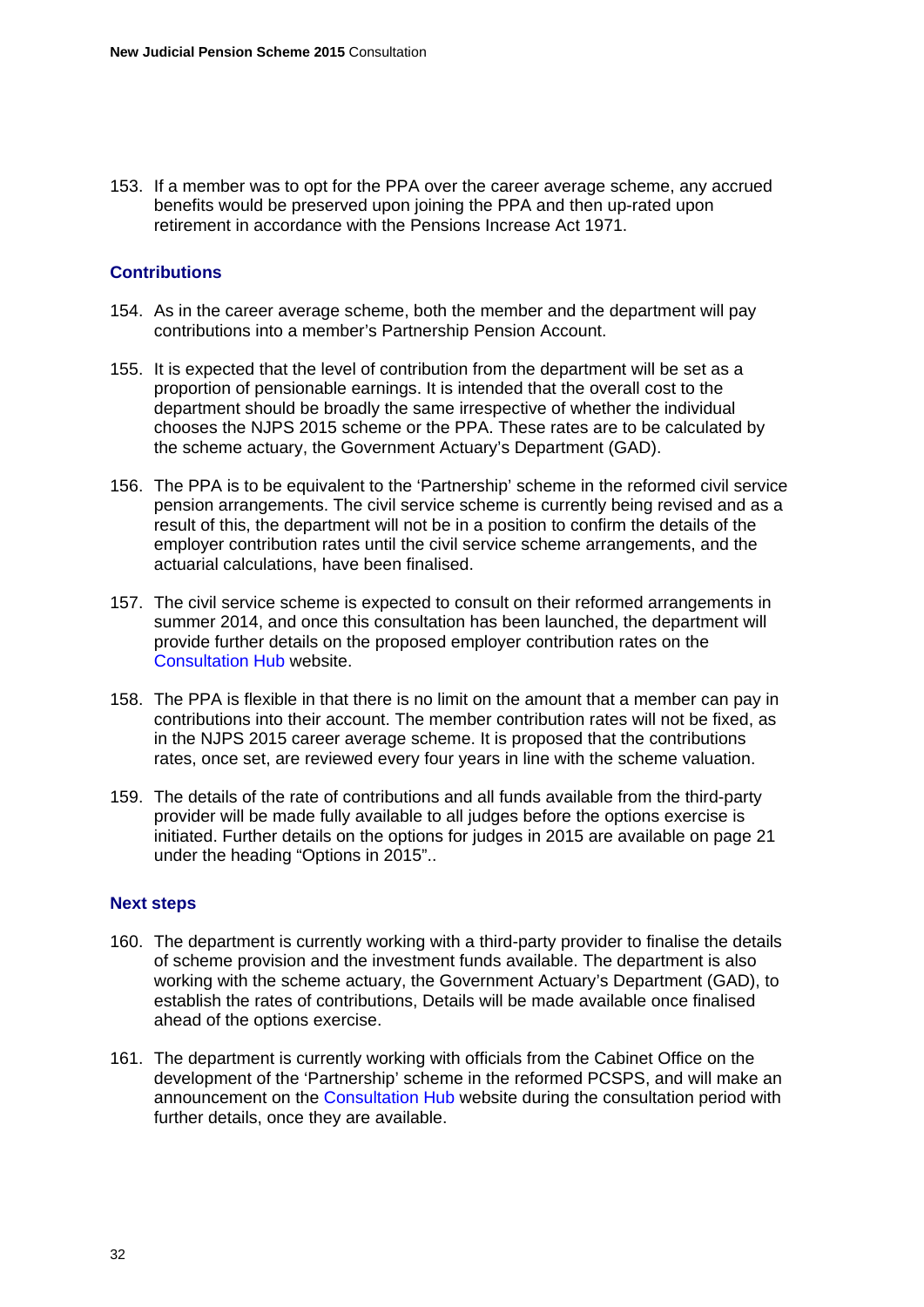153. If a member was to opt for the PPA over the career average scheme, any accrued benefits would be preserved upon joining the PPA and then up-rated upon retirement in accordance with the Pensions Increase Act 1971.

#### **Contributions**

- 154. As in the career average scheme, both the member and the department will pay contributions into a member's Partnership Pension Account.
- 155. It is expected that the level of contribution from the department will be set as a proportion of pensionable earnings. It is intended that the overall cost to the department should be broadly the same irrespective of whether the individual chooses the NJPS 2015 scheme or the PPA. These rates are to be calculated by the scheme actuary, the Government Actuary's Department (GAD).
- 156. The PPA is to be equivalent to the 'Partnership' scheme in the reformed civil service pension arrangements. The civil service scheme is currently being revised and as a result of this, the department will not be in a position to confirm the details of the employer contribution rates until the civil service scheme arrangements, and the actuarial calculations, have been finalised.
- 157. The civil service scheme is expected to consult on their reformed arrangements in summer 2014, and once this consultation has been launched, the department will provide further details on the proposed employer contribution rates on the [Consultation Hub](https://consult.justice.gov.uk/digital-communications/judicial-pension-scheme-2015-consultation) website.
- 158. The PPA is flexible in that there is no limit on the amount that a member can pay in contributions into their account. The member contribution rates will not be fixed, as in the NJPS 2015 career average scheme. It is proposed that the contributions rates, once set, are reviewed every four years in line with the scheme valuation.
- 159. The details of the rate of contributions and all funds available from the third-party provider will be made fully available to all judges before the options exercise is initiated. Further details on the options for judges in 2015 are available on page [21](#page-24-0) under the heading "Options in 2015"..

#### **Next steps**

- 160. The department is currently working with a third-party provider to finalise the details of scheme provision and the investment funds available. The department is also working with the scheme actuary, the Government Actuary's Department (GAD), to establish the rates of contributions, Details will be made available once finalised ahead of the options exercise.
- 161. The department is currently working with officials from the Cabinet Office on the development of the 'Partnership' scheme in the reformed PCSPS, and will make an announcement on the [Consultation Hub](https://consult.justice.gov.uk/digital-communications/judicial-pension-scheme-2015-consultation) website during the consultation period with further details, once they are available.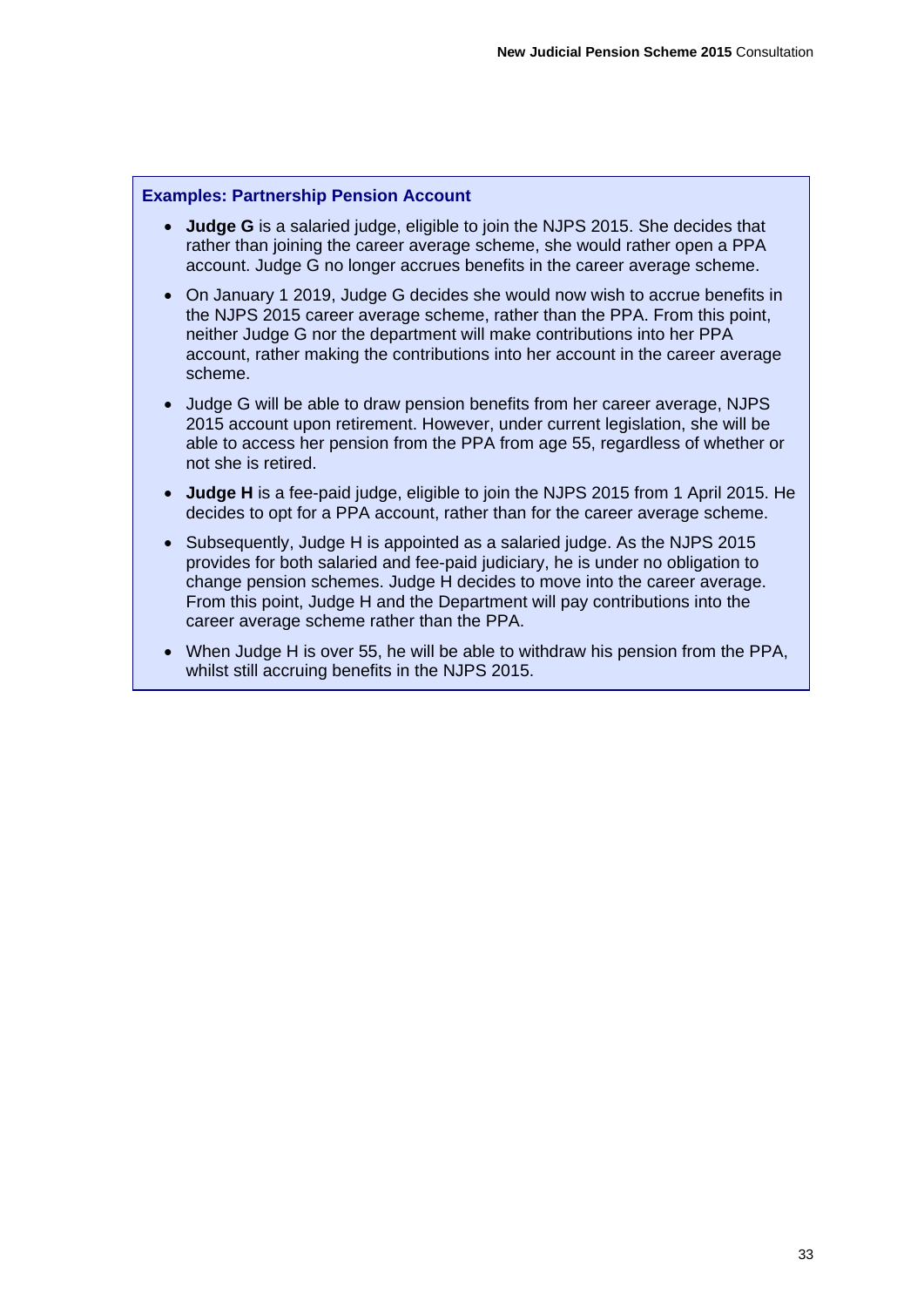#### **Examples: Partnership Pension Account**

- **Judge G** is a salaried judge, eligible to join the NJPS 2015. She decides that rather than joining the career average scheme, she would rather open a PPA account. Judge G no longer accrues benefits in the career average scheme.
- On January 1 2019, Judge G decides she would now wish to accrue benefits in the NJPS 2015 career average scheme, rather than the PPA. From this point, neither Judge G nor the department will make contributions into her PPA account, rather making the contributions into her account in the career average scheme.
- Judge G will be able to draw pension benefits from her career average, NJPS 2015 account upon retirement. However, under current legislation, she will be able to access her pension from the PPA from age 55, regardless of whether or not she is retired.
- **Judge H** is a fee-paid judge, eligible to join the NJPS 2015 from 1 April 2015. He decides to opt for a PPA account, rather than for the career average scheme.
- Subsequently, Judge H is appointed as a salaried judge. As the NJPS 2015 provides for both salaried and fee-paid judiciary, he is under no obligation to change pension schemes. Judge H decides to move into the career average. From this point, Judge H and the Department will pay contributions into the career average scheme rather than the PPA.
- When Judge H is over 55, he will be able to withdraw his pension from the PPA, whilst still accruing benefits in the NJPS 2015.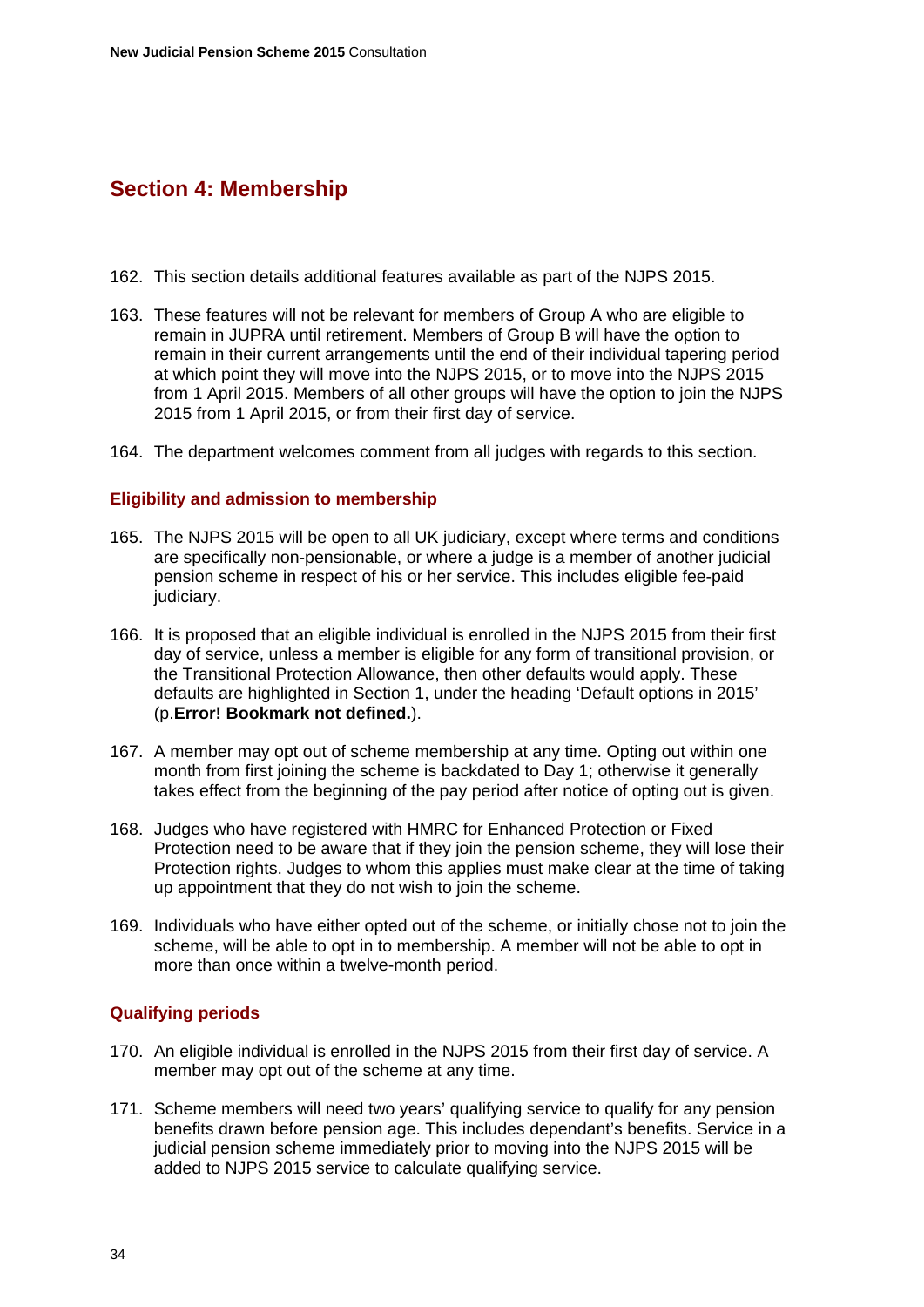# **Section 4: Membership**

- 162. This section details additional features available as part of the NJPS 2015.
- 163. These features will not be relevant for members of Group A who are eligible to remain in JUPRA until retirement. Members of Group B will have the option to remain in their current arrangements until the end of their individual tapering period at which point they will move into the NJPS 2015, or to move into the NJPS 2015 from 1 April 2015. Members of all other groups will have the option to join the NJPS 2015 from 1 April 2015, or from their first day of service.
- 164. The department welcomes comment from all judges with regards to this section.

#### **Eligibility and admission to membership**

- 165. The NJPS 2015 will be open to all UK judiciary, except where terms and conditions are specifically non-pensionable, or where a judge is a member of another judicial pension scheme in respect of his or her service. This includes eligible fee-paid judiciary.
- 166. It is proposed that an eligible individual is enrolled in the NJPS 2015 from their first day of service, unless a member is eligible for any form of transitional provision, or the Transitional Protection Allowance, then other defaults would apply. These defaults are highlighted in Section 1, under the heading 'Default options in 2015' (p.**Error! Bookmark not defined.**).
- 167. A member may opt out of scheme membership at any time. Opting out within one month from first joining the scheme is backdated to Day 1; otherwise it generally takes effect from the beginning of the pay period after notice of opting out is given.
- 168. Judges who have registered with HMRC for Enhanced Protection or Fixed Protection need to be aware that if they join the pension scheme, they will lose their Protection rights. Judges to whom this applies must make clear at the time of taking up appointment that they do not wish to join the scheme.
- 169. Individuals who have either opted out of the scheme, or initially chose not to join the scheme, will be able to opt in to membership. A member will not be able to opt in more than once within a twelve-month period.

#### **Qualifying periods**

- 170. An eligible individual is enrolled in the NJPS 2015 from their first day of service. A member may opt out of the scheme at any time.
- 171. Scheme members will need two years' qualifying service to qualify for any pension benefits drawn before pension age. This includes dependant's benefits. Service in a judicial pension scheme immediately prior to moving into the NJPS 2015 will be added to NJPS 2015 service to calculate qualifying service.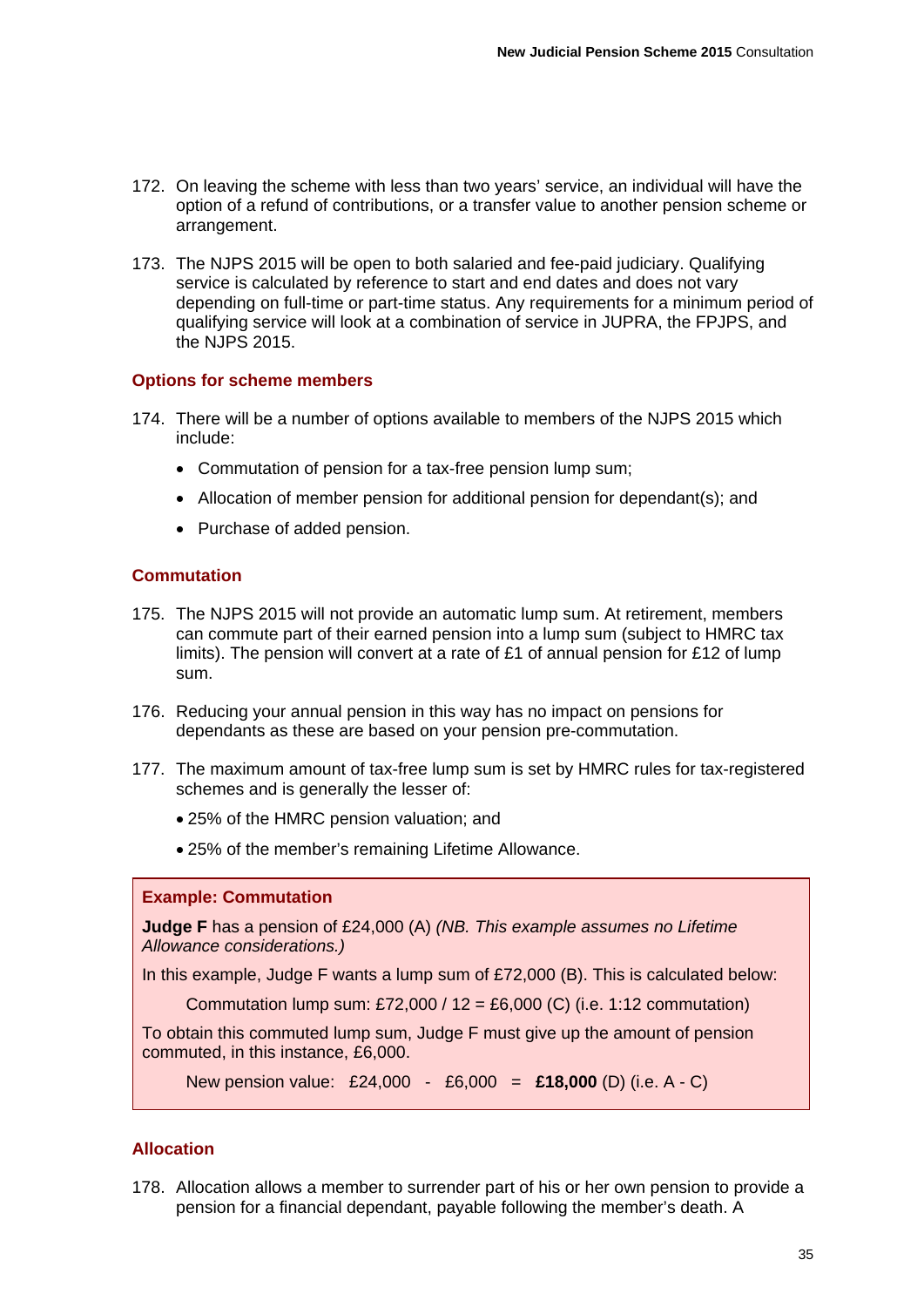- 172. On leaving the scheme with less than two years' service, an individual will have the option of a refund of contributions, or a transfer value to another pension scheme or arrangement.
- 173. The NJPS 2015 will be open to both salaried and fee-paid judiciary. Qualifying service is calculated by reference to start and end dates and does not vary depending on full-time or part-time status. Any requirements for a minimum period of qualifying service will look at a combination of service in JUPRA, the FPJPS, and the NJPS 2015.

#### **Options for scheme members**

- 174. There will be a number of options available to members of the NJPS 2015 which include:
	- Commutation of pension for a tax-free pension lump sum;
	- Allocation of member pension for additional pension for dependant(s); and
	- Purchase of added pension.

#### **Commutation**

- 175. The NJPS 2015 will not provide an automatic lump sum. At retirement, members can commute part of their earned pension into a lump sum (subject to HMRC tax limits). The pension will convert at a rate of £1 of annual pension for £12 of lump sum.
- 176. Reducing your annual pension in this way has no impact on pensions for dependants as these are based on your pension pre-commutation.
- 177. The maximum amount of tax-free lump sum is set by HMRC rules for tax-registered schemes and is generally the lesser of:
	- 25% of the HMRC pension valuation; and
	- 25% of the member's remaining Lifetime Allowance.

#### **Example: Commutation**

**Judge F** has a pension of £24,000 (A) *(NB. This example assumes no Lifetime Allowance considerations.)*

In this example, Judge F wants a lump sum of £72,000 (B). This is calculated below:

Commutation lump sum: £72,000 / 12 = £6,000 (C) (i.e. 1:12 commutation)

To obtain this commuted lump sum, Judge F must give up the amount of pension commuted, in this instance, £6,000.

New pension value: £24,000 - £6,000 = **£18,000** (D) (i.e. A - C)

#### **Allocation**

178. Allocation allows a member to surrender part of his or her own pension to provide a pension for a financial dependant, payable following the member's death. A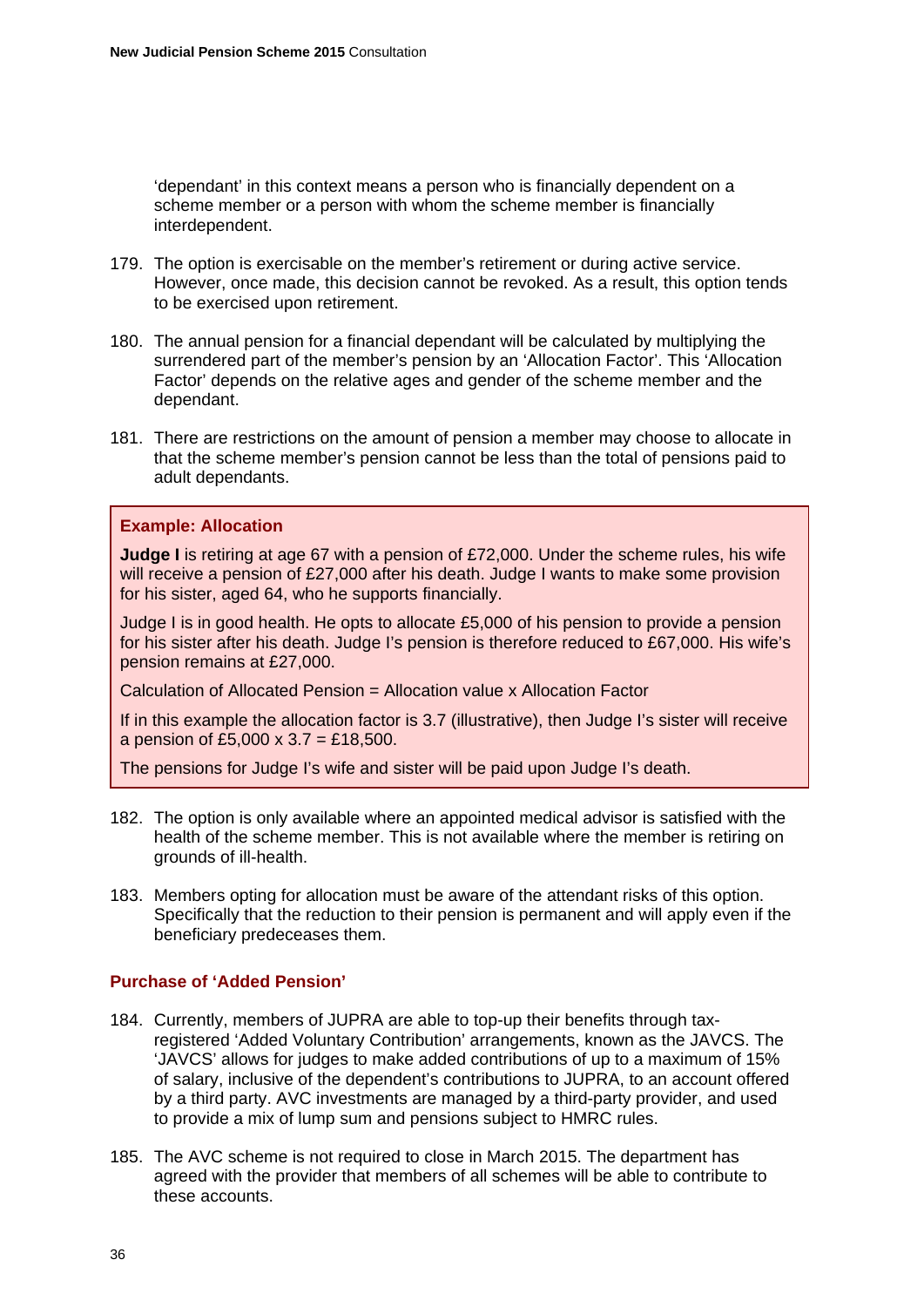'dependant' in this context means a person who is financially dependent on a scheme member or a person with whom the scheme member is financially interdependent.

- 179. The option is exercisable on the member's retirement or during active service. However, once made, this decision cannot be revoked. As a result, this option tends to be exercised upon retirement.
- 180. The annual pension for a financial dependant will be calculated by multiplying the surrendered part of the member's pension by an 'Allocation Factor'. This 'Allocation Factor' depends on the relative ages and gender of the scheme member and the dependant.
- 181. There are restrictions on the amount of pension a member may choose to allocate in that the scheme member's pension cannot be less than the total of pensions paid to adult dependants.

#### **Example: Allocation**

**Judge I** is retiring at age 67 with a pension of £72,000. Under the scheme rules, his wife will receive a pension of £27,000 after his death. Judge I wants to make some provision for his sister, aged 64, who he supports financially.

Judge I is in good health. He opts to allocate £5,000 of his pension to provide a pension for his sister after his death. Judge I's pension is therefore reduced to £67,000. His wife's pension remains at £27,000.

Calculation of Allocated Pension = Allocation value x Allocation Factor

If in this example the allocation factor is 3.7 (illustrative), then Judge I's sister will receive a pension of £5,000  $\times$  3.7 = £18,500.

The pensions for Judge I's wife and sister will be paid upon Judge I's death.

- 182. The option is only available where an appointed medical advisor is satisfied with the health of the scheme member. This is not available where the member is retiring on grounds of ill-health.
- 183. Members opting for allocation must be aware of the attendant risks of this option. Specifically that the reduction to their pension is permanent and will apply even if the beneficiary predeceases them.

#### **Purchase of 'Added Pension'**

- 184. Currently, members of JUPRA are able to top-up their benefits through taxregistered 'Added Voluntary Contribution' arrangements, known as the JAVCS. The 'JAVCS' allows for judges to make added contributions of up to a maximum of 15% of salary, inclusive of the dependent's contributions to JUPRA, to an account offered by a third party. AVC investments are managed by a third-party provider, and used to provide a mix of lump sum and pensions subject to HMRC rules.
- 185. The AVC scheme is not required to close in March 2015. The department has agreed with the provider that members of all schemes will be able to contribute to these accounts.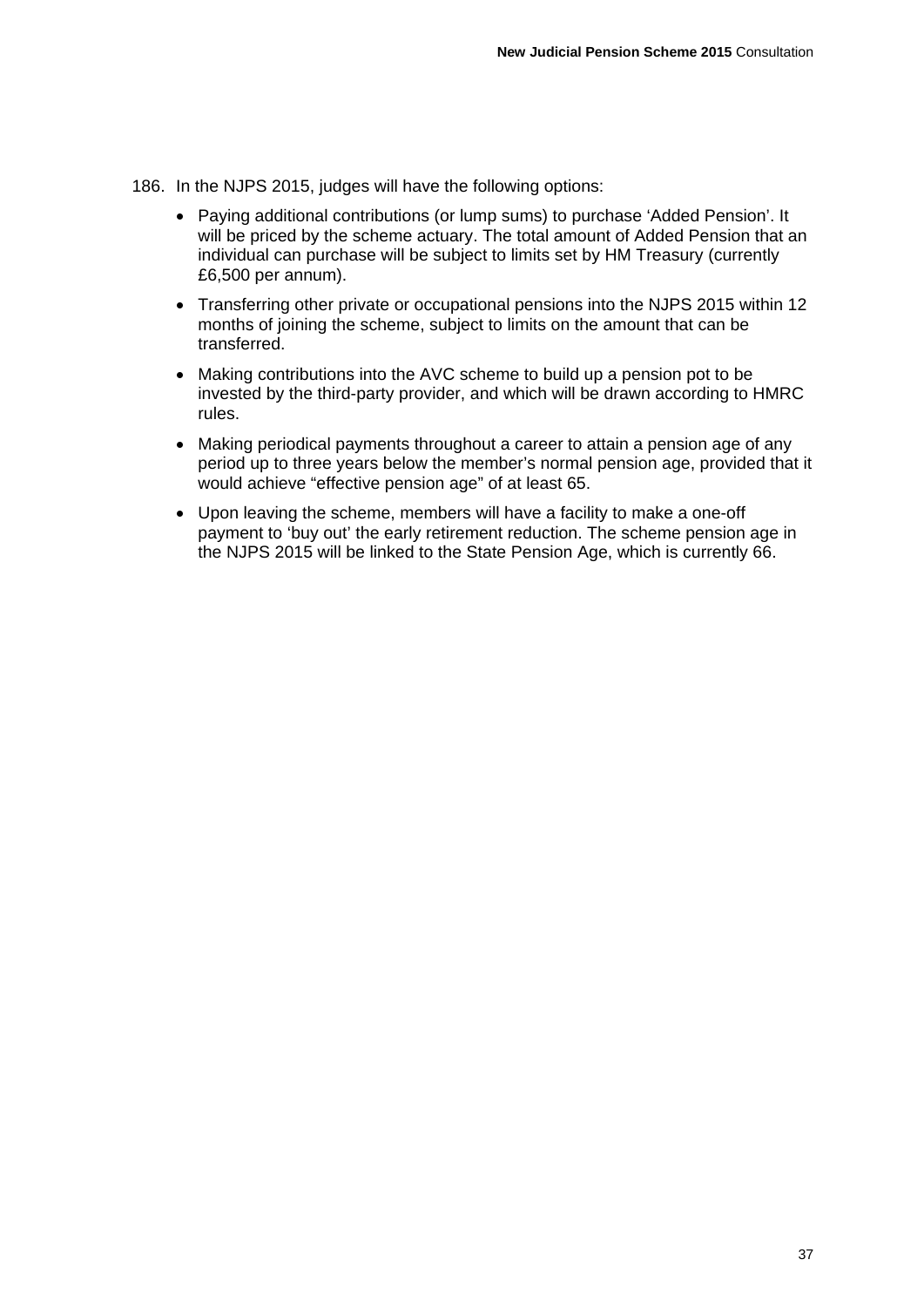186. In the NJPS 2015, judges will have the following options:

- Paying additional contributions (or lump sums) to purchase 'Added Pension'. It will be priced by the scheme actuary. The total amount of Added Pension that an individual can purchase will be subject to limits set by HM Treasury (currently £6,500 per annum).
- Transferring other private or occupational pensions into the NJPS 2015 within 12 months of joining the scheme, subject to limits on the amount that can be transferred.
- Making contributions into the AVC scheme to build up a pension pot to be invested by the third-party provider, and which will be drawn according to HMRC rules.
- Making periodical payments throughout a career to attain a pension age of any period up to three years below the member's normal pension age, provided that it would achieve "effective pension age" of at least 65.
- Upon leaving the scheme, members will have a facility to make a one-off payment to 'buy out' the early retirement reduction. The scheme pension age in the NJPS 2015 will be linked to the State Pension Age, which is currently 66.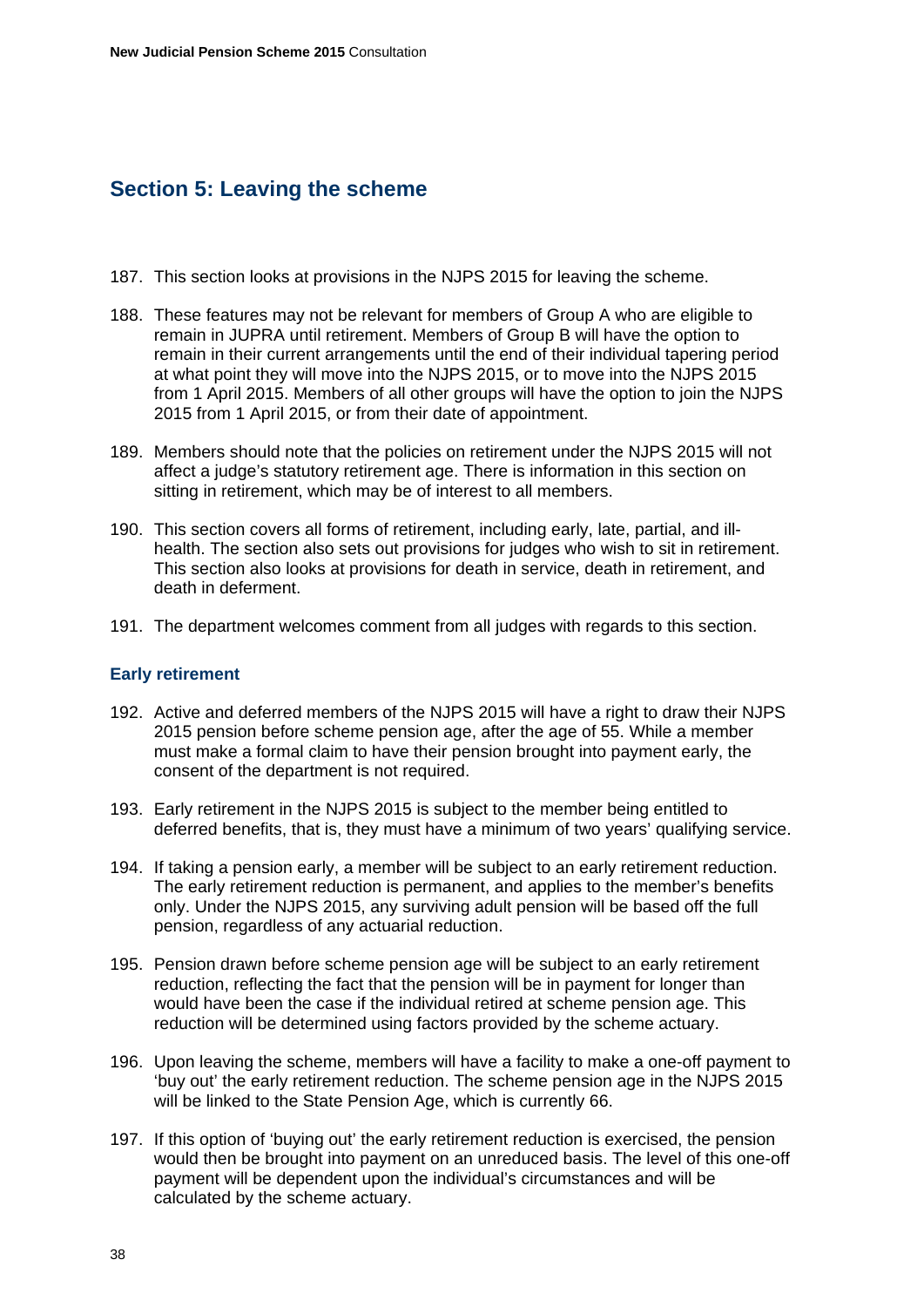# **Section 5: Leaving the scheme**

- 187. This section looks at provisions in the NJPS 2015 for leaving the scheme.
- 188. These features may not be relevant for members of Group A who are eligible to remain in JUPRA until retirement. Members of Group B will have the option to remain in their current arrangements until the end of their individual tapering period at what point they will move into the NJPS 2015, or to move into the NJPS 2015 from 1 April 2015. Members of all other groups will have the option to join the NJPS 2015 from 1 April 2015, or from their date of appointment.
- 189. Members should note that the policies on retirement under the NJPS 2015 will not affect a judge's statutory retirement age. There is information in this section on sitting in retirement, which may be of interest to all members.
- 190. This section covers all forms of retirement, including early, late, partial, and illhealth. The section also sets out provisions for judges who wish to sit in retirement. This section also looks at provisions for death in service, death in retirement, and death in deferment.
- 191. The department welcomes comment from all judges with regards to this section.

#### **Early retirement**

- 192. Active and deferred members of the NJPS 2015 will have a right to draw their NJPS 2015 pension before scheme pension age, after the age of 55. While a member must make a formal claim to have their pension brought into payment early, the consent of the department is not required.
- 193. Early retirement in the NJPS 2015 is subject to the member being entitled to deferred benefits, that is, they must have a minimum of two years' qualifying service.
- 194. If taking a pension early, a member will be subject to an early retirement reduction. The early retirement reduction is permanent, and applies to the member's benefits only. Under the NJPS 2015, any surviving adult pension will be based off the full pension, regardless of any actuarial reduction.
- 195. Pension drawn before scheme pension age will be subject to an early retirement reduction, reflecting the fact that the pension will be in payment for longer than would have been the case if the individual retired at scheme pension age. This reduction will be determined using factors provided by the scheme actuary.
- 196. Upon leaving the scheme, members will have a facility to make a one-off payment to 'buy out' the early retirement reduction. The scheme pension age in the NJPS 2015 will be linked to the State Pension Age, which is currently 66.
- 197. If this option of 'buying out' the early retirement reduction is exercised, the pension would then be brought into payment on an unreduced basis. The level of this one-off payment will be dependent upon the individual's circumstances and will be calculated by the scheme actuary.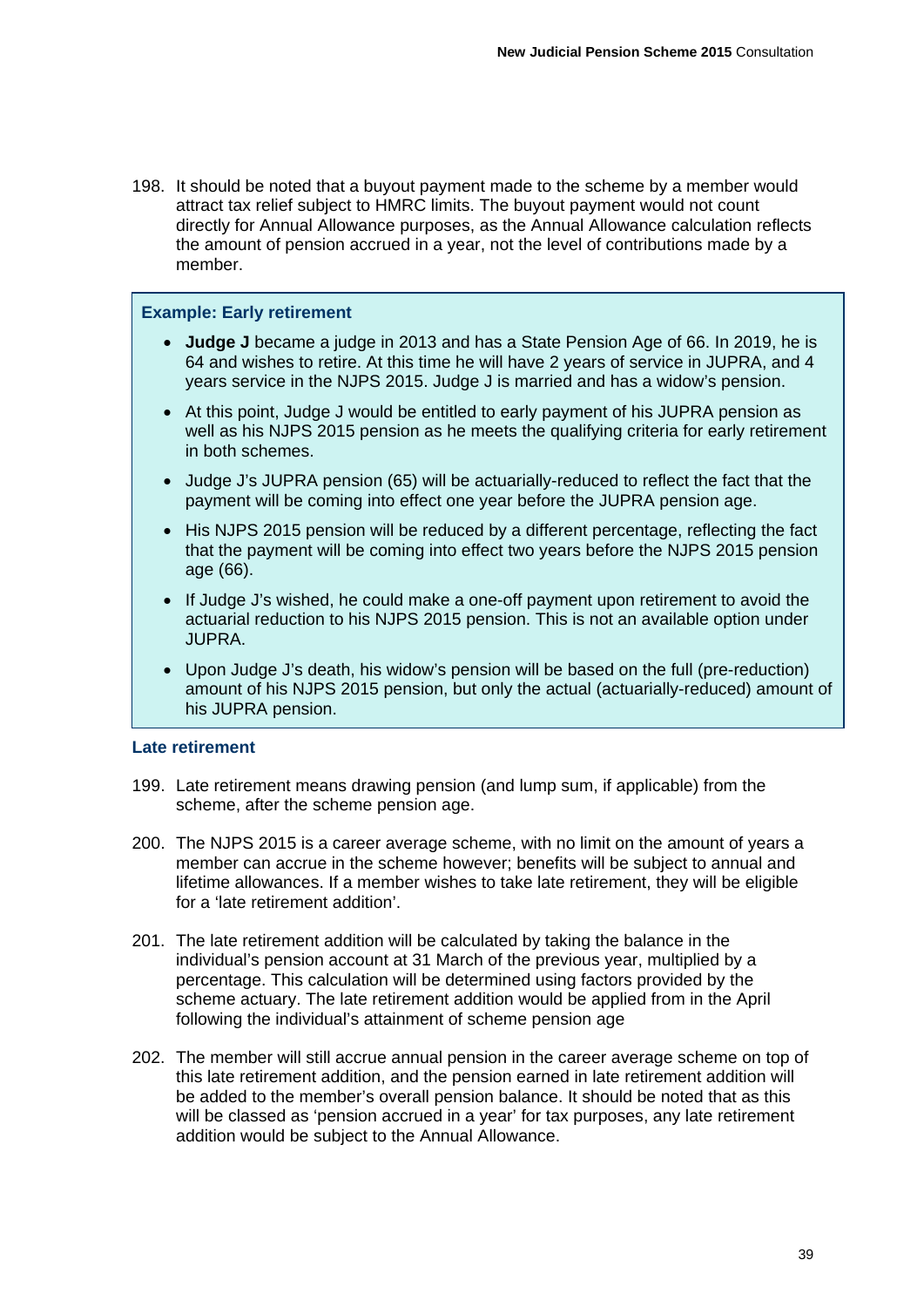198. It should be noted that a buyout payment made to the scheme by a member would attract tax relief subject to HMRC limits. The buyout payment would not count directly for Annual Allowance purposes, as the Annual Allowance calculation reflects the amount of pension accrued in a year, not the level of contributions made by a member.

#### **Example: Early retirement**

- **Judge J** became a judge in 2013 and has a State Pension Age of 66. In 2019, he is 64 and wishes to retire. At this time he will have 2 years of service in JUPRA, and 4 years service in the NJPS 2015. Judge J is married and has a widow's pension.
- At this point, Judge J would be entitled to early payment of his JUPRA pension as well as his NJPS 2015 pension as he meets the qualifying criteria for early retirement in both schemes.
- Judge J's JUPRA pension (65) will be actuarially-reduced to reflect the fact that the payment will be coming into effect one year before the JUPRA pension age.
- His NJPS 2015 pension will be reduced by a different percentage, reflecting the fact that the payment will be coming into effect two years before the NJPS 2015 pension age (66).
- If Judge J's wished, he could make a one-off payment upon retirement to avoid the actuarial reduction to his NJPS 2015 pension. This is not an available option under JUPRA.
- Upon Judge J's death, his widow's pension will be based on the full (pre-reduction) amount of his NJPS 2015 pension, but only the actual (actuarially-reduced) amount of his JUPRA pension.

#### **Late retirement**

- 199. Late retirement means drawing pension (and lump sum, if applicable) from the scheme, after the scheme pension age.
- 200. The NJPS 2015 is a career average scheme, with no limit on the amount of years a member can accrue in the scheme however; benefits will be subject to annual and lifetime allowances. If a member wishes to take late retirement, they will be eligible for a 'late retirement addition'.
- 201. The late retirement addition will be calculated by taking the balance in the individual's pension account at 31 March of the previous year, multiplied by a percentage. This calculation will be determined using factors provided by the scheme actuary. The late retirement addition would be applied from in the April following the individual's attainment of scheme pension age
- 202. The member will still accrue annual pension in the career average scheme on top of this late retirement addition, and the pension earned in late retirement addition will be added to the member's overall pension balance. It should be noted that as this will be classed as 'pension accrued in a year' for tax purposes, any late retirement addition would be subject to the Annual Allowance.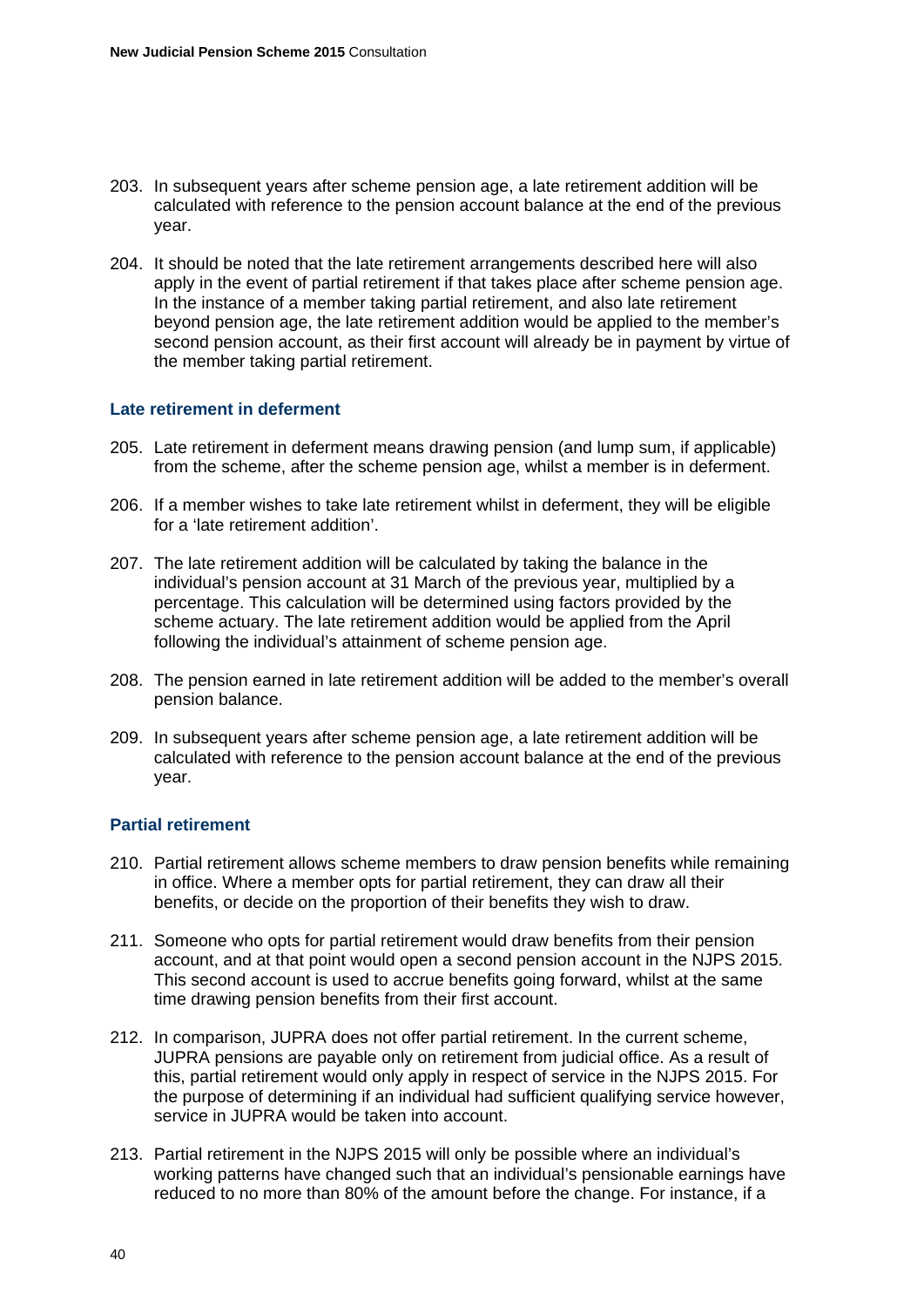- 203. In subsequent years after scheme pension age, a late retirement addition will be calculated with reference to the pension account balance at the end of the previous year.
- 204. It should be noted that the late retirement arrangements described here will also apply in the event of partial retirement if that takes place after scheme pension age. In the instance of a member taking partial retirement, and also late retirement beyond pension age, the late retirement addition would be applied to the member's second pension account, as their first account will already be in payment by virtue of the member taking partial retirement.

#### **Late retirement in deferment**

- 205. Late retirement in deferment means drawing pension (and lump sum, if applicable) from the scheme, after the scheme pension age, whilst a member is in deferment.
- 206. If a member wishes to take late retirement whilst in deferment, they will be eligible for a 'late retirement addition'.
- 207. The late retirement addition will be calculated by taking the balance in the individual's pension account at 31 March of the previous year, multiplied by a percentage. This calculation will be determined using factors provided by the scheme actuary. The late retirement addition would be applied from the April following the individual's attainment of scheme pension age.
- 208. The pension earned in late retirement addition will be added to the member's overall pension balance.
- 209. In subsequent years after scheme pension age, a late retirement addition will be calculated with reference to the pension account balance at the end of the previous year.

#### **Partial retirement**

- 210. Partial retirement allows scheme members to draw pension benefits while remaining in office. Where a member opts for partial retirement, they can draw all their benefits, or decide on the proportion of their benefits they wish to draw.
- 211. Someone who opts for partial retirement would draw benefits from their pension account, and at that point would open a second pension account in the NJPS 2015. This second account is used to accrue benefits going forward, whilst at the same time drawing pension benefits from their first account.
- 212. In comparison, JUPRA does not offer partial retirement. In the current scheme, JUPRA pensions are payable only on retirement from judicial office. As a result of this, partial retirement would only apply in respect of service in the NJPS 2015. For the purpose of determining if an individual had sufficient qualifying service however, service in JUPRA would be taken into account.
- 213. Partial retirement in the NJPS 2015 will only be possible where an individual's working patterns have changed such that an individual's pensionable earnings have reduced to no more than 80% of the amount before the change. For instance, if a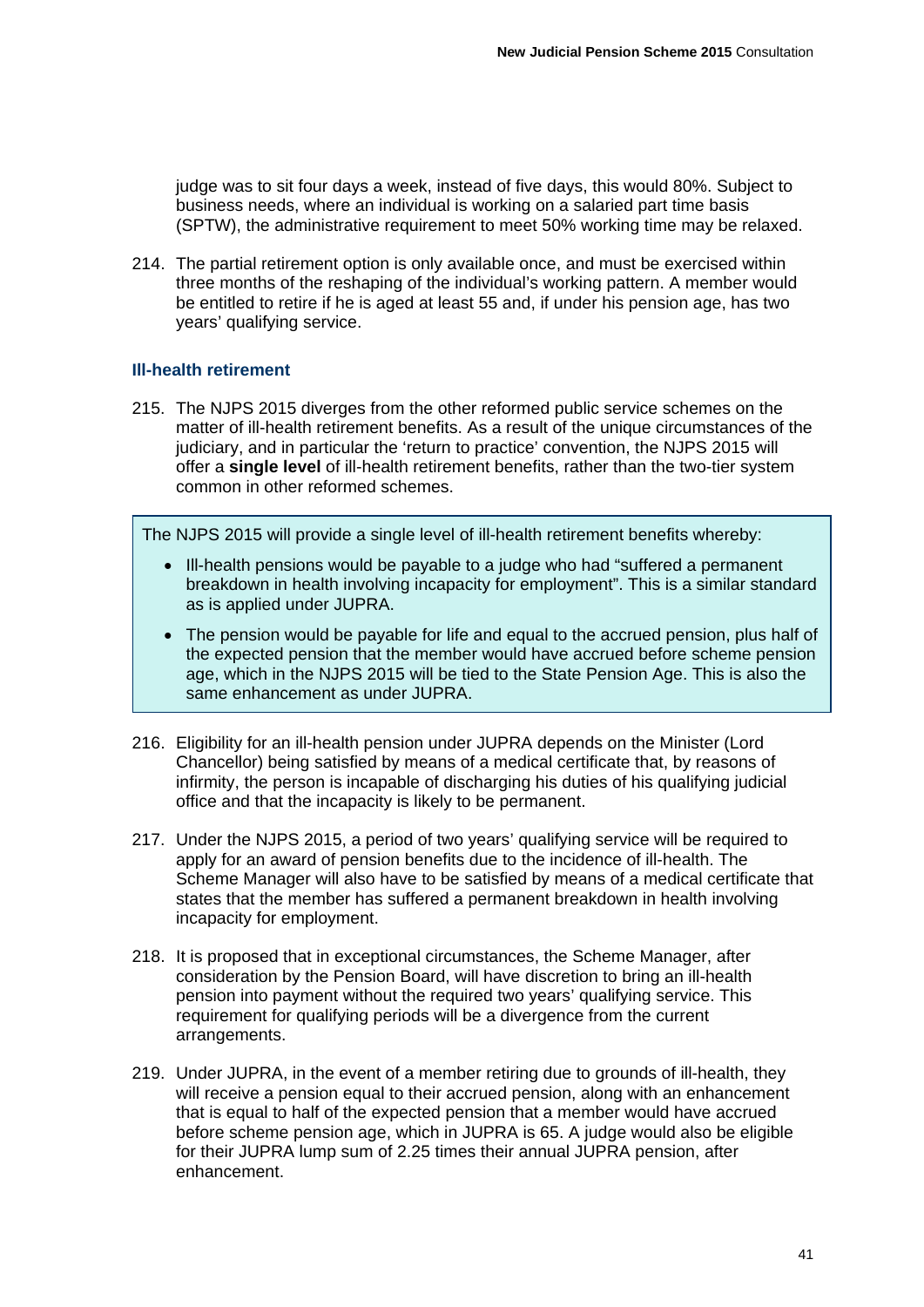judge was to sit four days a week, instead of five days, this would 80%. Subject to business needs, where an individual is working on a salaried part time basis (SPTW), the administrative requirement to meet 50% working time may be relaxed.

214. The partial retirement option is only available once, and must be exercised within three months of the reshaping of the individual's working pattern. A member would be entitled to retire if he is aged at least 55 and, if under his pension age, has two years' qualifying service.

#### **Ill-health retirement**

215. The NJPS 2015 diverges from the other reformed public service schemes on the matter of ill-health retirement benefits. As a result of the unique circumstances of the judiciary, and in particular the 'return to practice' convention, the NJPS 2015 will offer a **single level** of ill-health retirement benefits, rather than the two-tier system common in other reformed schemes.

The NJPS 2015 will provide a single level of ill-health retirement benefits whereby:

- Ill-health pensions would be payable to a judge who had "suffered a permanent" breakdown in health involving incapacity for employment". This is a similar standard as is applied under JUPRA.
- The pension would be payable for life and equal to the accrued pension, plus half of the expected pension that the member would have accrued before scheme pension age, which in the NJPS 2015 will be tied to the State Pension Age. This is also the same enhancement as under JUPRA.
- 216. Eligibility for an ill-health pension under JUPRA depends on the Minister (Lord Chancellor) being satisfied by means of a medical certificate that, by reasons of infirmity, the person is incapable of discharging his duties of his qualifying judicial office and that the incapacity is likely to be permanent.
- 217. Under the NJPS 2015, a period of two years' qualifying service will be required to apply for an award of pension benefits due to the incidence of ill-health. The Scheme Manager will also have to be satisfied by means of a medical certificate that states that the member has suffered a permanent breakdown in health involving incapacity for employment.
- 218. It is proposed that in exceptional circumstances, the Scheme Manager, after consideration by the Pension Board, will have discretion to bring an ill-health pension into payment without the required two years' qualifying service. This requirement for qualifying periods will be a divergence from the current arrangements.
- 219. Under JUPRA, in the event of a member retiring due to grounds of ill-health, they will receive a pension equal to their accrued pension, along with an enhancement that is equal to half of the expected pension that a member would have accrued before scheme pension age, which in JUPRA is 65. A judge would also be eligible for their JUPRA lump sum of 2.25 times their annual JUPRA pension, after enhancement.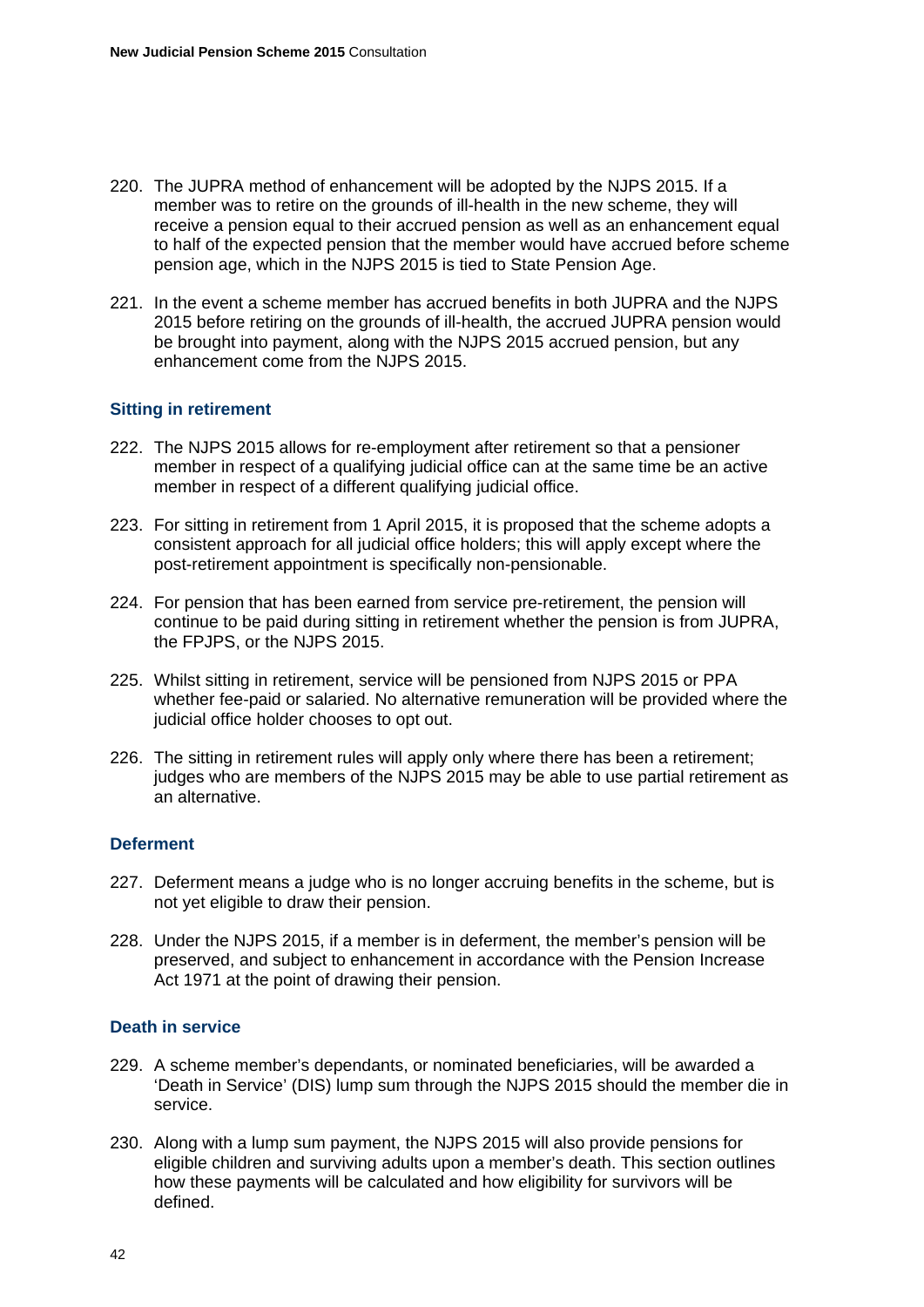- 220. The JUPRA method of enhancement will be adopted by the NJPS 2015. If a member was to retire on the grounds of ill-health in the new scheme, they will receive a pension equal to their accrued pension as well as an enhancement equal to half of the expected pension that the member would have accrued before scheme pension age, which in the NJPS 2015 is tied to State Pension Age.
- 221. In the event a scheme member has accrued benefits in both JUPRA and the NJPS 2015 before retiring on the grounds of ill-health, the accrued JUPRA pension would be brought into payment, along with the NJPS 2015 accrued pension, but any enhancement come from the NJPS 2015.

#### **Sitting in retirement**

- 222. The NJPS 2015 allows for re-employment after retirement so that a pensioner member in respect of a qualifying judicial office can at the same time be an active member in respect of a different qualifying judicial office.
- 223. For sitting in retirement from 1 April 2015, it is proposed that the scheme adopts a consistent approach for all judicial office holders; this will apply except where the post-retirement appointment is specifically non-pensionable.
- 224. For pension that has been earned from service pre-retirement, the pension will continue to be paid during sitting in retirement whether the pension is from JUPRA, the FPJPS, or the NJPS 2015.
- 225. Whilst sitting in retirement, service will be pensioned from NJPS 2015 or PPA whether fee-paid or salaried. No alternative remuneration will be provided where the judicial office holder chooses to opt out.
- 226. The sitting in retirement rules will apply only where there has been a retirement; judges who are members of the NJPS 2015 may be able to use partial retirement as an alternative.

#### **Deferment**

- 227. Deferment means a judge who is no longer accruing benefits in the scheme, but is not yet eligible to draw their pension.
- 228. Under the NJPS 2015, if a member is in deferment, the member's pension will be preserved, and subject to enhancement in accordance with the Pension Increase Act 1971 at the point of drawing their pension.

#### **Death in service**

- 229. A scheme member's dependants, or nominated beneficiaries, will be awarded a 'Death in Service' (DIS) lump sum through the NJPS 2015 should the member die in service.
- 230. Along with a lump sum payment, the NJPS 2015 will also provide pensions for eligible children and surviving adults upon a member's death. This section outlines how these payments will be calculated and how eligibility for survivors will be defined.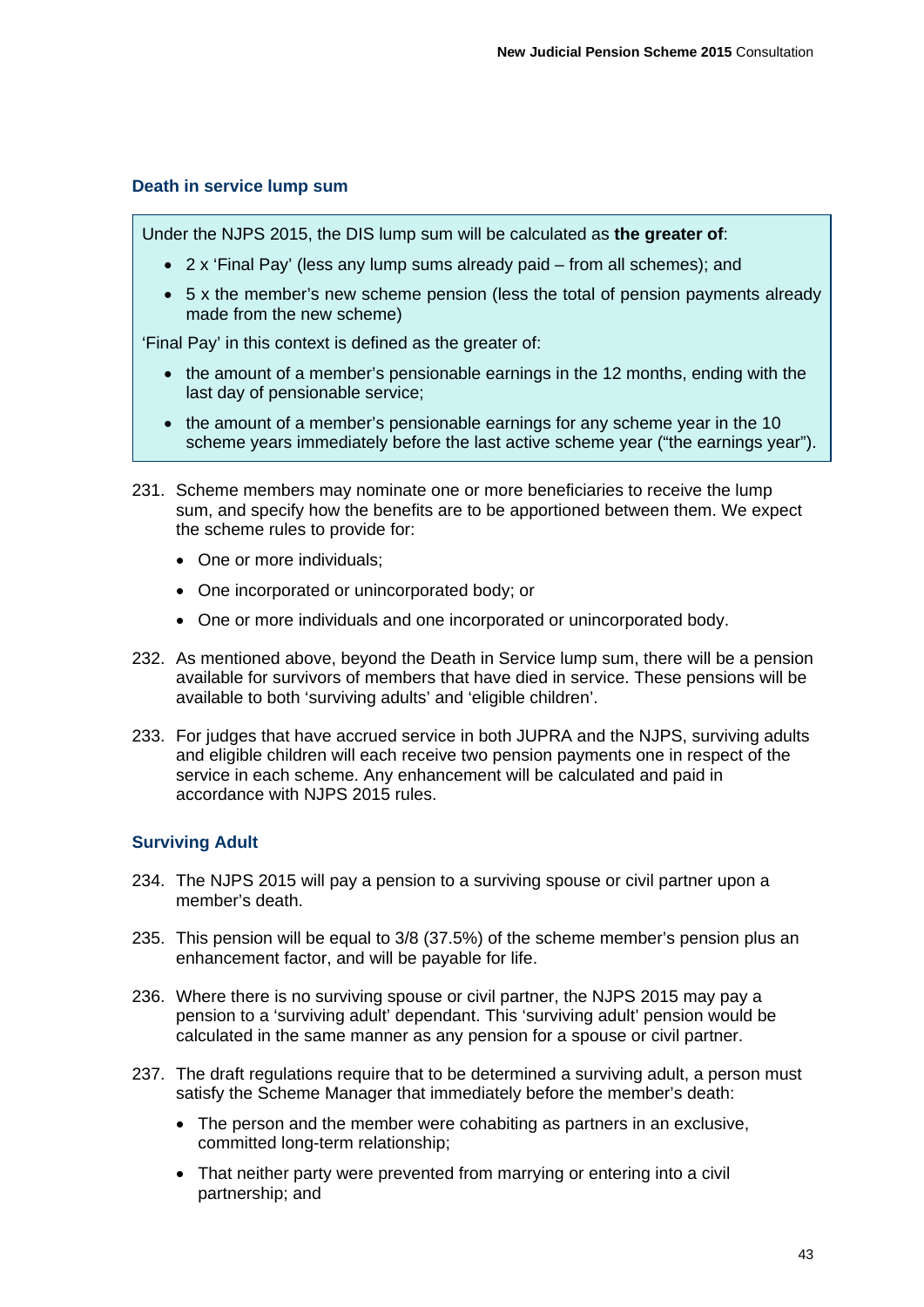#### **Death in service lump sum**

Under the NJPS 2015, the DIS lump sum will be calculated as **the greater of**:

- 2 x 'Final Pay' (less any lump sums already paid from all schemes); and
- 5 x the member's new scheme pension (less the total of pension payments already made from the new scheme)

'Final Pay' in this context is defined as the greater of:

- the amount of a member's pensionable earnings in the 12 months, ending with the last day of pensionable service;
- the amount of a member's pensionable earnings for any scheme year in the 10 scheme years immediately before the last active scheme year ("the earnings year").
- 231. Scheme members may nominate one or more beneficiaries to receive the lump sum, and specify how the benefits are to be apportioned between them. We expect the scheme rules to provide for:
	- One or more individuals;
	- One incorporated or unincorporated body; or
	- One or more individuals and one incorporated or unincorporated body.
- 232. As mentioned above, beyond the Death in Service lump sum, there will be a pension available for survivors of members that have died in service. These pensions will be available to both 'surviving adults' and 'eligible children'.
- 233. For judges that have accrued service in both JUPRA and the NJPS, surviving adults and eligible children will each receive two pension payments one in respect of the service in each scheme. Any enhancement will be calculated and paid in accordance with NJPS 2015 rules.

#### **Surviving Adult**

- 234. The NJPS 2015 will pay a pension to a surviving spouse or civil partner upon a member's death.
- 235. This pension will be equal to 3/8 (37.5%) of the scheme member's pension plus an enhancement factor, and will be payable for life.
- 236. Where there is no surviving spouse or civil partner, the NJPS 2015 may pay a pension to a 'surviving adult' dependant. This 'surviving adult' pension would be calculated in the same manner as any pension for a spouse or civil partner.
- 237. The draft regulations require that to be determined a surviving adult, a person must satisfy the Scheme Manager that immediately before the member's death:
	- The person and the member were cohabiting as partners in an exclusive, committed long-term relationship;
	- That neither party were prevented from marrying or entering into a civil partnership; and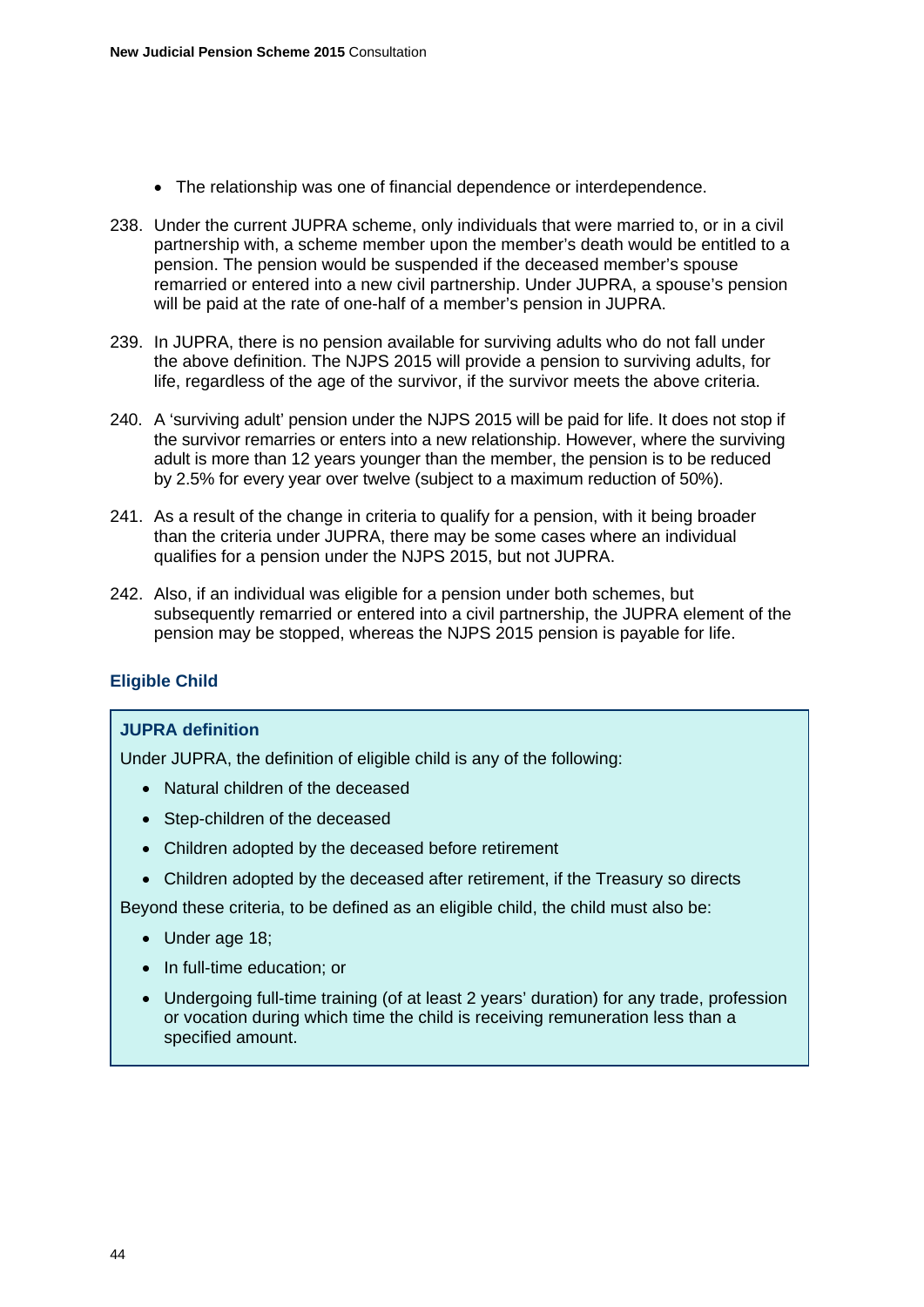- The relationship was one of financial dependence or interdependence.
- 238. Under the current JUPRA scheme, only individuals that were married to, or in a civil partnership with, a scheme member upon the member's death would be entitled to a pension. The pension would be suspended if the deceased member's spouse remarried or entered into a new civil partnership. Under JUPRA, a spouse's pension will be paid at the rate of one-half of a member's pension in JUPRA.
- 239. In JUPRA, there is no pension available for surviving adults who do not fall under the above definition. The NJPS 2015 will provide a pension to surviving adults, for life, regardless of the age of the survivor, if the survivor meets the above criteria.
- 240. A 'surviving adult' pension under the NJPS 2015 will be paid for life. It does not stop if the survivor remarries or enters into a new relationship. However, where the surviving adult is more than 12 years younger than the member, the pension is to be reduced by 2.5% for every year over twelve (subject to a maximum reduction of 50%).
- 241. As a result of the change in criteria to qualify for a pension, with it being broader than the criteria under JUPRA, there may be some cases where an individual qualifies for a pension under the NJPS 2015, but not JUPRA.
- 242. Also, if an individual was eligible for a pension under both schemes, but subsequently remarried or entered into a civil partnership, the JUPRA element of the pension may be stopped, whereas the NJPS 2015 pension is payable for life.

### **Eligible Child**

#### **JUPRA definition**

Under JUPRA, the definition of eligible child is any of the following:

- Natural children of the deceased
- Step-children of the deceased
- Children adopted by the deceased before retirement
- Children adopted by the deceased after retirement, if the Treasury so directs

Beyond these criteria, to be defined as an eligible child, the child must also be:

- Under age 18;
- In full-time education; or
- Undergoing full-time training (of at least 2 years' duration) for any trade, profession or vocation during which time the child is receiving remuneration less than a specified amount.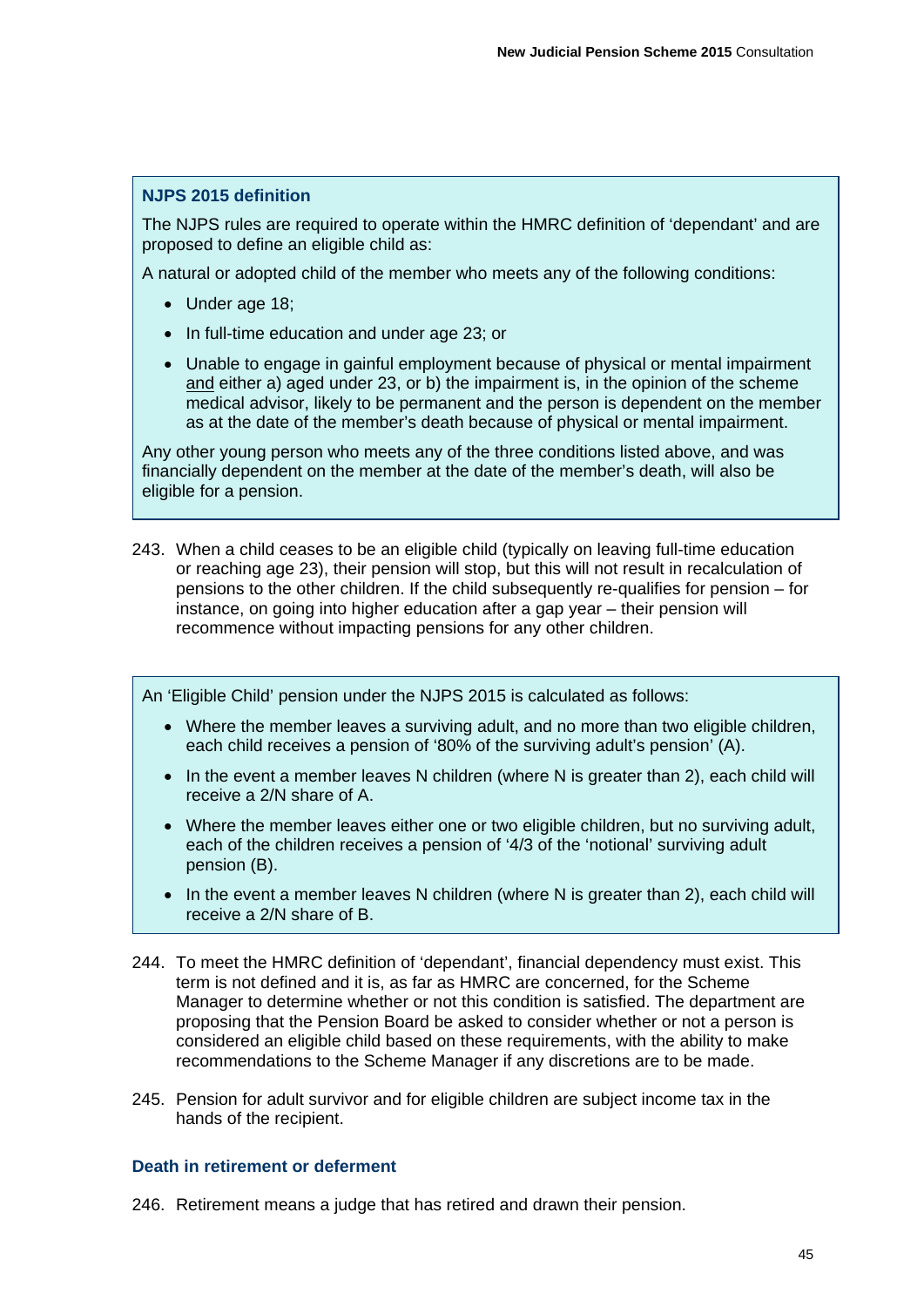### **NJPS 2015 definition**

The NJPS rules are required to operate within the HMRC definition of 'dependant' and are proposed to define an eligible child as:

A natural or adopted child of the member who meets any of the following conditions:

- Under age 18;
- In full-time education and under age 23; or
- Unable to engage in gainful employment because of physical or mental impairment and either a) aged under 23, or b) the impairment is, in the opinion of the scheme medical advisor, likely to be permanent and the person is dependent on the member as at the date of the member's death because of physical or mental impairment.

Any other young person who meets any of the three conditions listed above, and was financially dependent on the member at the date of the member's death, will also be eligible for a pension.

243. When a child ceases to be an eligible child (typically on leaving full-time education or reaching age 23), their pension will stop, but this will not result in recalculation of pensions to the other children. If the child subsequently re-qualifies for pension – for instance, on going into higher education after a gap year – their pension will recommence without impacting pensions for any other children.

An 'Eligible Child' pension under the NJPS 2015 is calculated as follows:

- Where the member leaves a surviving adult, and no more than two eligible children, each child receives a pension of '80% of the surviving adult's pension' (A).
- In the event a member leaves N children (where N is greater than 2), each child will receive a 2/N share of A.
- Where the member leaves either one or two eligible children, but no surviving adult, each of the children receives a pension of '4/3 of the 'notional' surviving adult pension (B).
- In the event a member leaves N children (where N is greater than 2), each child will receive a 2/N share of B.
- 244. To meet the HMRC definition of 'dependant', financial dependency must exist. This term is not defined and it is, as far as HMRC are concerned, for the Scheme Manager to determine whether or not this condition is satisfied. The department are proposing that the Pension Board be asked to consider whether or not a person is considered an eligible child based on these requirements, with the ability to make recommendations to the Scheme Manager if any discretions are to be made.
- 245. Pension for adult survivor and for eligible children are subject income tax in the hands of the recipient.

### **Death in retirement or deferment**

246. Retirement means a judge that has retired and drawn their pension.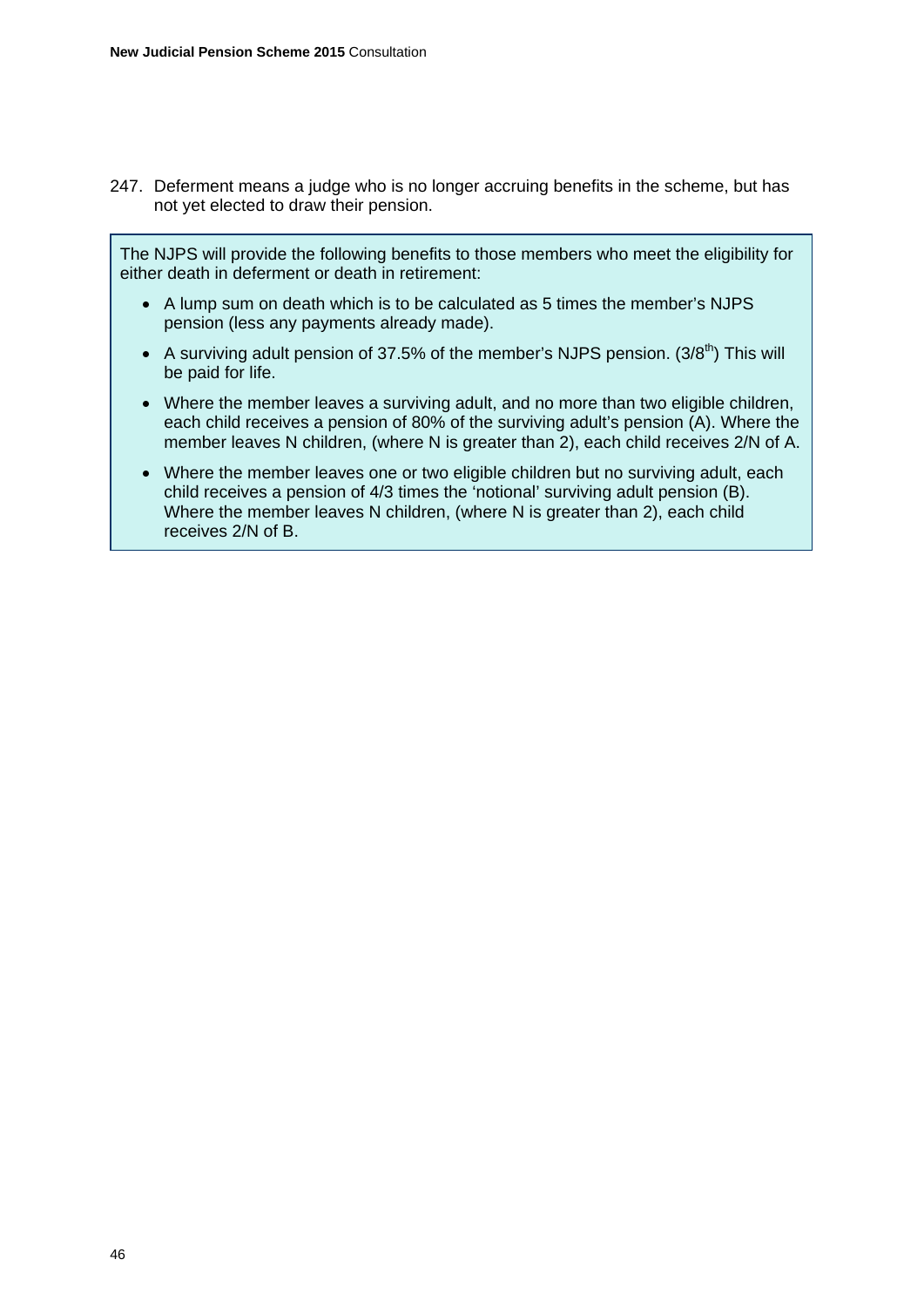247. Deferment means a judge who is no longer accruing benefits in the scheme, but has not yet elected to draw their pension.

The NJPS will provide the following benefits to those members who meet the eligibility for either death in deferment or death in retirement:

- A lump sum on death which is to be calculated as 5 times the member's NJPS pension (less any payments already made).
- A surviving adult pension of 37.5% of the member's NJPS pension.  $(3/8<sup>th</sup>)$  This will be paid for life.
- Where the member leaves a surviving adult, and no more than two eligible children, each child receives a pension of 80% of the surviving adult's pension (A). Where the member leaves N children, (where N is greater than 2), each child receives 2/N of A.
- Where the member leaves one or two eligible children but no surviving adult, each child receives a pension of 4/3 times the 'notional' surviving adult pension (B). Where the member leaves N children, (where N is greater than 2), each child receives 2/N of B.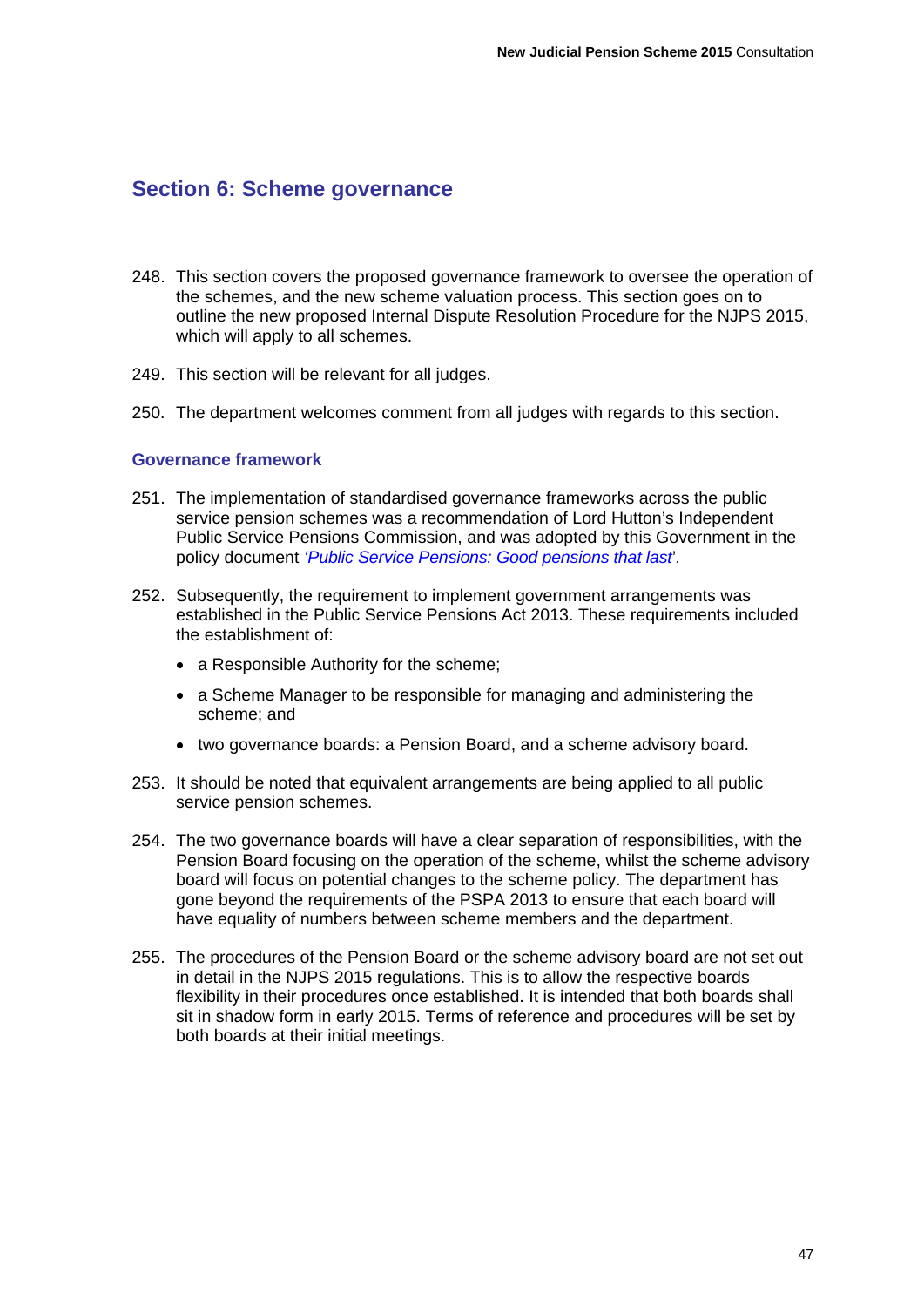### **Section 6: Scheme governance**

- 248. This section covers the proposed governance framework to oversee the operation of the schemes, and the new scheme valuation process. This section goes on to outline the new proposed Internal Dispute Resolution Procedure for the NJPS 2015, which will apply to all schemes.
- 249. This section will be relevant for all judges.
- 250. The department welcomes comment from all judges with regards to this section.

#### **Governance framework**

- 251. The implementation of standardised governance frameworks across the public service pension schemes was a recommendation of Lord Hutton's Independent Public Service Pensions Commission, and was adopted by this Government in the policy document *['Public Service Pensions: Good pensions that last](https://www.gov.uk/government/uploads/system/uploads/attachment_data/file/205837/Public_Service_Pensions_-_good_pensions_that_last._Command_paper.pdf)*'*.*
- 252. Subsequently, the requirement to implement government arrangements was established in the Public Service Pensions Act 2013. These requirements included the establishment of:
	- a Responsible Authority for the scheme:
	- a Scheme Manager to be responsible for managing and administering the scheme; and
	- two governance boards: a Pension Board, and a scheme advisory board.
- 253. It should be noted that equivalent arrangements are being applied to all public service pension schemes.
- 254. The two governance boards will have a clear separation of responsibilities, with the Pension Board focusing on the operation of the scheme, whilst the scheme advisory board will focus on potential changes to the scheme policy. The department has gone beyond the requirements of the PSPA 2013 to ensure that each board will have equality of numbers between scheme members and the department.
- 255. The procedures of the Pension Board or the scheme advisory board are not set out in detail in the NJPS 2015 regulations. This is to allow the respective boards flexibility in their procedures once established. It is intended that both boards shall sit in shadow form in early 2015. Terms of reference and procedures will be set by both boards at their initial meetings.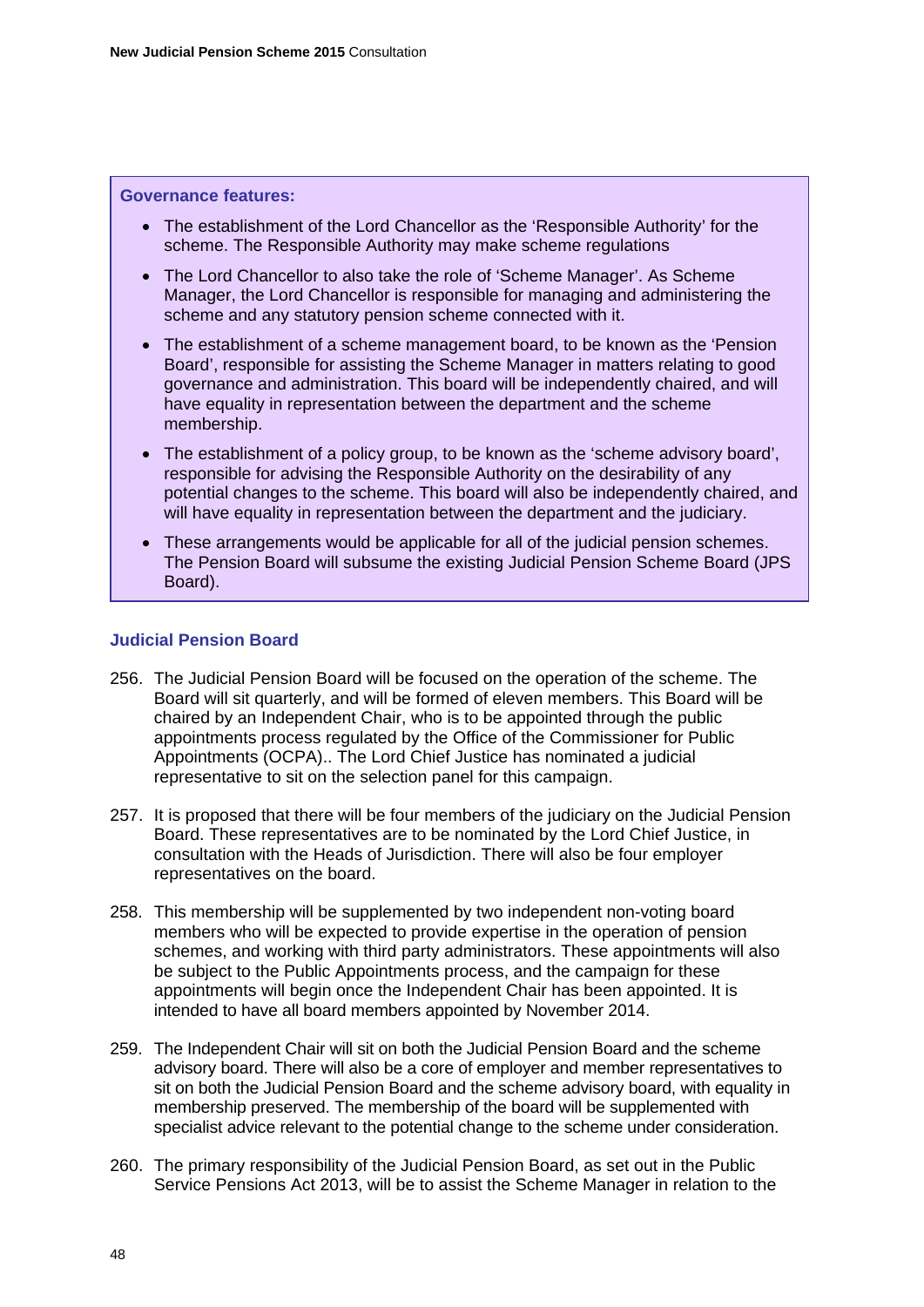#### **Governance features:**

- The establishment of the Lord Chancellor as the 'Responsible Authority' for the scheme. The Responsible Authority may make scheme regulations
- The Lord Chancellor to also take the role of 'Scheme Manager'. As Scheme Manager, the Lord Chancellor is responsible for managing and administering the scheme and any statutory pension scheme connected with it.
- The establishment of a scheme management board, to be known as the 'Pension' Board', responsible for assisting the Scheme Manager in matters relating to good governance and administration. This board will be independently chaired, and will have equality in representation between the department and the scheme membership.
- The establishment of a policy group, to be known as the 'scheme advisory board', responsible for advising the Responsible Authority on the desirability of any potential changes to the scheme. This board will also be independently chaired, and will have equality in representation between the department and the judiciary.
- These arrangements would be applicable for all of the judicial pension schemes. The Pension Board will subsume the existing Judicial Pension Scheme Board (JPS Board).

#### **Judicial Pension Board**

- 256. The Judicial Pension Board will be focused on the operation of the scheme. The Board will sit quarterly, and will be formed of eleven members. This Board will be chaired by an Independent Chair, who is to be appointed through the public appointments process regulated by the Office of the Commissioner for Public Appointments (OCPA).. The Lord Chief Justice has nominated a judicial representative to sit on the selection panel for this campaign.
- 257. It is proposed that there will be four members of the judiciary on the Judicial Pension Board. These representatives are to be nominated by the Lord Chief Justice, in consultation with the Heads of Jurisdiction. There will also be four employer representatives on the board.
- 258. This membership will be supplemented by two independent non-voting board members who will be expected to provide expertise in the operation of pension schemes, and working with third party administrators. These appointments will also be subject to the Public Appointments process, and the campaign for these appointments will begin once the Independent Chair has been appointed. It is intended to have all board members appointed by November 2014.
- 259. The Independent Chair will sit on both the Judicial Pension Board and the scheme advisory board. There will also be a core of employer and member representatives to sit on both the Judicial Pension Board and the scheme advisory board, with equality in membership preserved. The membership of the board will be supplemented with specialist advice relevant to the potential change to the scheme under consideration.
- 260. The primary responsibility of the Judicial Pension Board, as set out in the Public Service Pensions Act 2013, will be to assist the Scheme Manager in relation to the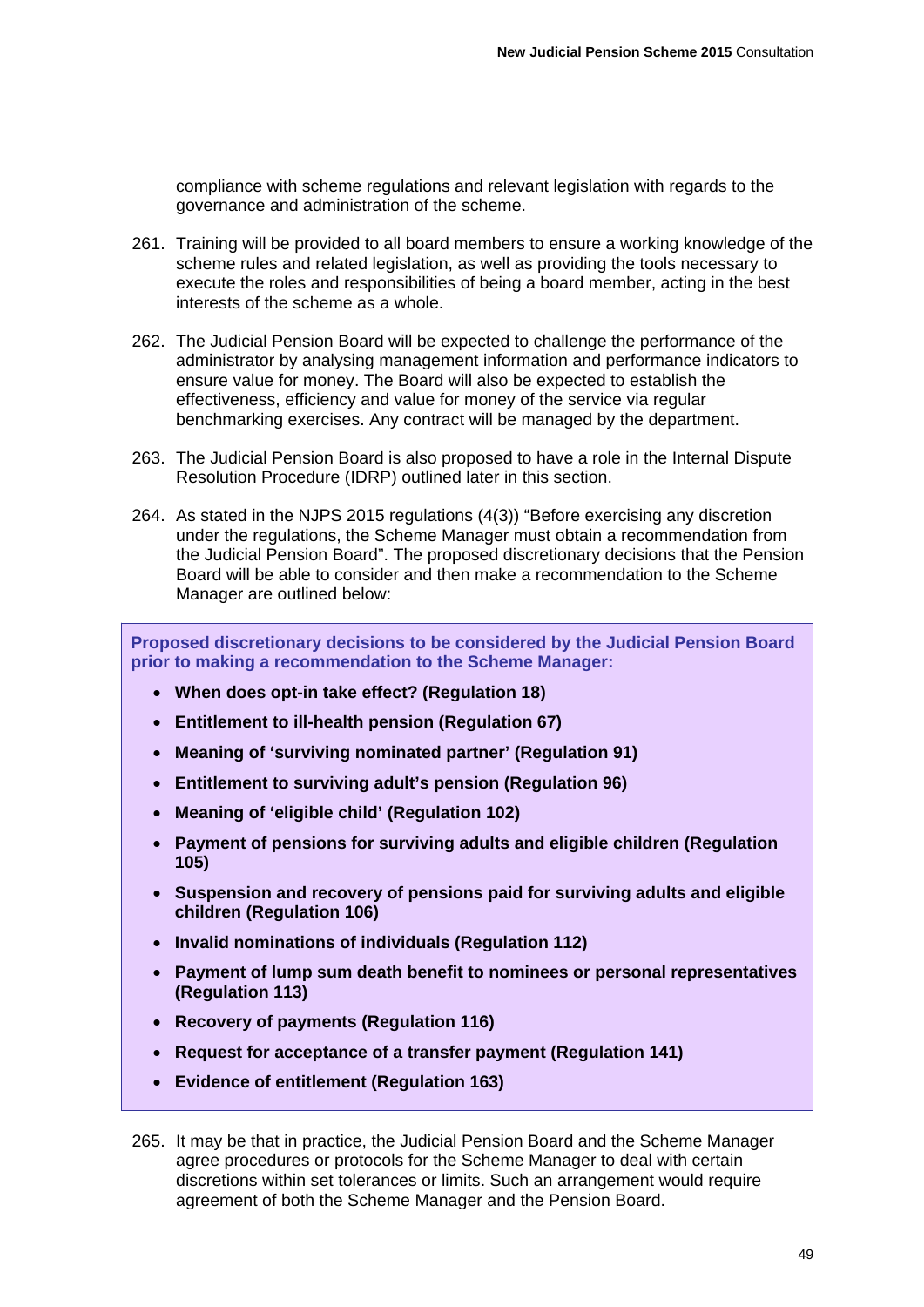compliance with scheme regulations and relevant legislation with regards to the governance and administration of the scheme.

- 261. Training will be provided to all board members to ensure a working knowledge of the scheme rules and related legislation, as well as providing the tools necessary to execute the roles and responsibilities of being a board member, acting in the best interests of the scheme as a whole.
- 262. The Judicial Pension Board will be expected to challenge the performance of the administrator by analysing management information and performance indicators to ensure value for money. The Board will also be expected to establish the effectiveness, efficiency and value for money of the service via regular benchmarking exercises. Any contract will be managed by the department.
- 263. The Judicial Pension Board is also proposed to have a role in the Internal Dispute Resolution Procedure (IDRP) outlined later in this section.
- <span id="page-52-0"></span>264. As stated in the NJPS 2015 regulations (4(3)) "Before exercising any discretion under the regulations, the Scheme Manager must obtain a recommendation from the Judicial Pension Board". The proposed discretionary decisions that the Pension Board will be able to consider and then make a recommendation to the Scheme Manager are outlined below:

**Proposed discretionary decisions to be considered by the Judicial Pension Board prior to making a recommendation to the Scheme Manager:** 

- **When does opt-in take effect? (Regulation 18)**
- **Entitlement to ill-health pension (Regulation 67)**
- **Meaning of 'surviving nominated partner' (Regulation 91)**
- **Entitlement to surviving adult's pension (Regulation 96)**
- **Meaning of 'eligible child' (Regulation 102)**
- **Payment of pensions for surviving adults and eligible children (Regulation 105)**
- **Suspension and recovery of pensions paid for surviving adults and eligible children (Regulation 106)**
- **Invalid nominations of individuals (Regulation 112)**
- **Payment of lump sum death benefit to nominees or personal representatives (Regulation 113)**
- **Recovery of payments (Regulation 116)**
- **Request for acceptance of a transfer payment (Regulation 141)**
- **Evidence of entitlement (Regulation 163)**

265. It may be that in practice, the Judicial Pension Board and the Scheme Manager agree procedures or protocols for the Scheme Manager to deal with certain discretions within set tolerances or limits. Such an arrangement would require agreement of both the Scheme Manager and the Pension Board.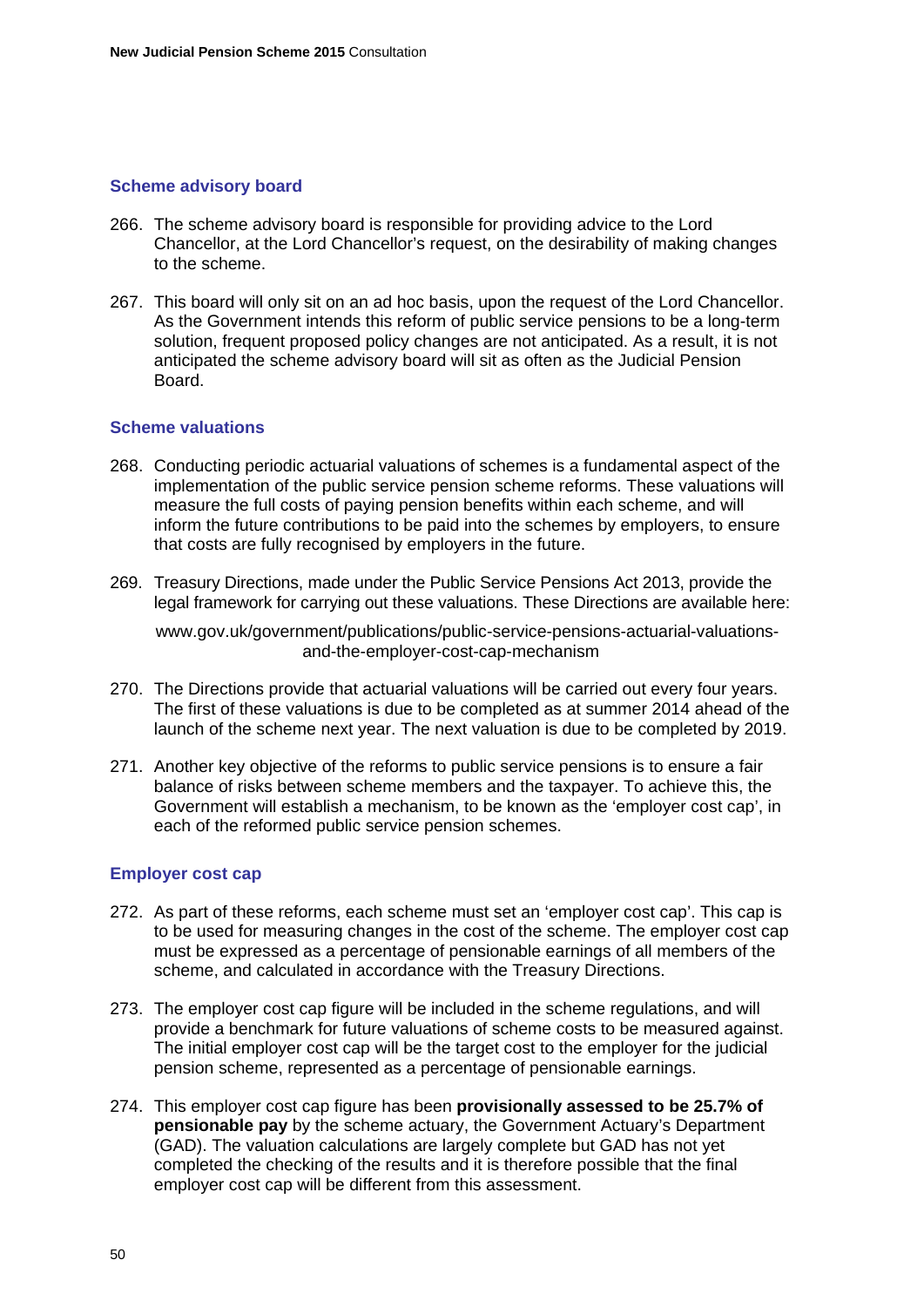#### **Scheme advisory board**

- 266. The scheme advisory board is responsible for providing advice to the Lord Chancellor, at the Lord Chancellor's request, on the desirability of making changes to the scheme.
- 267. This board will only sit on an ad hoc basis, upon the request of the Lord Chancellor. As the Government intends this reform of public service pensions to be a long-term solution, frequent proposed policy changes are not anticipated. As a result, it is not anticipated the scheme advisory board will sit as often as the Judicial Pension Board.

#### **Scheme valuations**

- 268. Conducting periodic actuarial valuations of schemes is a fundamental aspect of the implementation of the public service pension scheme reforms. These valuations will measure the full costs of paying pension benefits within each scheme, and will inform the future contributions to be paid into the schemes by employers, to ensure that costs are fully recognised by employers in the future.
- 269. Treasury Directions, made under the Public Service Pensions Act 2013, provide the legal framework for carrying out these valuations. These Directions are available here:

[www.gov.uk/government/publications/public-service-pensions-actuarial-valuations](http://www.gov.uk/government/publications/public-service-pensions-actuarial-valuations-and-the-employer-cost-cap-mechanism)[and-the-employer-cost-cap-mechanism](http://www.gov.uk/government/publications/public-service-pensions-actuarial-valuations-and-the-employer-cost-cap-mechanism)

- 270. The Directions provide that actuarial valuations will be carried out every four years. The first of these valuations is due to be completed as at summer 2014 ahead of the launch of the scheme next year. The next valuation is due to be completed by 2019.
- 271. Another key objective of the reforms to public service pensions is to ensure a fair balance of risks between scheme members and the taxpayer. To achieve this, the Government will establish a mechanism, to be known as the 'employer cost cap', in each of the reformed public service pension schemes.

#### **Employer cost cap**

- 272. As part of these reforms, each scheme must set an 'employer cost cap'. This cap is to be used for measuring changes in the cost of the scheme. The employer cost cap must be expressed as a percentage of pensionable earnings of all members of the scheme, and calculated in accordance with the Treasury Directions.
- 273. The employer cost cap figure will be included in the scheme regulations, and will provide a benchmark for future valuations of scheme costs to be measured against. The initial employer cost cap will be the target cost to the employer for the judicial pension scheme, represented as a percentage of pensionable earnings.
- 274. This employer cost cap figure has been **provisionally assessed to be 25.7% of pensionable pay** by the scheme actuary, the Government Actuary's Department (GAD). The valuation calculations are largely complete but GAD has not yet completed the checking of the results and it is therefore possible that the final employer cost cap will be different from this assessment.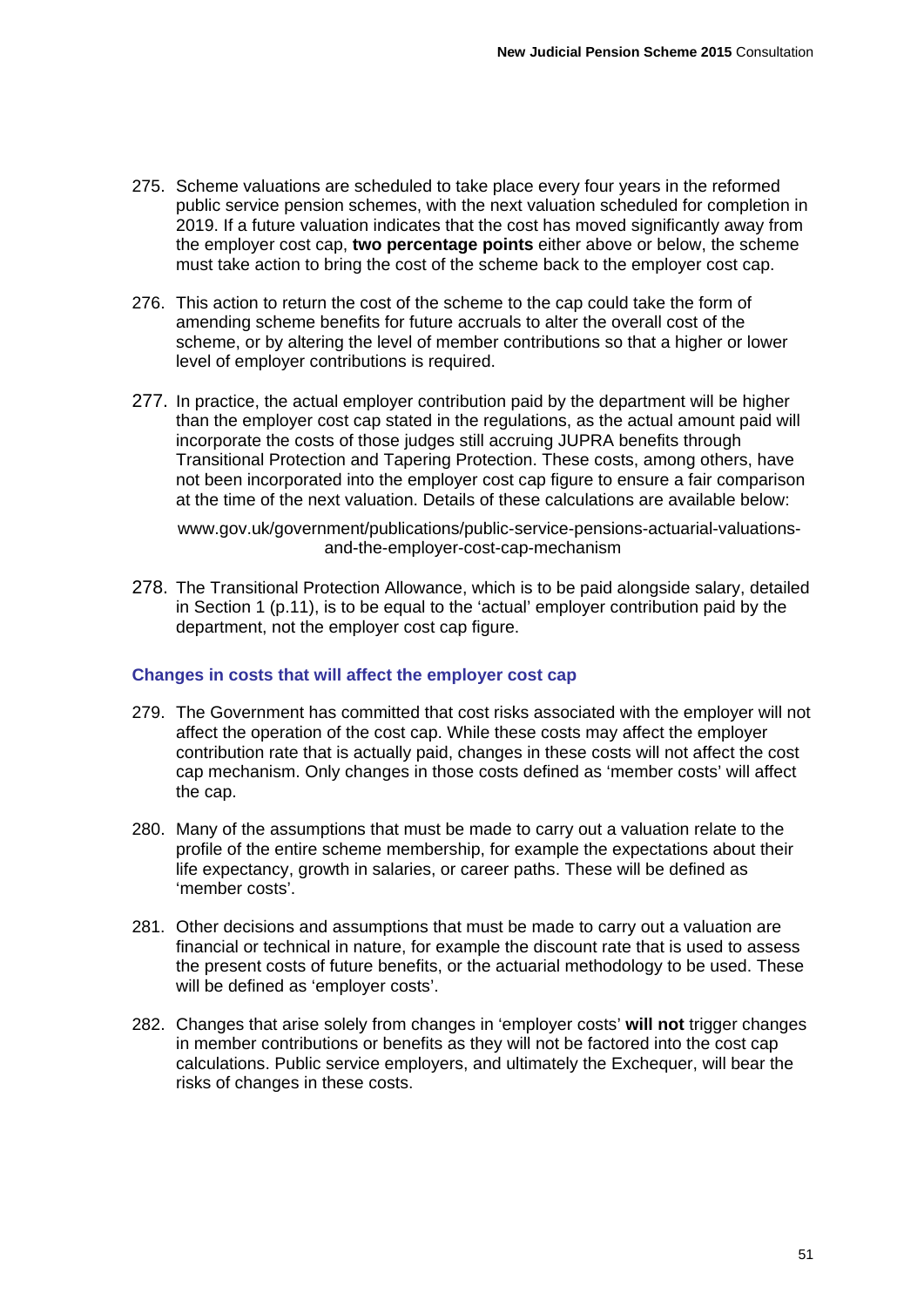- 275. Scheme valuations are scheduled to take place every four years in the reformed public service pension schemes, with the next valuation scheduled for completion in 2019. If a future valuation indicates that the cost has moved significantly away from the employer cost cap, **two percentage points** either above or below, the scheme must take action to bring the cost of the scheme back to the employer cost cap.
- 276. This action to return the cost of the scheme to the cap could take the form of amending scheme benefits for future accruals to alter the overall cost of the scheme, or by altering the level of member contributions so that a higher or lower level of employer contributions is required.
- 277. In practice, the actual employer contribution paid by the department will be higher than the employer cost cap stated in the regulations, as the actual amount paid will incorporate the costs of those judges still accruing JUPRA benefits through Transitional Protection and Tapering Protection. These costs, among others, have not been incorporated into the employer cost cap figure to ensure a fair comparison at the time of the next valuation. Details of these calculations are available below:

[www.gov.uk/government/publications/public-service-pensions-actuarial-valuations](http://www.gov.uk/government/publications/public-service-pensions-actuarial-valuations-and-the-employer-cost-cap-mechanism)[and-the-employer-cost-cap-mechanism](http://www.gov.uk/government/publications/public-service-pensions-actuarial-valuations-and-the-employer-cost-cap-mechanism)

278. The Transitional Protection Allowance, which is to be paid alongside salary, detailed in Section 1 (p.[11](#page-14-0)), is to be equal to the 'actual' employer contribution paid by the department, not the employer cost cap figure.

#### **Changes in costs that will affect the employer cost cap**

- 279. The Government has committed that cost risks associated with the employer will not affect the operation of the cost cap. While these costs may affect the employer contribution rate that is actually paid, changes in these costs will not affect the cost cap mechanism. Only changes in those costs defined as 'member costs' will affect the cap.
- 280. Many of the assumptions that must be made to carry out a valuation relate to the profile of the entire scheme membership, for example the expectations about their life expectancy, growth in salaries, or career paths. These will be defined as 'member costs'.
- 281. Other decisions and assumptions that must be made to carry out a valuation are financial or technical in nature, for example the discount rate that is used to assess the present costs of future benefits, or the actuarial methodology to be used. These will be defined as 'employer costs'.
- 282. Changes that arise solely from changes in 'employer costs' **will not** trigger changes in member contributions or benefits as they will not be factored into the cost cap calculations. Public service employers, and ultimately the Exchequer, will bear the risks of changes in these costs.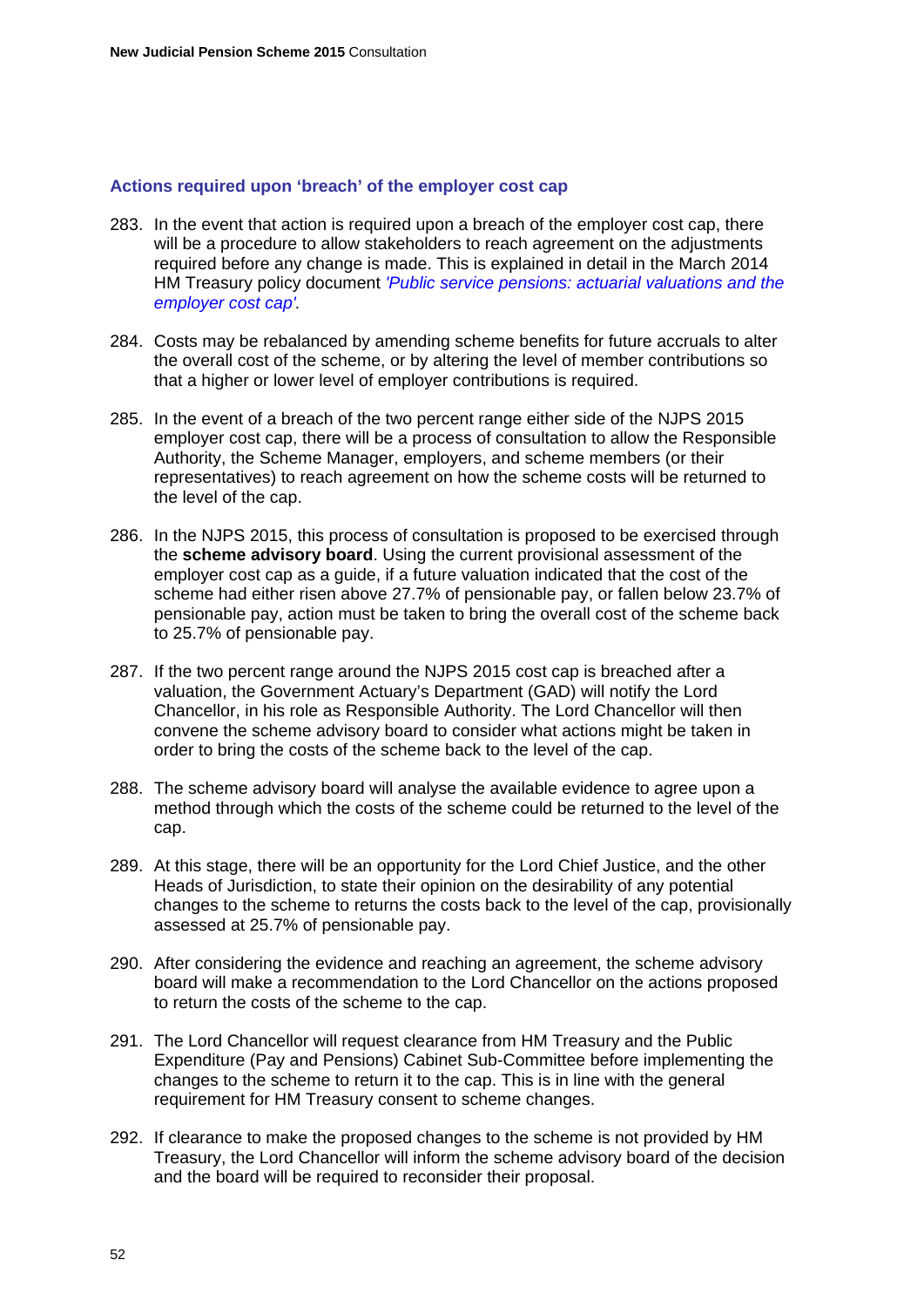#### **Actions required upon 'breach' of the employer cost cap**

- <span id="page-55-0"></span>283. In the event that action is required upon a breach of the employer cost cap, there will be a procedure to allow stakeholders to reach agreement on the adjustments required before any change is made. This is explained in detail in the March 2014 HM Treasury policy document *['Public service pensions: actuarial valuations and the](https://www.gov.uk/government/uploads/system/uploads/attachment_data/file/289366/public_service_pensions_actuarial_valuations_130314.pdf)  [employer cost cap'.](https://www.gov.uk/government/uploads/system/uploads/attachment_data/file/289366/public_service_pensions_actuarial_valuations_130314.pdf)*
- 284. Costs may be rebalanced by amending scheme benefits for future accruals to alter the overall cost of the scheme, or by altering the level of member contributions so that a higher or lower level of employer contributions is required.
- 285. In the event of a breach of the two percent range either side of the NJPS 2015 employer cost cap, there will be a process of consultation to allow the Responsible Authority, the Scheme Manager, employers, and scheme members (or their representatives) to reach agreement on how the scheme costs will be returned to the level of the cap.
- 286. In the NJPS 2015, this process of consultation is proposed to be exercised through the **scheme advisory board**. Using the current provisional assessment of the employer cost cap as a guide, if a future valuation indicated that the cost of the scheme had either risen above 27.7% of pensionable pay, or fallen below 23.7% of pensionable pay, action must be taken to bring the overall cost of the scheme back to 25.7% of pensionable pay.
- 287. If the two percent range around the NJPS 2015 cost cap is breached after a valuation, the Government Actuary's Department (GAD) will notify the Lord Chancellor, in his role as Responsible Authority. The Lord Chancellor will then convene the scheme advisory board to consider what actions might be taken in order to bring the costs of the scheme back to the level of the cap.
- 288. The scheme advisory board will analyse the available evidence to agree upon a method through which the costs of the scheme could be returned to the level of the cap.
- 289. At this stage, there will be an opportunity for the Lord Chief Justice, and the other Heads of Jurisdiction, to state their opinion on the desirability of any potential changes to the scheme to returns the costs back to the level of the cap, provisionally assessed at 25.7% of pensionable pay.
- 290. After considering the evidence and reaching an agreement, the scheme advisory board will make a recommendation to the Lord Chancellor on the actions proposed to return the costs of the scheme to the cap.
- 291. The Lord Chancellor will request clearance from HM Treasury and the Public Expenditure (Pay and Pensions) Cabinet Sub-Committee before implementing the changes to the scheme to return it to the cap. This is in line with the general requirement for HM Treasury consent to scheme changes.
- 292. If clearance to make the proposed changes to the scheme is not provided by HM Treasury, the Lord Chancellor will inform the scheme advisory board of the decision and the board will be required to reconsider their proposal.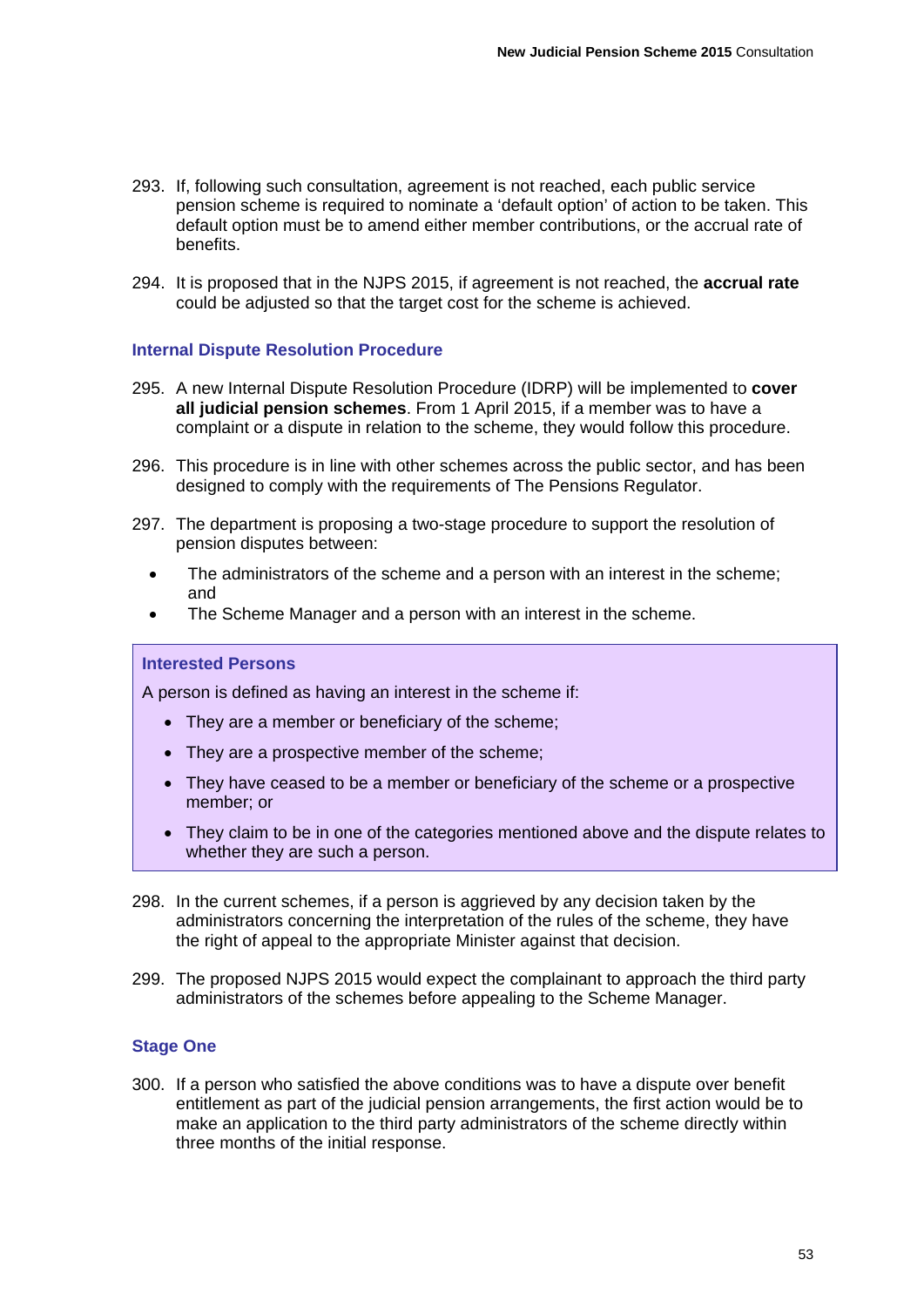- 293. If, following such consultation, agreement is not reached, each public service pension scheme is required to nominate a 'default option' of action to be taken. This default option must be to amend either member contributions, or the accrual rate of benefits.
- <span id="page-56-0"></span>294. It is proposed that in the NJPS 2015, if agreement is not reached, the **accrual rate** could be adjusted so that the target cost for the scheme is achieved.

#### **Internal Dispute Resolution Procedure**

- <span id="page-56-1"></span>295. A new Internal Dispute Resolution Procedure (IDRP) will be implemented to **cover all judicial pension schemes**. From 1 April 2015, if a member was to have a complaint or a dispute in relation to the scheme, they would follow this procedure.
- 296. This procedure is in line with other schemes across the public sector, and has been designed to comply with the requirements of The Pensions Regulator.
- 297. The department is proposing a two-stage procedure to support the resolution of pension disputes between:
	- The administrators of the scheme and a person with an interest in the scheme; and
	- The Scheme Manager and a person with an interest in the scheme.

#### **Interested Persons**

A person is defined as having an interest in the scheme if:

- They are a member or beneficiary of the scheme;
- They are a prospective member of the scheme;
- They have ceased to be a member or beneficiary of the scheme or a prospective member; or
- They claim to be in one of the categories mentioned above and the dispute relates to whether they are such a person.
- 298. In the current schemes, if a person is aggrieved by any decision taken by the administrators concerning the interpretation of the rules of the scheme, they have the right of appeal to the appropriate Minister against that decision.
- 299. The proposed NJPS 2015 would expect the complainant to approach the third party administrators of the schemes before appealing to the Scheme Manager.

#### **Stage One**

300. If a person who satisfied the above conditions was to have a dispute over benefit entitlement as part of the judicial pension arrangements, the first action would be to make an application to the third party administrators of the scheme directly within three months of the initial response.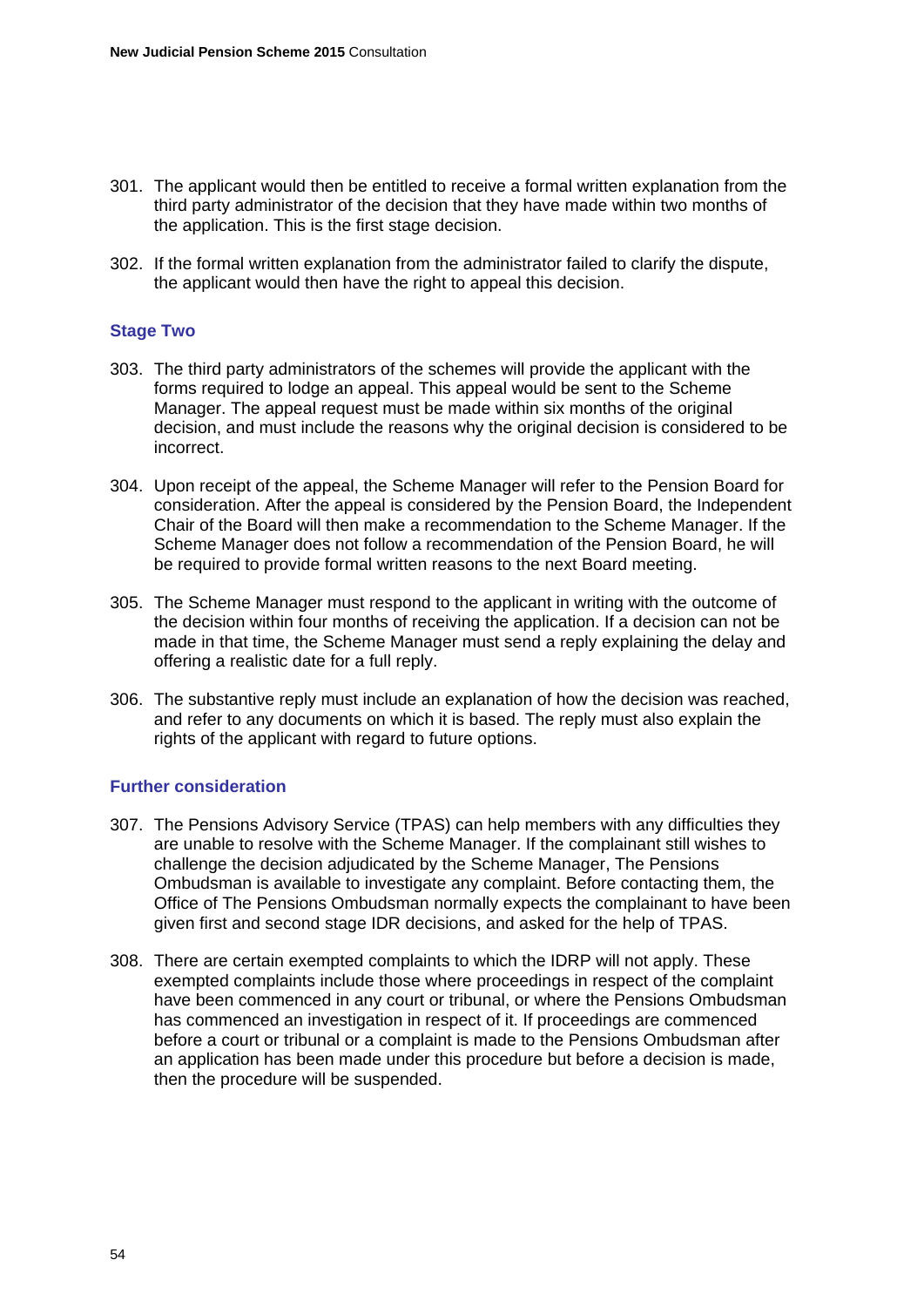- 301. The applicant would then be entitled to receive a formal written explanation from the third party administrator of the decision that they have made within two months of the application. This is the first stage decision.
- 302. If the formal written explanation from the administrator failed to clarify the dispute, the applicant would then have the right to appeal this decision.

#### **Stage Two**

- 303. The third party administrators of the schemes will provide the applicant with the forms required to lodge an appeal. This appeal would be sent to the Scheme Manager. The appeal request must be made within six months of the original decision, and must include the reasons why the original decision is considered to be incorrect.
- 304. Upon receipt of the appeal, the Scheme Manager will refer to the Pension Board for consideration. After the appeal is considered by the Pension Board, the Independent Chair of the Board will then make a recommendation to the Scheme Manager. If the Scheme Manager does not follow a recommendation of the Pension Board, he will be required to provide formal written reasons to the next Board meeting.
- 305. The Scheme Manager must respond to the applicant in writing with the outcome of the decision within four months of receiving the application. If a decision can not be made in that time, the Scheme Manager must send a reply explaining the delay and offering a realistic date for a full reply.
- 306. The substantive reply must include an explanation of how the decision was reached, and refer to any documents on which it is based. The reply must also explain the rights of the applicant with regard to future options.

#### **Further consideration**

- 307. The Pensions Advisory Service (TPAS) can help members with any difficulties they are unable to resolve with the Scheme Manager. If the complainant still wishes to challenge the decision adjudicated by the Scheme Manager, The Pensions Ombudsman is available to investigate any complaint. Before contacting them, the Office of The Pensions Ombudsman normally expects the complainant to have been given first and second stage IDR decisions, and asked for the help of TPAS.
- 308. There are certain exempted complaints to which the IDRP will not apply. These exempted complaints include those where proceedings in respect of the complaint have been commenced in any court or tribunal, or where the Pensions Ombudsman has commenced an investigation in respect of it. If proceedings are commenced before a court or tribunal or a complaint is made to the Pensions Ombudsman after an application has been made under this procedure but before a decision is made, then the procedure will be suspended.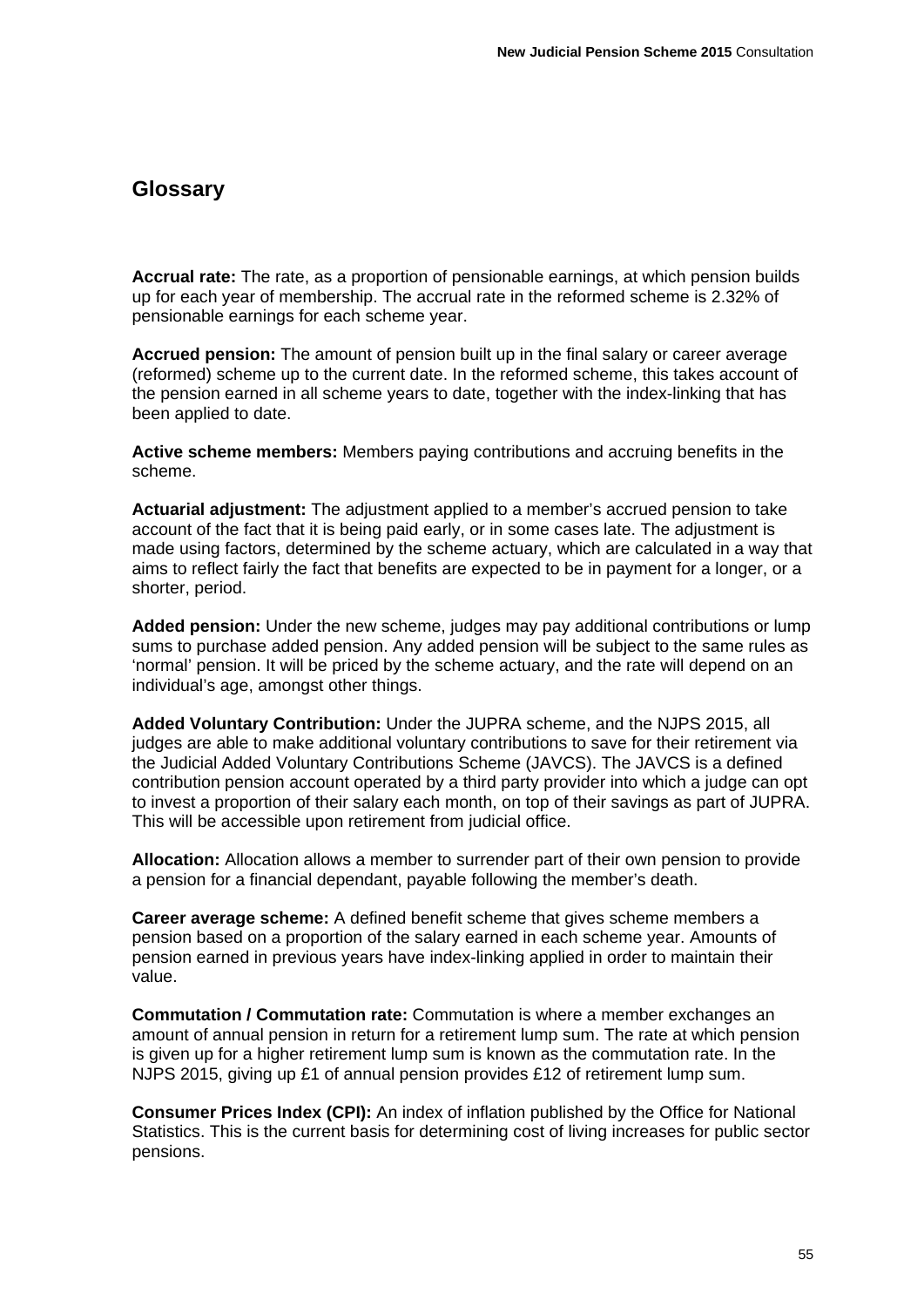### **Glossary**

**Accrual rate:** The rate, as a proportion of pensionable earnings, at which pension builds up for each year of membership. The accrual rate in the reformed scheme is 2.32% of pensionable earnings for each scheme year.

**Accrued pension:** The amount of pension built up in the final salary or career average (reformed) scheme up to the current date. In the reformed scheme, this takes account of the pension earned in all scheme years to date, together with the index-linking that has been applied to date.

**Active scheme members:** Members paying contributions and accruing benefits in the scheme.

**Actuarial adjustment:** The adjustment applied to a member's accrued pension to take account of the fact that it is being paid early, or in some cases late. The adjustment is made using factors, determined by the scheme actuary, which are calculated in a way that aims to reflect fairly the fact that benefits are expected to be in payment for a longer, or a shorter, period.

**Added pension:** Under the new scheme, judges may pay additional contributions or lump sums to purchase added pension. Any added pension will be subject to the same rules as 'normal' pension. It will be priced by the scheme actuary, and the rate will depend on an individual's age, amongst other things.

**Added Voluntary Contribution:** Under the JUPRA scheme, and the NJPS 2015, all judges are able to make additional voluntary contributions to save for their retirement via the Judicial Added Voluntary Contributions Scheme (JAVCS). The JAVCS is a defined contribution pension account operated by a third party provider into which a judge can opt to invest a proportion of their salary each month, on top of their savings as part of JUPRA. This will be accessible upon retirement from judicial office.

**Allocation:** Allocation allows a member to surrender part of their own pension to provide a pension for a financial dependant, payable following the member's death.

**Career average scheme:** A defined benefit scheme that gives scheme members a pension based on a proportion of the salary earned in each scheme year. Amounts of pension earned in previous years have index-linking applied in order to maintain their value.

**Commutation / Commutation rate:** Commutation is where a member exchanges an amount of annual pension in return for a retirement lump sum. The rate at which pension is given up for a higher retirement lump sum is known as the commutation rate. In the NJPS 2015, giving up £1 of annual pension provides £12 of retirement lump sum.

**Consumer Prices Index (CPI):** An index of inflation published by the Office for National Statistics. This is the current basis for determining cost of living increases for public sector pensions.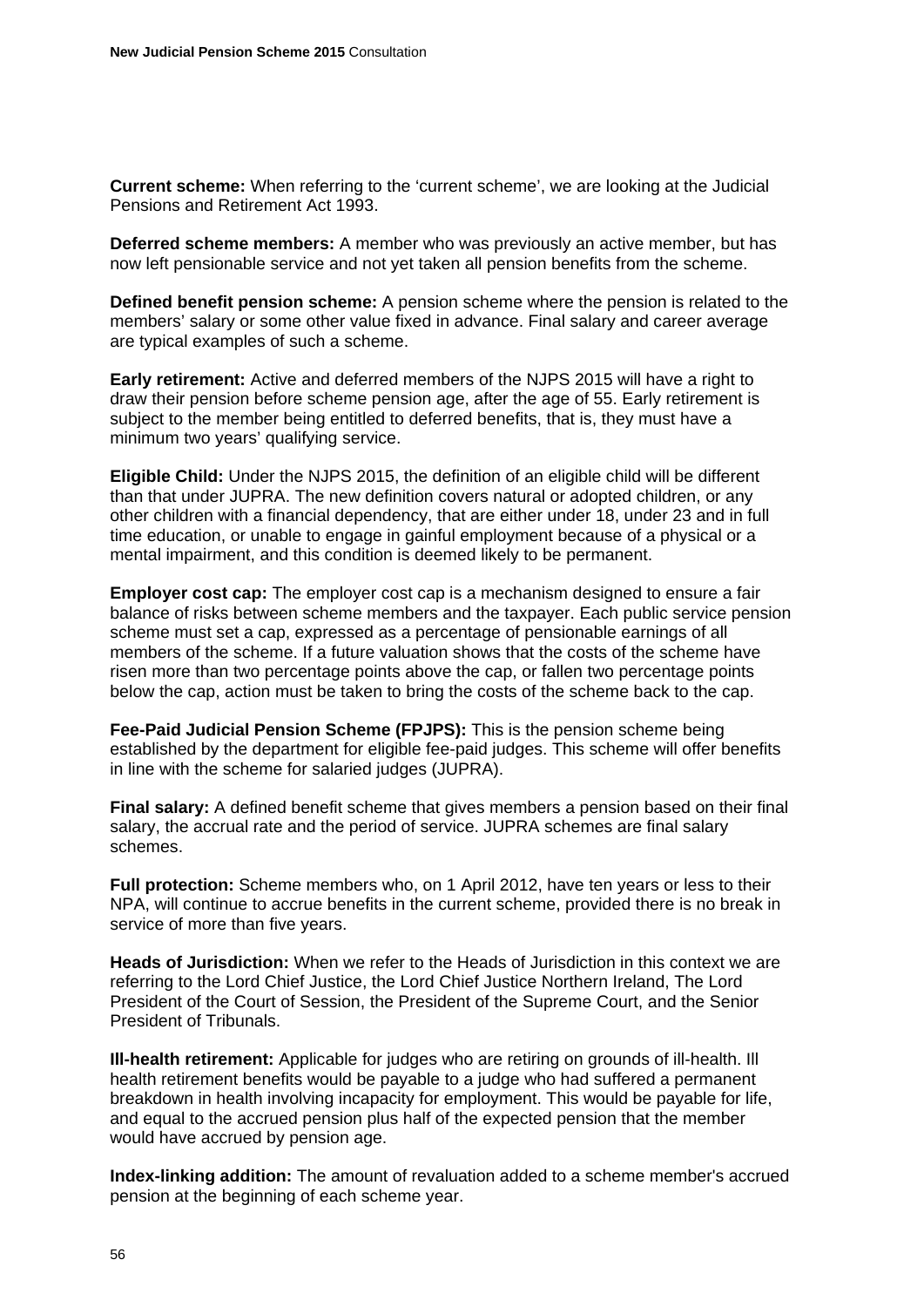**Current scheme:** When referring to the 'current scheme', we are looking at the Judicial Pensions and Retirement Act 1993.

**Deferred scheme members:** A member who was previously an active member, but has now left pensionable service and not yet taken all pension benefits from the scheme.

**Defined benefit pension scheme:** A pension scheme where the pension is related to the members' salary or some other value fixed in advance. Final salary and career average are typical examples of such a scheme.

**Early retirement:** Active and deferred members of the NJPS 2015 will have a right to draw their pension before scheme pension age, after the age of 55. Early retirement is subject to the member being entitled to deferred benefits, that is, they must have a minimum two years' qualifying service.

**Eligible Child:** Under the NJPS 2015, the definition of an eligible child will be different than that under JUPRA. The new definition covers natural or adopted children, or any other children with a financial dependency, that are either under 18, under 23 and in full time education, or unable to engage in gainful employment because of a physical or a mental impairment, and this condition is deemed likely to be permanent.

**Employer cost cap:** The employer cost cap is a mechanism designed to ensure a fair balance of risks between scheme members and the taxpayer. Each public service pension scheme must set a cap, expressed as a percentage of pensionable earnings of all members of the scheme. If a future valuation shows that the costs of the scheme have risen more than two percentage points above the cap, or fallen two percentage points below the cap, action must be taken to bring the costs of the scheme back to the cap.

**Fee-Paid Judicial Pension Scheme (FPJPS):** This is the pension scheme being established by the department for eligible fee-paid judges. This scheme will offer benefits in line with the scheme for salaried judges (JUPRA).

**Final salary:** A defined benefit scheme that gives members a pension based on their final salary, the accrual rate and the period of service. JUPRA schemes are final salary schemes.

**Full protection:** Scheme members who, on 1 April 2012, have ten years or less to their NPA, will continue to accrue benefits in the current scheme, provided there is no break in service of more than five years.

**Heads of Jurisdiction:** When we refer to the Heads of Jurisdiction in this context we are referring to the Lord Chief Justice, the Lord Chief Justice Northern Ireland, The Lord President of the Court of Session, the President of the Supreme Court, and the Senior President of Tribunals.

**Ill-health retirement:** Applicable for judges who are retiring on grounds of ill-health. Ill health retirement benefits would be payable to a judge who had suffered a permanent breakdown in health involving incapacity for employment. This would be payable for life, and equal to the accrued pension plus half of the expected pension that the member would have accrued by pension age.

**Index-linking addition:** The amount of revaluation added to a scheme member's accrued pension at the beginning of each scheme year.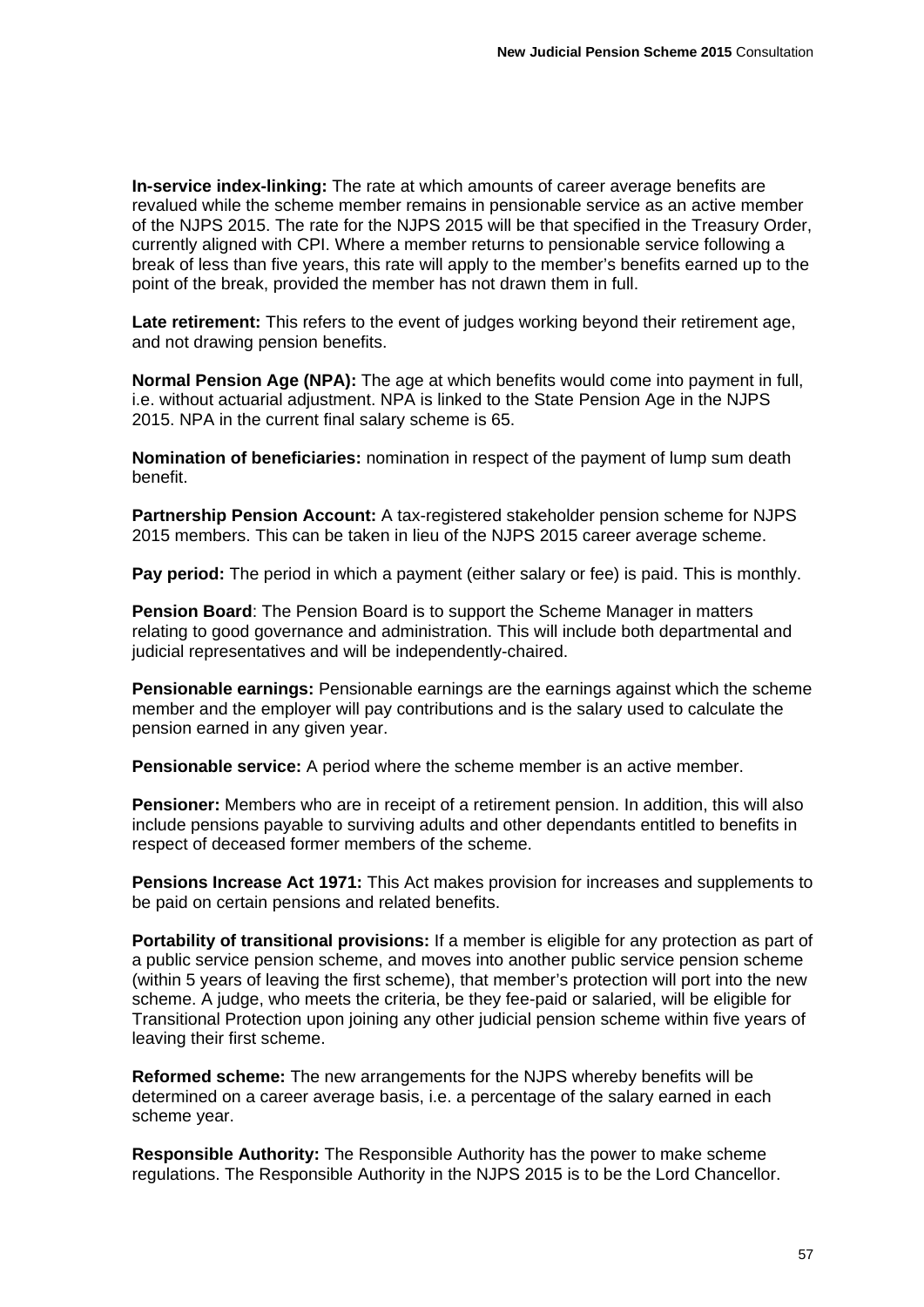**In-service index-linking:** The rate at which amounts of career average benefits are revalued while the scheme member remains in pensionable service as an active member of the NJPS 2015. The rate for the NJPS 2015 will be that specified in the Treasury Order, currently aligned with CPI. Where a member returns to pensionable service following a break of less than five years, this rate will apply to the member's benefits earned up to the point of the break, provided the member has not drawn them in full.

**Late retirement:** This refers to the event of judges working beyond their retirement age, and not drawing pension benefits.

**Normal Pension Age (NPA):** The age at which benefits would come into payment in full, i.e. without actuarial adjustment. NPA is linked to the State Pension Age in the NJPS 2015. NPA in the current final salary scheme is 65.

**Nomination of beneficiaries:** nomination in respect of the payment of lump sum death benefit.

**Partnership Pension Account:** A tax-registered stakeholder pension scheme for NJPS 2015 members. This can be taken in lieu of the NJPS 2015 career average scheme.

**Pay period:** The period in which a payment (either salary or fee) is paid. This is monthly.

**Pension Board**: The Pension Board is to support the Scheme Manager in matters relating to good governance and administration. This will include both departmental and judicial representatives and will be independently-chaired.

**Pensionable earnings:** Pensionable earnings are the earnings against which the scheme member and the employer will pay contributions and is the salary used to calculate the pension earned in any given year.

**Pensionable service:** A period where the scheme member is an active member.

**Pensioner:** Members who are in receipt of a retirement pension. In addition, this will also include pensions payable to surviving adults and other dependants entitled to benefits in respect of deceased former members of the scheme.

**Pensions Increase Act 1971:** This Act makes provision for increases and supplements to be paid on certain pensions and related benefits.

**Portability of transitional provisions:** If a member is eligible for any protection as part of a public service pension scheme, and moves into another public service pension scheme (within 5 years of leaving the first scheme), that member's protection will port into the new scheme. A judge, who meets the criteria, be they fee-paid or salaried, will be eligible for Transitional Protection upon joining any other judicial pension scheme within five years of leaving their first scheme.

**Reformed scheme:** The new arrangements for the NJPS whereby benefits will be determined on a career average basis, i.e. a percentage of the salary earned in each scheme year.

**Responsible Authority:** The Responsible Authority has the power to make scheme regulations. The Responsible Authority in the NJPS 2015 is to be the Lord Chancellor.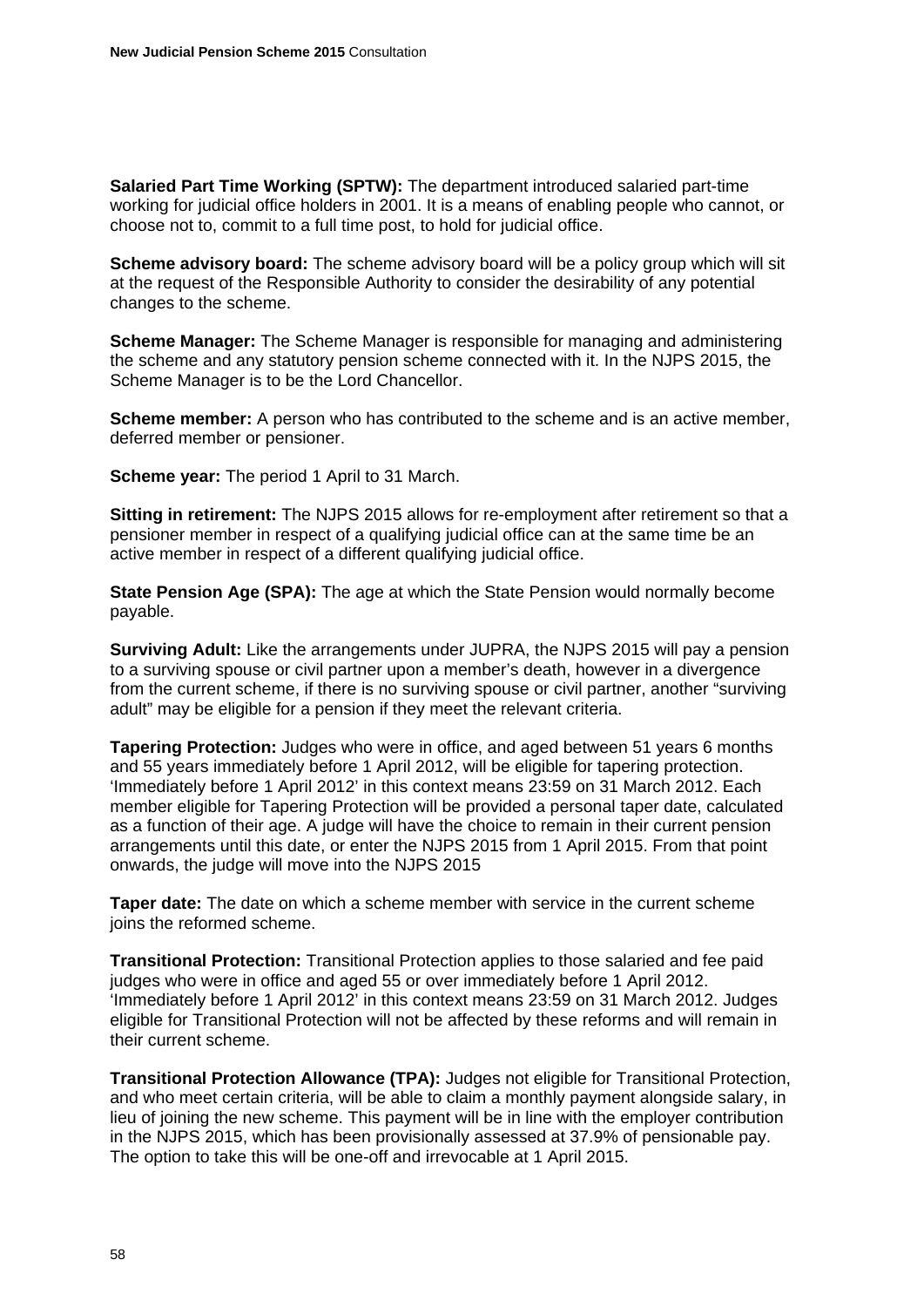**Salaried Part Time Working (SPTW):** The department introduced salaried part-time working for judicial office holders in 2001. It is a means of enabling people who cannot, or choose not to, commit to a full time post, to hold for judicial office.

**Scheme advisory board:** The scheme advisory board will be a policy group which will sit at the request of the Responsible Authority to consider the desirability of any potential changes to the scheme.

**Scheme Manager:** The Scheme Manager is responsible for managing and administering the scheme and any statutory pension scheme connected with it. In the NJPS 2015, the Scheme Manager is to be the Lord Chancellor.

**Scheme member:** A person who has contributed to the scheme and is an active member, deferred member or pensioner.

**Scheme year:** The period 1 April to 31 March.

**Sitting in retirement:** The NJPS 2015 allows for re-employment after retirement so that a pensioner member in respect of a qualifying judicial office can at the same time be an active member in respect of a different qualifying judicial office.

**State Pension Age (SPA):** The age at which the State Pension would normally become payable.

**Surviving Adult:** Like the arrangements under JUPRA, the NJPS 2015 will pay a pension to a surviving spouse or civil partner upon a member's death, however in a divergence from the current scheme, if there is no surviving spouse or civil partner, another "surviving adult" may be eligible for a pension if they meet the relevant criteria.

**Tapering Protection:** Judges who were in office, and aged between 51 years 6 months and 55 years immediately before 1 April 2012, will be eligible for tapering protection. 'Immediately before 1 April 2012' in this context means 23:59 on 31 March 2012. Each member eligible for Tapering Protection will be provided a personal taper date, calculated as a function of their age. A judge will have the choice to remain in their current pension arrangements until this date, or enter the NJPS 2015 from 1 April 2015. From that point onwards, the judge will move into the NJPS 2015

**Taper date:** The date on which a scheme member with service in the current scheme joins the reformed scheme.

**Transitional Protection:** Transitional Protection applies to those salaried and fee paid judges who were in office and aged 55 or over immediately before 1 April 2012. 'Immediately before 1 April 2012' in this context means 23:59 on 31 March 2012. Judges eligible for Transitional Protection will not be affected by these reforms and will remain in their current scheme.

**Transitional Protection Allowance (TPA):** Judges not eligible for Transitional Protection, and who meet certain criteria, will be able to claim a monthly payment alongside salary, in lieu of joining the new scheme. This payment will be in line with the employer contribution in the NJPS 2015, which has been provisionally assessed at 37.9% of pensionable pay. The option to take this will be one-off and irrevocable at 1 April 2015.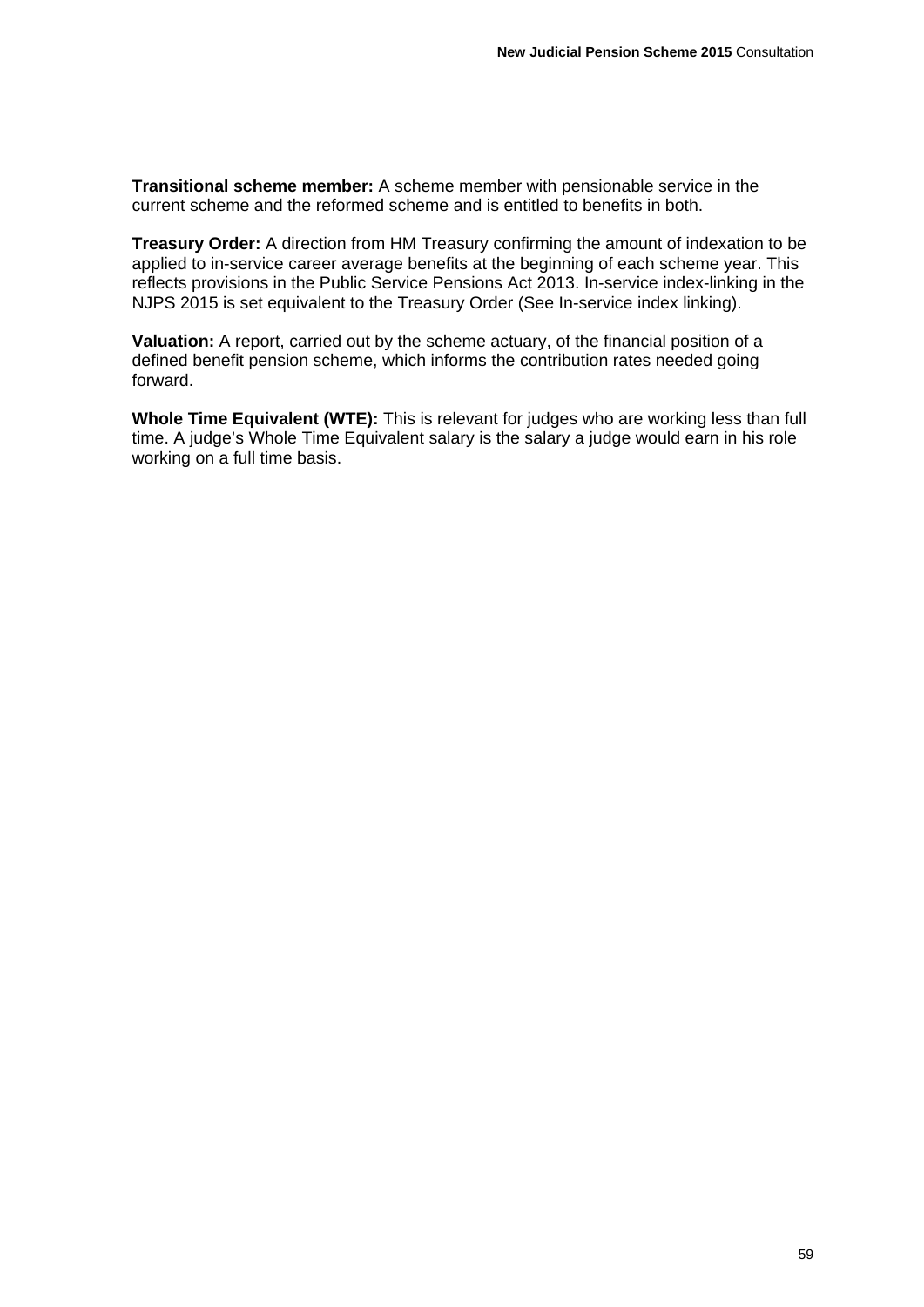**Transitional scheme member:** A scheme member with pensionable service in the current scheme and the reformed scheme and is entitled to benefits in both.

**Treasury Order:** A direction from HM Treasury confirming the amount of indexation to be applied to in-service career average benefits at the beginning of each scheme year. This reflects provisions in the Public Service Pensions Act 2013. In-service index-linking in the NJPS 2015 is set equivalent to the Treasury Order (See In-service index linking).

**Valuation:** A report, carried out by the scheme actuary, of the financial position of a defined benefit pension scheme, which informs the contribution rates needed going forward.

**Whole Time Equivalent (WTE):** This is relevant for judges who are working less than full time. A judge's Whole Time Equivalent salary is the salary a judge would earn in his role working on a full time basis.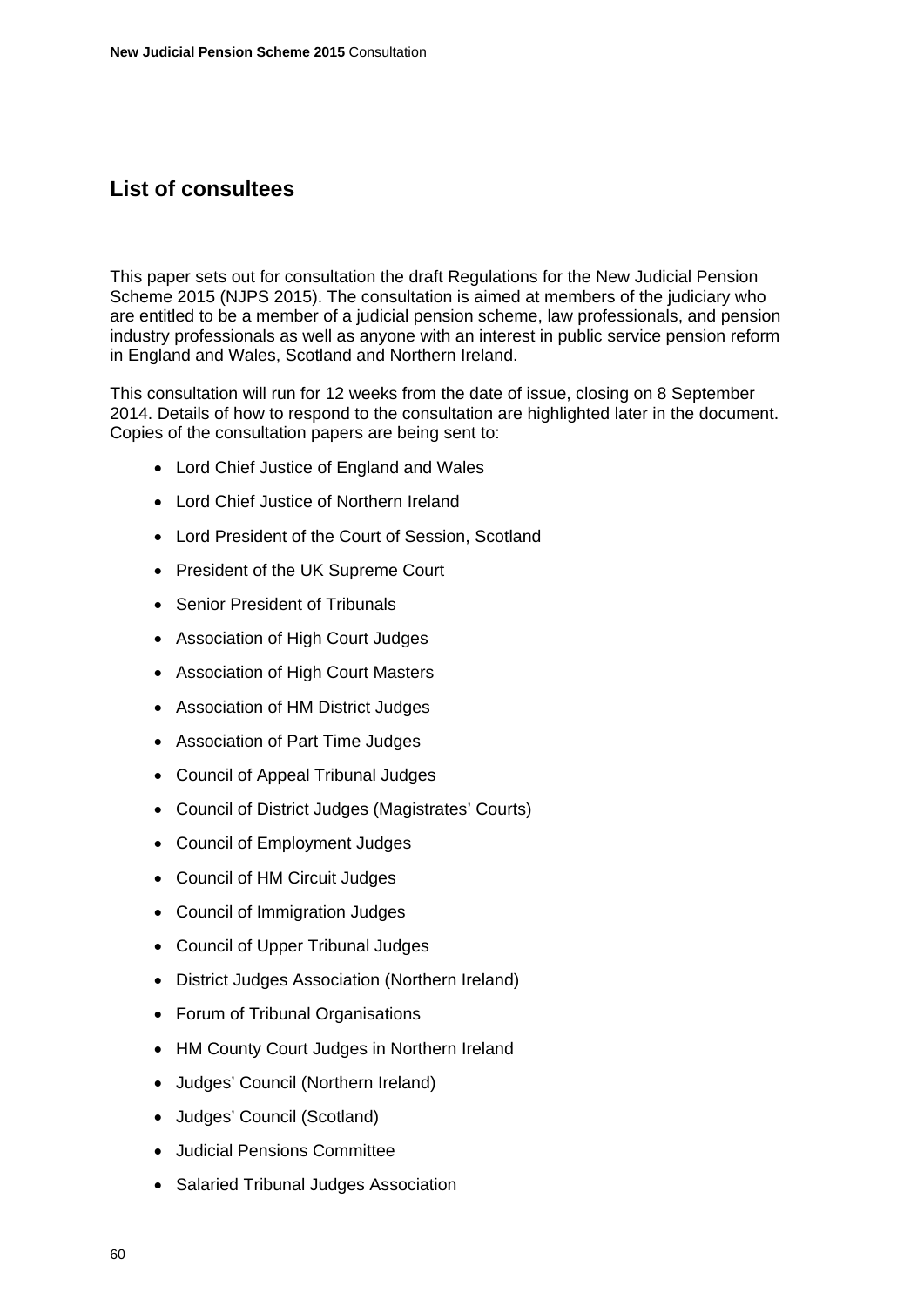### **List of consultees**

This paper sets out for consultation the draft Regulations for the New Judicial Pension Scheme 2015 (NJPS 2015). The consultation is aimed at members of the judiciary who are entitled to be a member of a judicial pension scheme, law professionals, and pension industry professionals as well as anyone with an interest in public service pension reform in England and Wales, Scotland and Northern Ireland.

This consultation will run for 12 weeks from the date of issue, closing on 8 September 2014. Details of how to respond to the consultation are highlighted later in the document. Copies of the consultation papers are being sent to:

- Lord Chief Justice of England and Wales
- Lord Chief Justice of Northern Ireland
- Lord President of the Court of Session, Scotland
- President of the UK Supreme Court
- Senior President of Tribunals
- Association of High Court Judges
- Association of High Court Masters
- Association of HM District Judges
- Association of Part Time Judges
- Council of Appeal Tribunal Judges
- Council of District Judges (Magistrates' Courts)
- Council of Employment Judges
- Council of HM Circuit Judges
- Council of Immigration Judges
- Council of Upper Tribunal Judges
- District Judges Association (Northern Ireland)
- Forum of Tribunal Organisations
- HM County Court Judges in Northern Ireland
- Judges' Council (Northern Ireland)
- Judges' Council (Scotland)
- Judicial Pensions Committee
- Salaried Tribunal Judges Association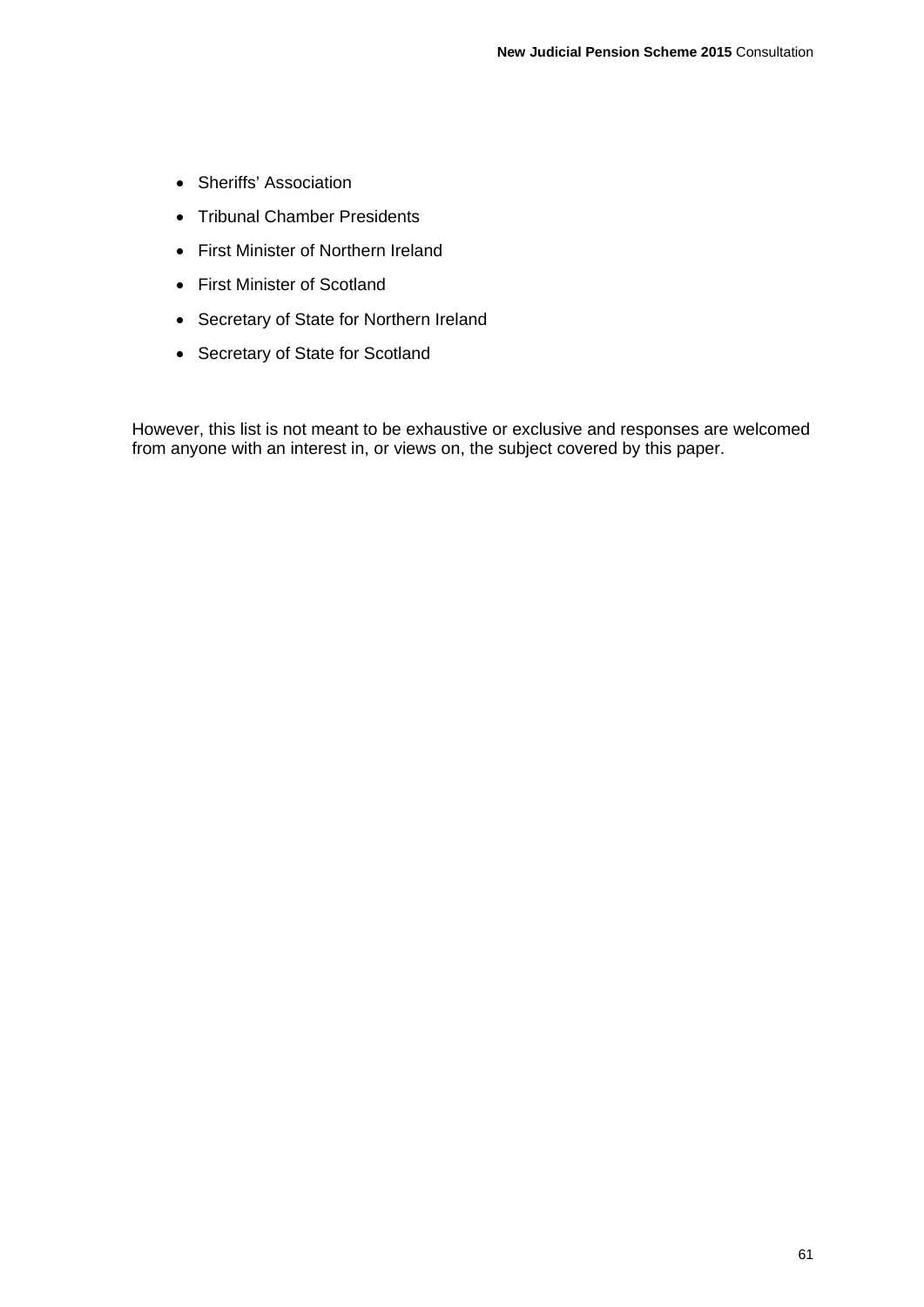- Sheriffs' Association
- Tribunal Chamber Presidents
- First Minister of Northern Ireland
- First Minister of Scotland
- Secretary of State for Northern Ireland
- Secretary of State for Scotland

However, this list is not meant to be exhaustive or exclusive and responses are welcomed from anyone with an interest in, or views on, the subject covered by this paper.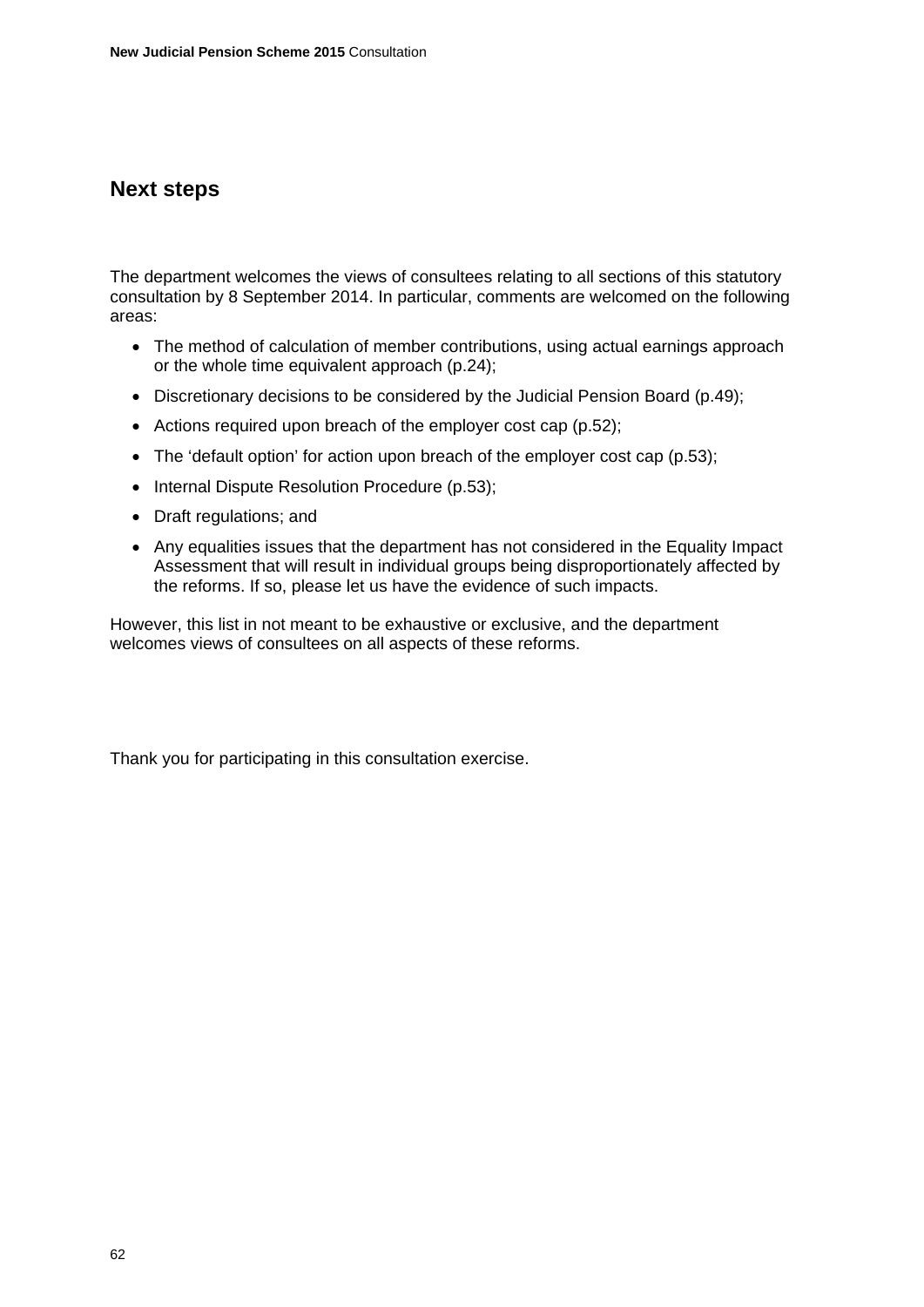### **Next steps**

The department welcomes the views of consultees relating to all sections of this statutory consultation by 8 September 2014. In particular, comments are welcomed on the following areas:

- The method of calculation of member contributions, using actual earnings approach or the whole time equivalent approach (p[.24](#page-27-0));
- Discretionary decisions to be considered by the Judicial Pension Board (p.[49\)](#page-52-0);
- Actions required upon breach of the employer cost cap (p.[52](#page-55-0));
- The 'default option' for action upon breach of the employer cost cap (p.[53\)](#page-56-0);
- Internal Dispute Resolution Procedure (p[.53](#page-56-1));
- Draft regulations; and
- Any equalities issues that the department has not considered in the Equality Impact Assessment that will result in individual groups being disproportionately affected by the reforms. If so, please let us have the evidence of such impacts.

However, this list in not meant to be exhaustive or exclusive, and the department welcomes views of consultees on all aspects of these reforms.

Thank you for participating in this consultation exercise.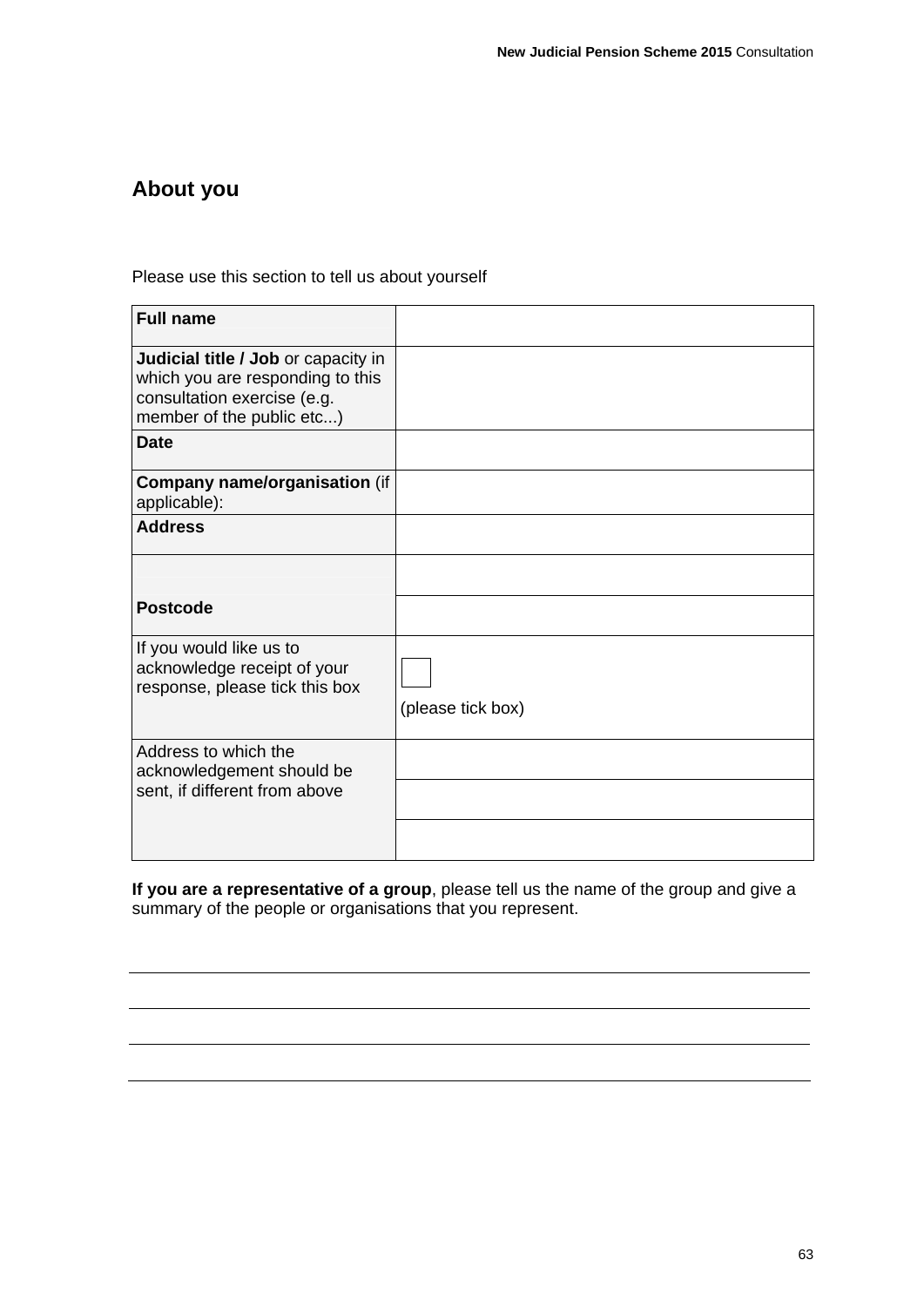# **About you**

Please use this section to tell us about yourself

| <b>Full name</b>                                                                                                                           |                   |
|--------------------------------------------------------------------------------------------------------------------------------------------|-------------------|
| <b>Judicial title / Job or capacity in</b><br>which you are responding to this<br>consultation exercise (e.g.<br>member of the public etc) |                   |
| <b>Date</b>                                                                                                                                |                   |
| <b>Company name/organisation (if</b><br>applicable):                                                                                       |                   |
| <b>Address</b>                                                                                                                             |                   |
|                                                                                                                                            |                   |
| <b>Postcode</b>                                                                                                                            |                   |
| If you would like us to<br>acknowledge receipt of your<br>response, please tick this box                                                   | (please tick box) |
| Address to which the<br>acknowledgement should be<br>sent, if different from above                                                         |                   |

**If you are a representative of a group**, please tell us the name of the group and give a summary of the people or organisations that you represent.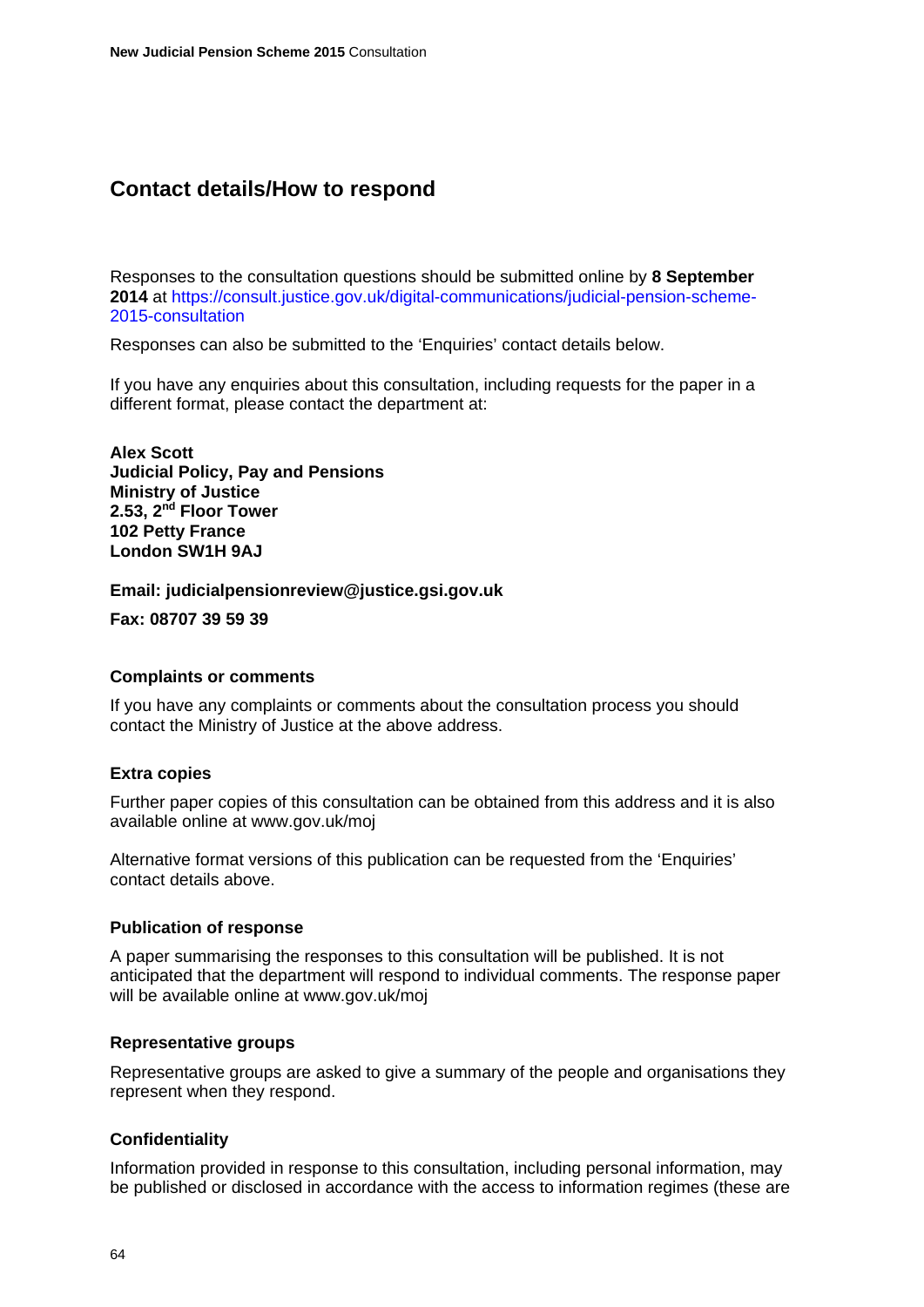## **Contact details/How to respond**

Responses to the consultation questions should be submitted online by **8 September 2014** at [https://consult.justice.gov.uk/digital-communications/judicial-pension-scheme-](https://consult.justice.gov.uk/digital-communications/judicial-pension-scheme-2015-consultation)[2015-consultation](https://consult.justice.gov.uk/digital-communications/judicial-pension-scheme-2015-consultation) 

Responses can also be submitted to the 'Enquiries' contact details below.

If you have any enquiries about this consultation, including requests for the paper in a different format, please contact the department at:

**Alex Scott Judicial Policy, Pay and Pensions Ministry of Justice**  2.53, 2<sup>nd</sup> Floor Tower **102 Petty France London SW1H 9AJ** 

**Email: [judicialpensionreview@justice.gsi.gov.uk](mailto:judicialpensionreview@justice.gsi.gov.uk)** 

**Fax: 08707 39 59 39** 

#### **Complaints or comments**

If you have any complaints or comments about the consultation process you should contact the Ministry of Justice at the above address.

#### **Extra copies**

Further paper copies of this consultation can be obtained from this address and it is also available online at [www.gov.uk/moj](http://www.gov.uk/moj) 

Alternative format versions of this publication can be requested from the 'Enquiries' contact details above.

#### **Publication of response**

A paper summarising the responses to this consultation will be published. It is not anticipated that the department will respond to individual comments. The response paper will be available online at [www.gov.uk/moj](http://www.gov.uk/moj) 

#### **Representative groups**

Representative groups are asked to give a summary of the people and organisations they represent when they respond.

#### **Confidentiality**

Information provided in response to this consultation, including personal information, may be published or disclosed in accordance with the access to information regimes (these are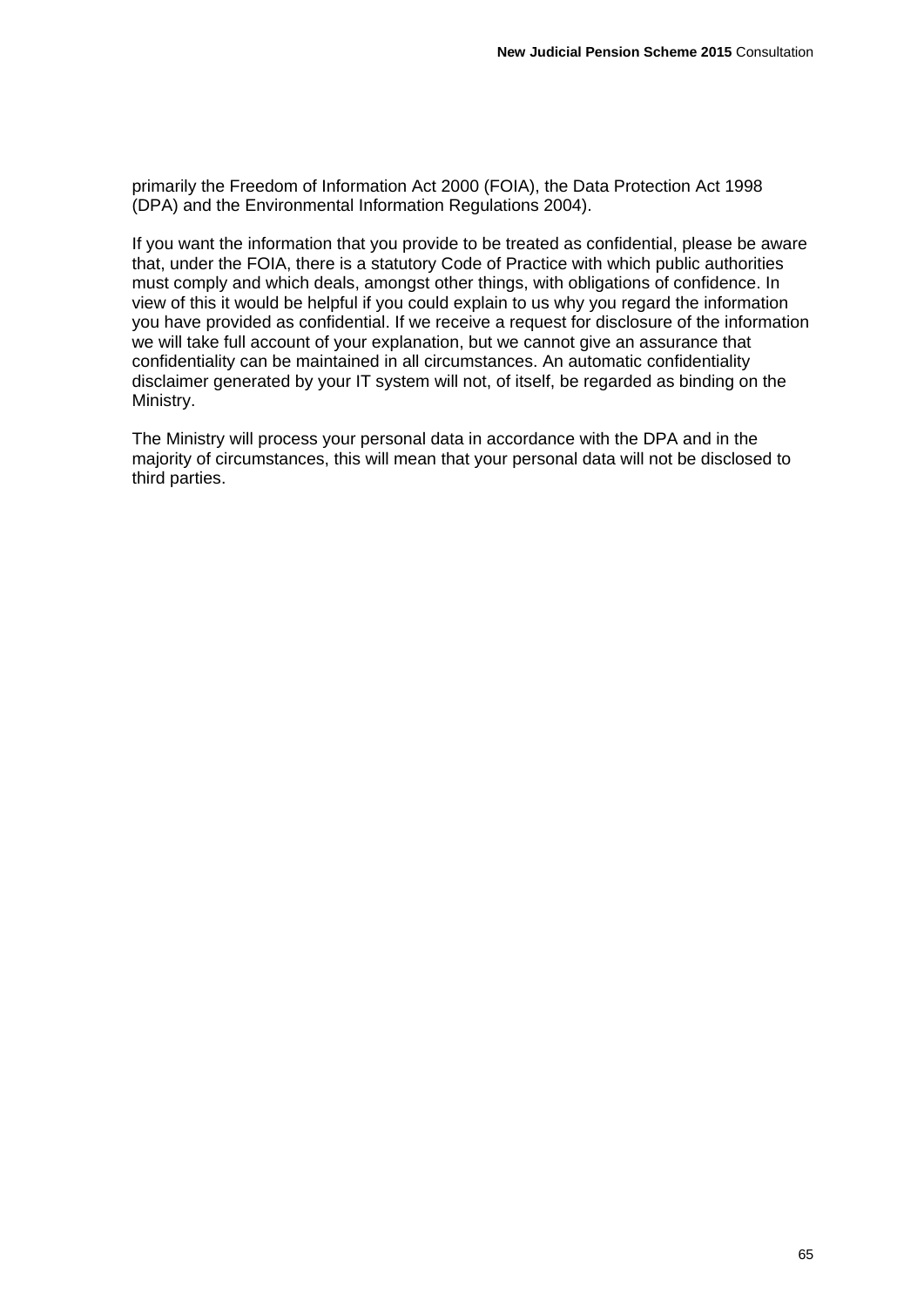primarily the Freedom of Information Act 2000 (FOIA), the Data Protection Act 1998 (DPA) and the Environmental Information Regulations 2004).

If you want the information that you provide to be treated as confidential, please be aware that, under the FOIA, there is a statutory Code of Practice with which public authorities must comply and which deals, amongst other things, with obligations of confidence. In view of this it would be helpful if you could explain to us why you regard the information you have provided as confidential. If we receive a request for disclosure of the information we will take full account of your explanation, but we cannot give an assurance that confidentiality can be maintained in all circumstances. An automatic confidentiality disclaimer generated by your IT system will not, of itself, be regarded as binding on the Ministry.

The Ministry will process your personal data in accordance with the DPA and in the majority of circumstances, this will mean that your personal data will not be disclosed to third parties.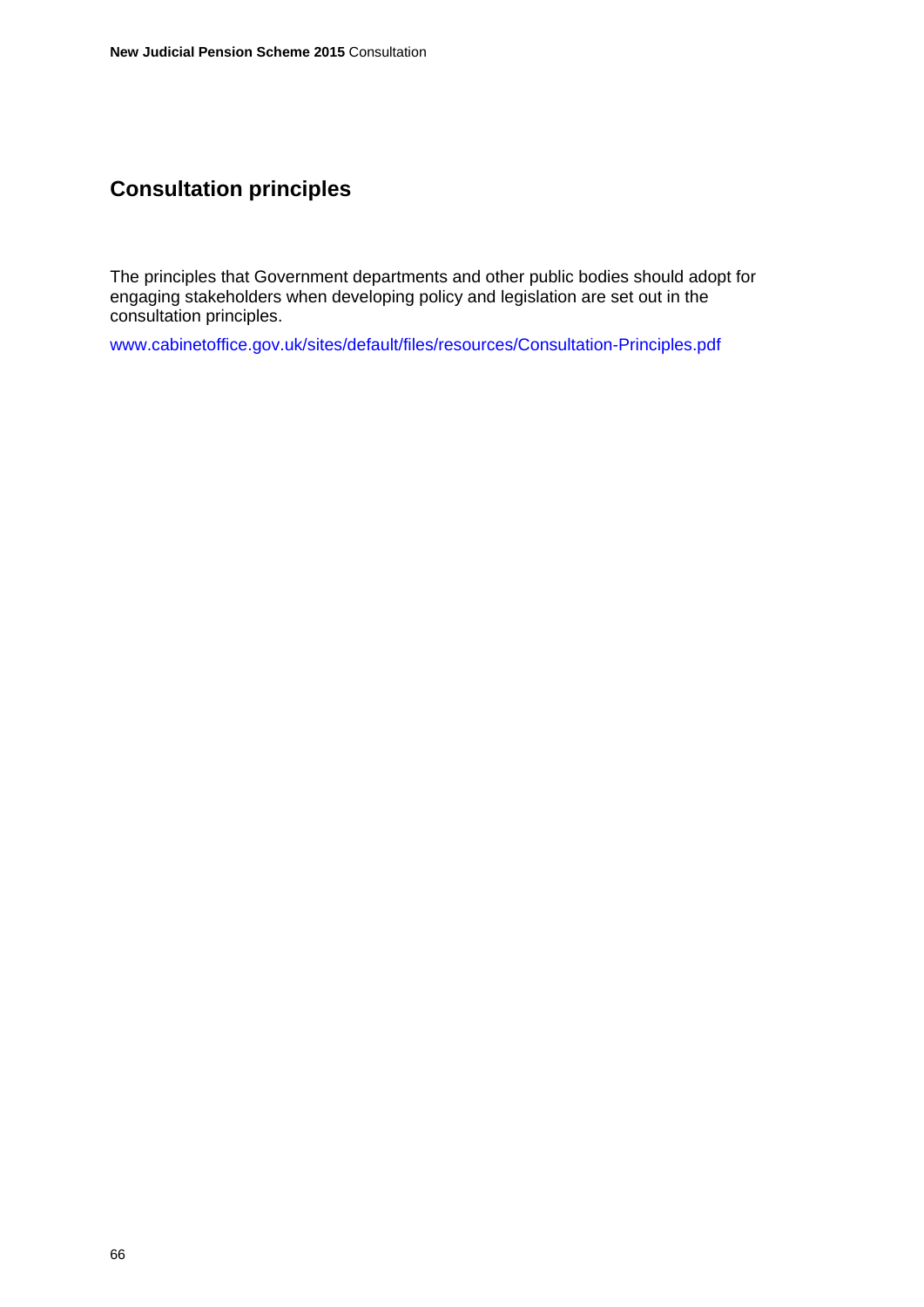# **Consultation principles**

The principles that Government departments and other public bodies should adopt for engaging stakeholders when developing policy and legislation are set out in the consultation principles.

www.cabinetoffice.gov.uk/sites/default/files/resources/Consultation-Principles.pdf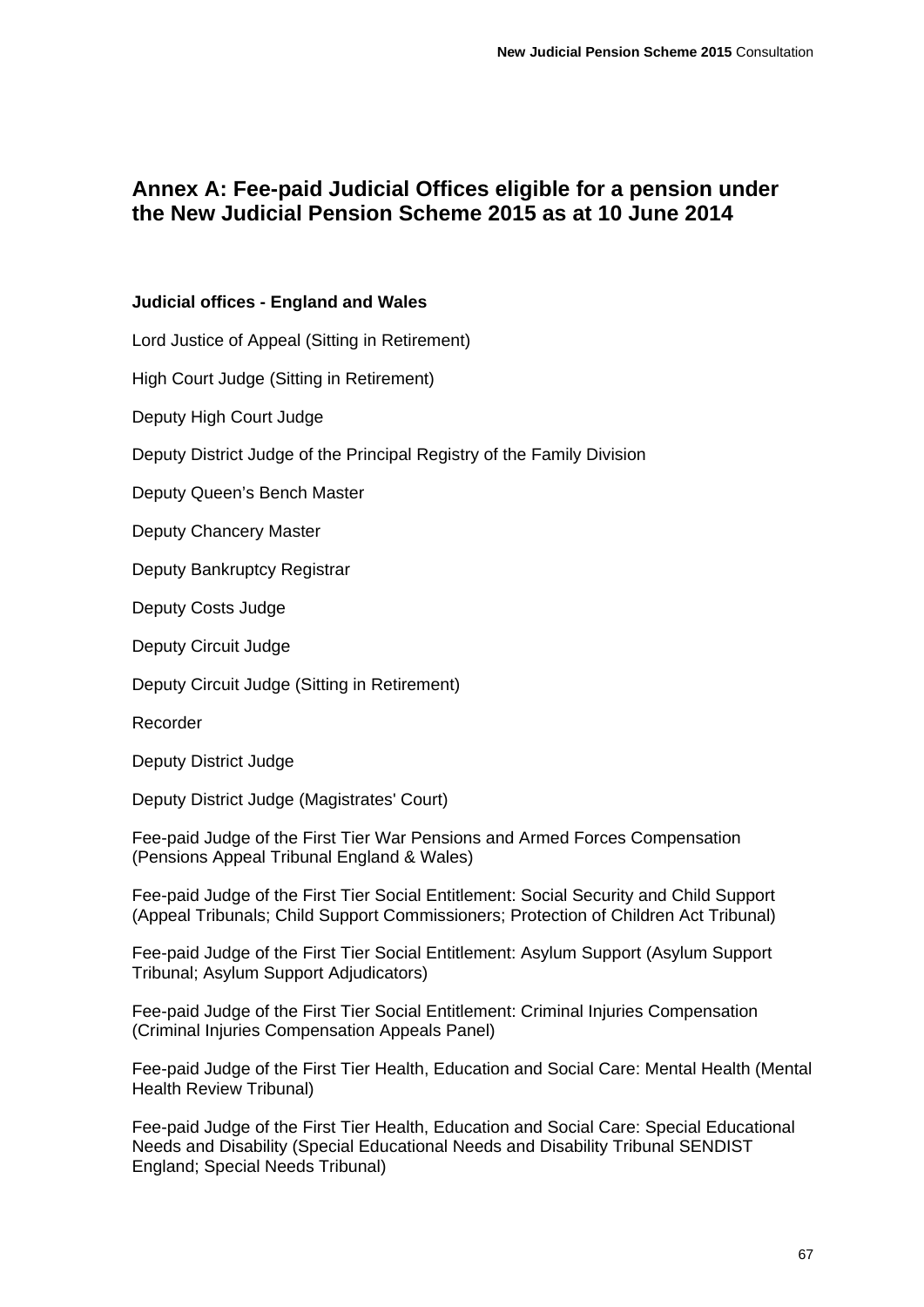## **Annex A: Fee-paid Judicial Offices eligible for a pension under the New Judicial Pension Scheme 2015 as at 10 June 2014**

#### **Judicial offices - England and Wales**

Lord Justice of Appeal (Sitting in Retirement)

High Court Judge (Sitting in Retirement)

Deputy High Court Judge

Deputy District Judge of the Principal Registry of the Family Division

Deputy Queen's Bench Master

Deputy Chancery Master

Deputy Bankruptcy Registrar

Deputy Costs Judge

Deputy Circuit Judge

Deputy Circuit Judge (Sitting in Retirement)

Recorder

Deputy District Judge

Deputy District Judge (Magistrates' Court)

Fee-paid Judge of the First Tier War Pensions and Armed Forces Compensation (Pensions Appeal Tribunal England & Wales)

Fee-paid Judge of the First Tier Social Entitlement: Social Security and Child Support (Appeal Tribunals; Child Support Commissioners; Protection of Children Act Tribunal)

Fee-paid Judge of the First Tier Social Entitlement: Asylum Support (Asylum Support Tribunal; Asylum Support Adjudicators)

Fee-paid Judge of the First Tier Social Entitlement: Criminal Injuries Compensation (Criminal Injuries Compensation Appeals Panel)

Fee-paid Judge of the First Tier Health, Education and Social Care: Mental Health (Mental Health Review Tribunal)

Fee-paid Judge of the First Tier Health, Education and Social Care: Special Educational Needs and Disability (Special Educational Needs and Disability Tribunal SENDIST England; Special Needs Tribunal)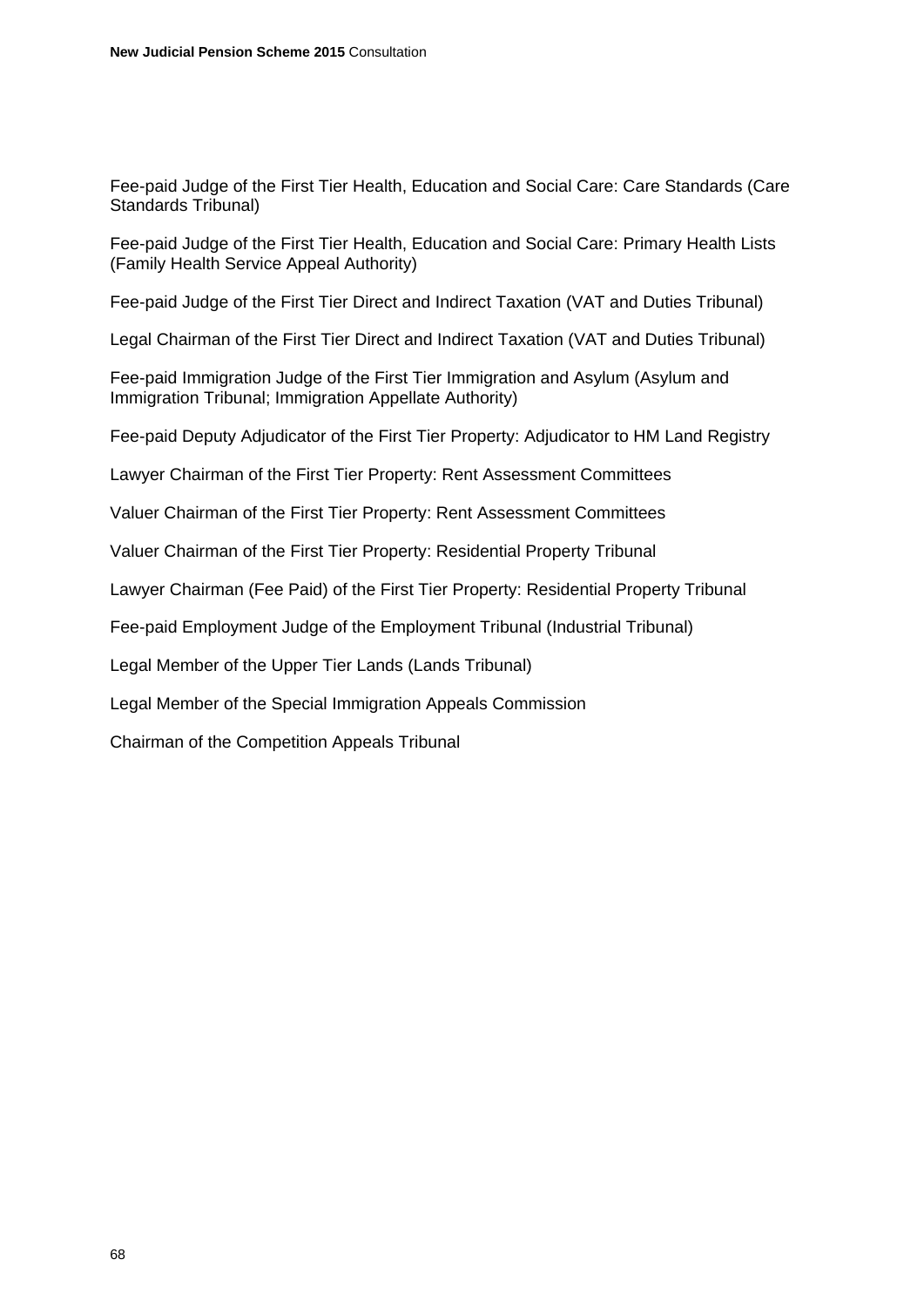Fee-paid Judge of the First Tier Health, Education and Social Care: Care Standards (Care Standards Tribunal)

Fee-paid Judge of the First Tier Health, Education and Social Care: Primary Health Lists (Family Health Service Appeal Authority)

Fee-paid Judge of the First Tier Direct and Indirect Taxation (VAT and Duties Tribunal)

Legal Chairman of the First Tier Direct and Indirect Taxation (VAT and Duties Tribunal)

Fee-paid Immigration Judge of the First Tier Immigration and Asylum (Asylum and Immigration Tribunal; Immigration Appellate Authority)

Fee-paid Deputy Adjudicator of the First Tier Property: Adjudicator to HM Land Registry

Lawyer Chairman of the First Tier Property: Rent Assessment Committees

Valuer Chairman of the First Tier Property: Rent Assessment Committees

Valuer Chairman of the First Tier Property: Residential Property Tribunal

Lawyer Chairman (Fee Paid) of the First Tier Property: Residential Property Tribunal

Fee-paid Employment Judge of the Employment Tribunal (Industrial Tribunal)

Legal Member of the Upper Tier Lands (Lands Tribunal)

Legal Member of the Special Immigration Appeals Commission

Chairman of the Competition Appeals Tribunal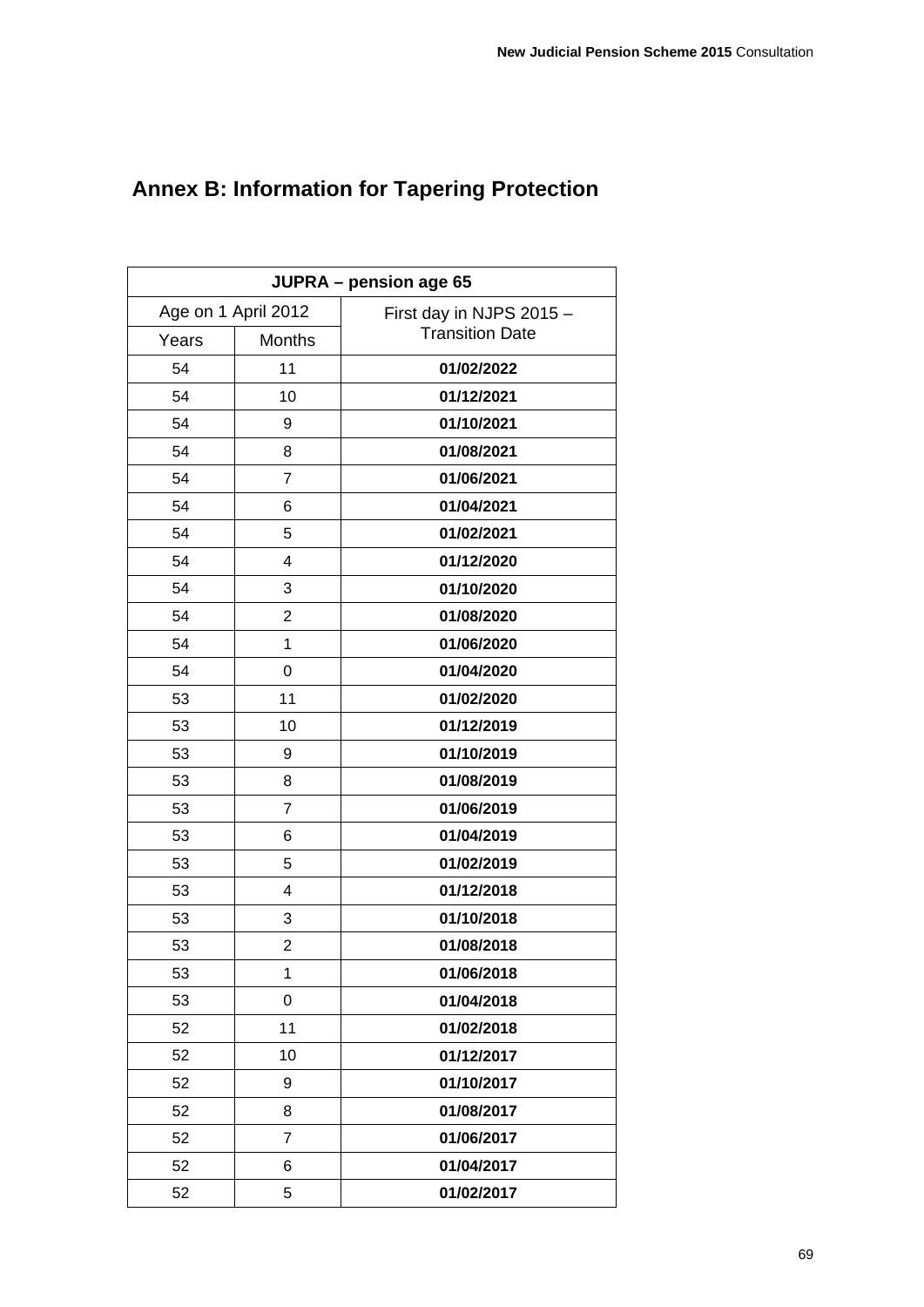| <b>JUPRA</b> - pension age 65 |                |                          |
|-------------------------------|----------------|--------------------------|
| Age on 1 April 2012           |                | First day in NJPS 2015 - |
| Years                         | <b>Months</b>  | <b>Transition Date</b>   |
| 54                            | 11             | 01/02/2022               |
| 54                            | 10             | 01/12/2021               |
| 54                            | 9              | 01/10/2021               |
| 54                            | 8              | 01/08/2021               |
| 54                            | $\overline{7}$ | 01/06/2021               |
| 54                            | 6              | 01/04/2021               |
| 54                            | 5              | 01/02/2021               |
| 54                            | 4              | 01/12/2020               |
| 54                            | 3              | 01/10/2020               |
| 54                            | $\overline{2}$ | 01/08/2020               |
| 54                            | 1              | 01/06/2020               |
| 54                            | 0              | 01/04/2020               |
| 53                            | 11             | 01/02/2020               |
| 53                            | 10             | 01/12/2019               |
| 53                            | 9              | 01/10/2019               |
| 53                            | 8              | 01/08/2019               |
| 53                            | $\overline{7}$ | 01/06/2019               |
| 53                            | 6              | 01/04/2019               |
| 53                            | 5              | 01/02/2019               |
| 53                            | 4              | 01/12/2018               |
| 53                            | 3              | 01/10/2018               |
| 53                            | $\overline{2}$ | 01/08/2018               |
| 53                            | 1              | 01/06/2018               |
| 53                            | 0              | 01/04/2018               |
| 52                            | 11             | 01/02/2018               |
| 52                            | 10             | 01/12/2017               |
| 52                            | 9              | 01/10/2017               |
| 52                            | 8              | 01/08/2017               |
| 52                            | $\overline{7}$ | 01/06/2017               |
| 52                            | 6              | 01/04/2017               |
| 52                            | 5              | 01/02/2017               |

## **Annex B: Information for Tapering Protection**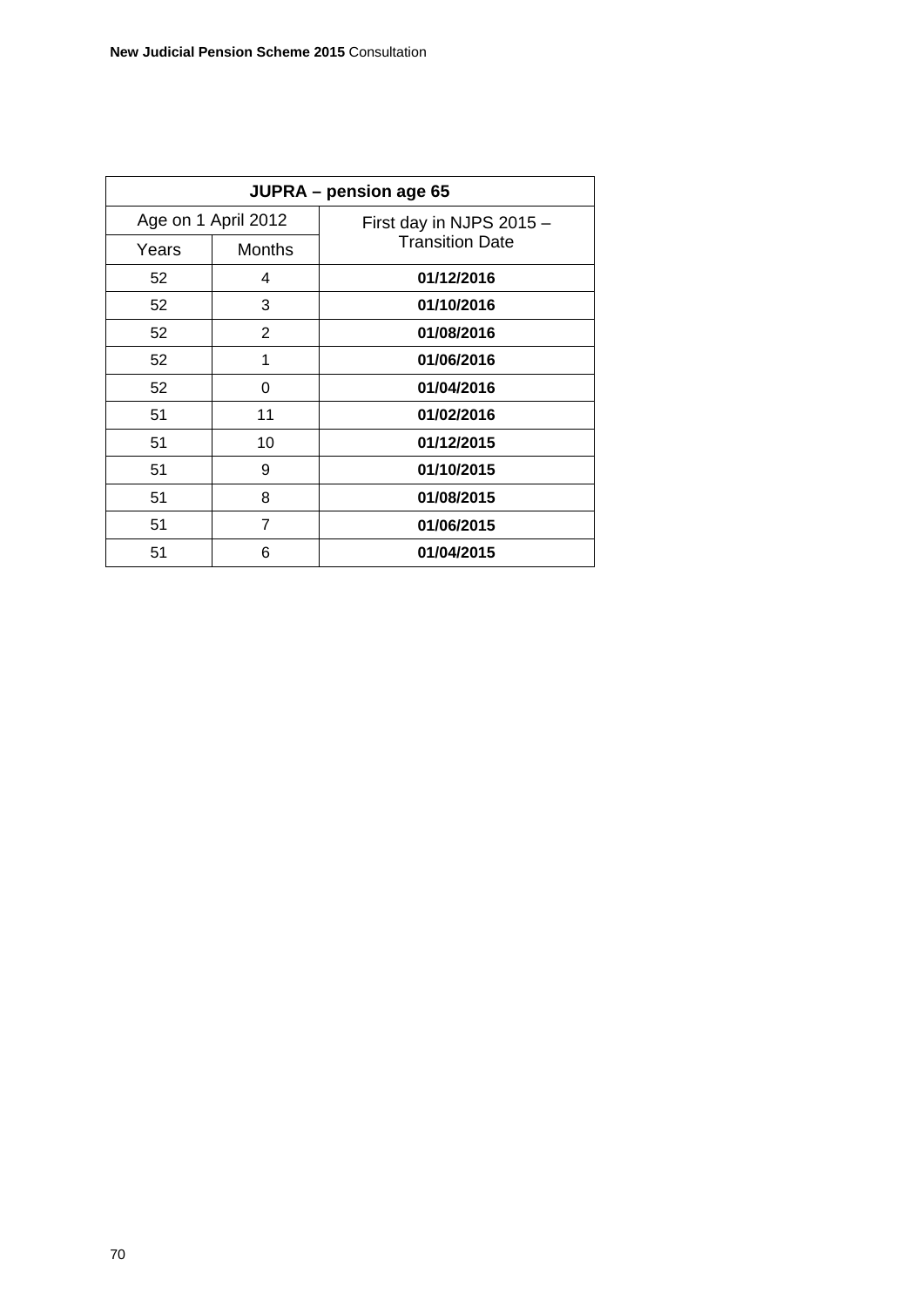| JUPRA - pension age 65 |                |                          |
|------------------------|----------------|--------------------------|
| Age on 1 April 2012    |                | First day in NJPS 2015 - |
| Years                  | <b>Months</b>  | <b>Transition Date</b>   |
| 52                     | 4              | 01/12/2016               |
| 52                     | 3              | 01/10/2016               |
| 52                     | $\overline{2}$ | 01/08/2016               |
| 52                     | 1              | 01/06/2016               |
| 52                     | 0              | 01/04/2016               |
| 51                     | 11             | 01/02/2016               |
| 51                     | 10             | 01/12/2015               |
| 51                     | 9              | 01/10/2015               |
| 51                     | 8              | 01/08/2015               |
| 51                     | $\overline{7}$ | 01/06/2015               |
| 51                     | 6              | 01/04/2015               |